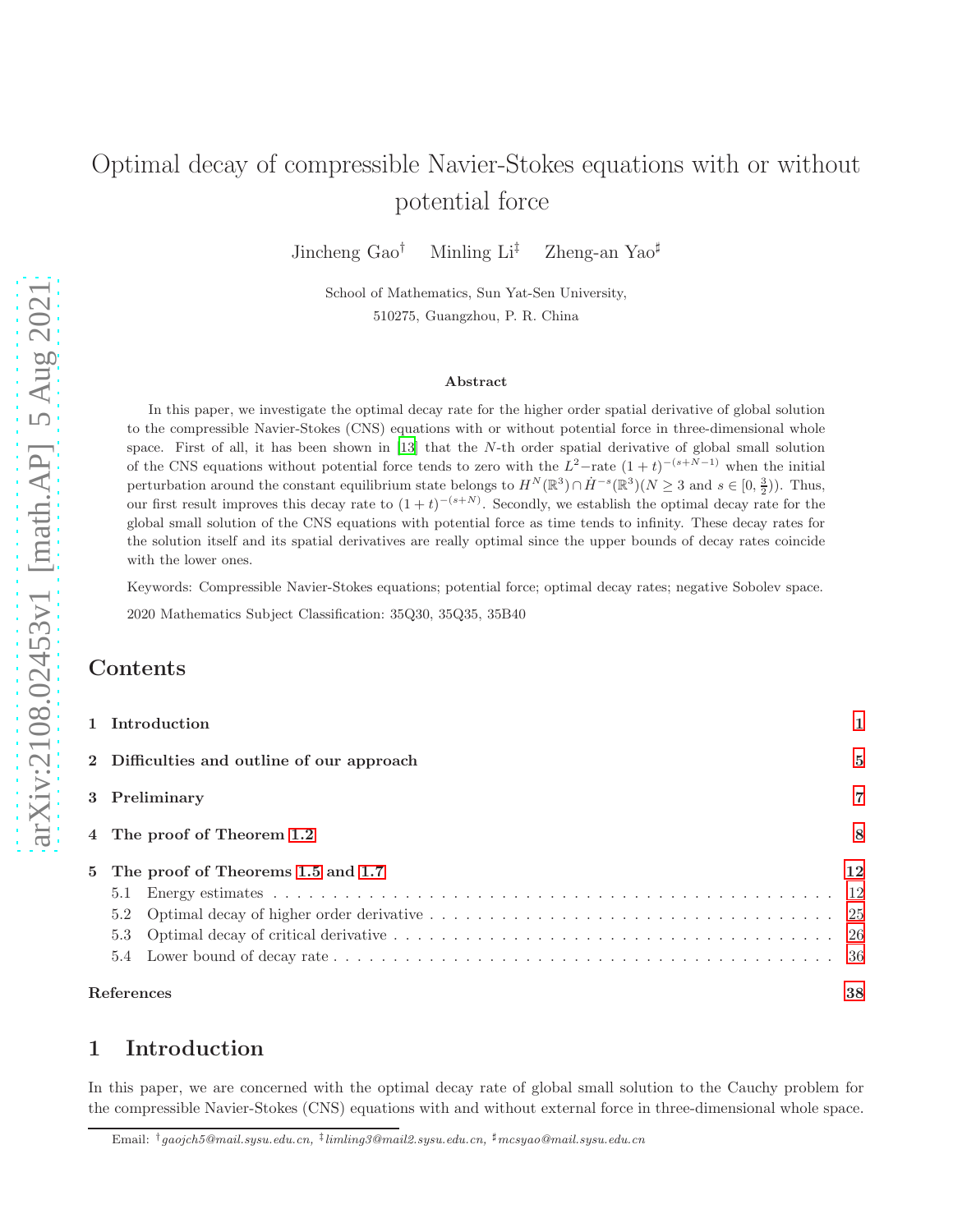# Optimal decay of compressible Navier-Stokes equations with or without potential force

Jincheng Gao<sup>†</sup> Minling Li<sup>‡</sup> Zheng-an Yao<sup>‡</sup>

School of Mathematics, Sun Yat-Sen University, 510275, Guangzhou, P. R. China

#### Abstract

In this paper, we investigate the optimal decay rate for the higher order spatial derivative of global solution to the compressible Navier-Stokes (CNS) equations with or without potential force in three-dimensional whole space. First of all, it has been shown in [\[13\]](#page-38-0) that the N-th order spatial derivative of global small solution of the CNS equations without potential force tends to zero with the  $L^2$ -rate  $(1+t)^{-(s+N-1)}$  when the initial perturbation around the constant equilibrium state belongs to  $H^N(\mathbb{R}^3) \cap H^{-s}(\mathbb{R}^3)(N \geq 3$  and  $s \in [0, \frac{3}{2})$ ). Thus, our first result improves this decay rate to  $(1+t)^{-(s+N)}$ . Secondly, we establish the optimal decay rate for the global small solution of the CNS equations with potential force as time tends to infinity. These decay rates for the solution itself and its spatial derivatives are really optimal since the upper bounds of decay rates coincide with the lower ones.

Keywords: Compressible Navier-Stokes equations; potential force; optimal decay rates; negative Sobolev space.

2020 Mathematics Subject Classification: 35Q30, 35Q35, 35B40

# Contents

| 5.2                                        |    |
|--------------------------------------------|----|
| 5.1                                        |    |
| 5 The proof of Theorems 1.5 and 1.7        | 12 |
| 4 The proof of Theorem 1.2                 | 8  |
| 3 Preliminary                              | 7  |
| 2 Difficulties and outline of our approach | 5  |
| 1 Introduction                             |    |

# <span id="page-0-0"></span>1 Introduction

In this paper, we are concerned with the optimal decay rate of global small solution to the Cauchy problem for the compressible Navier-Stokes (CNS) equations with and without external force in three-dimensional whole space.

 $\text{Email: } {^\dagger}gaojch5@mail.sysu.edu.cn, \ {^\ddagger}limling3@mail.sysu.edu.cn, \ {^\ddagger}mesyao@mail.sysu.edu.cn$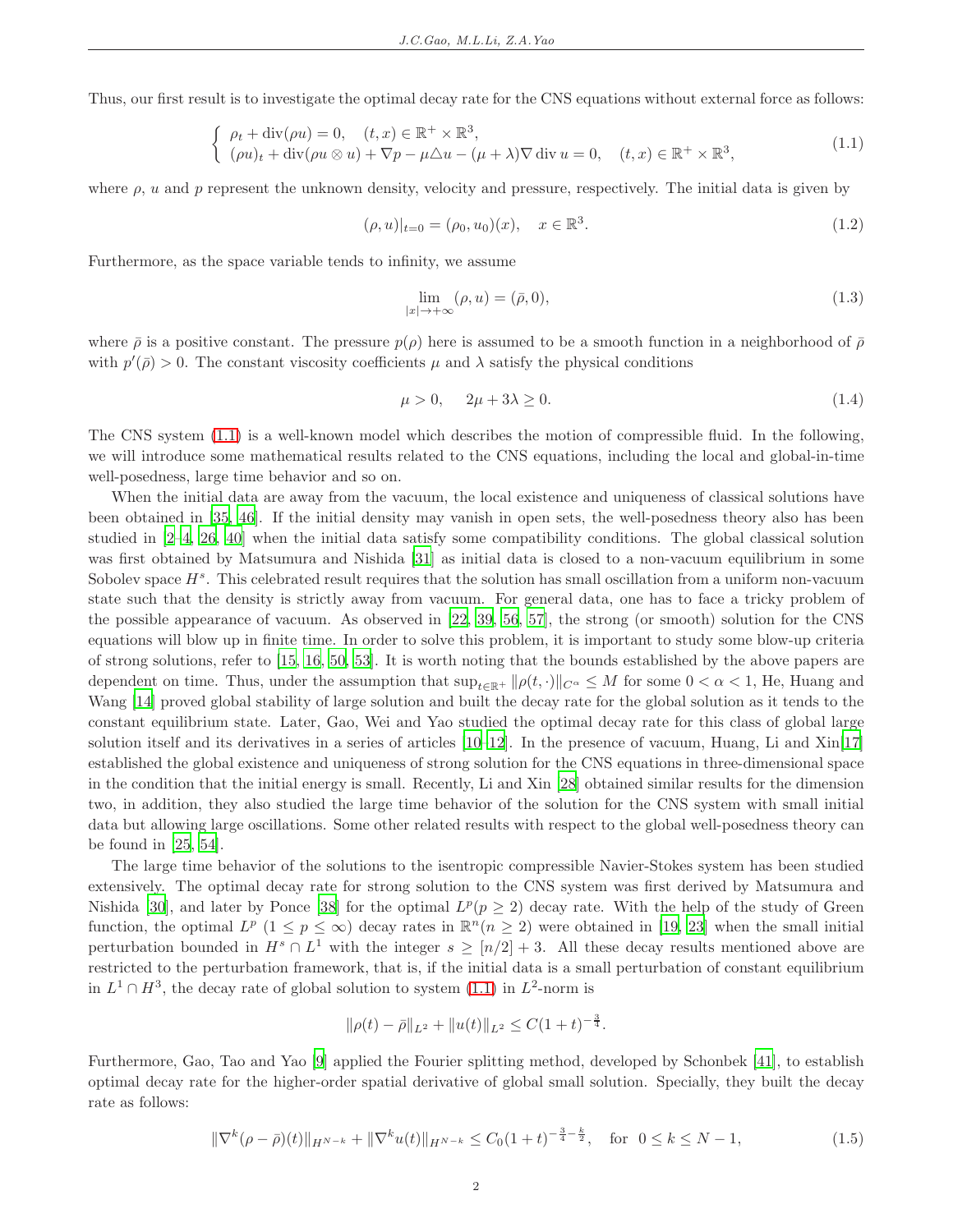Thus, our first result is to investigate the optimal decay rate for the CNS equations without external force as follows:

<span id="page-1-0"></span>
$$
\begin{cases}\n\rho_t + \operatorname{div}(\rho u) = 0, & (t, x) \in \mathbb{R}^+ \times \mathbb{R}^3, \\
(\rho u)_t + \operatorname{div}(\rho u \otimes u) + \nabla p - \mu \Delta u - (\mu + \lambda) \nabla \operatorname{div} u = 0, & (t, x) \in \mathbb{R}^+ \times \mathbb{R}^3,\n\end{cases}
$$
\n(1.1)

where  $\rho$ , u and p represent the unknown density, velocity and pressure, respectively. The initial data is given by

<span id="page-1-4"></span>
$$
(\rho, u)|_{t=0} = (\rho_0, u_0)(x), \quad x \in \mathbb{R}^3.
$$
\n(1.2)

Furthermore, as the space variable tends to infinity, we assume

<span id="page-1-2"></span>
$$
\lim_{|x| \to +\infty} (\rho, u) = (\bar{\rho}, 0),\tag{1.3}
$$

where  $\bar{\rho}$  is a positive constant. The pressure  $p(\rho)$  here is assumed to be a smooth function in a neighborhood of  $\bar{\rho}$ with  $p'(\bar{\rho}) > 0$ . The constant viscosity coefficients  $\mu$  and  $\lambda$  satisfy the physical conditions

<span id="page-1-3"></span>
$$
\mu > 0, \quad 2\mu + 3\lambda \ge 0. \tag{1.4}
$$

The CNS system [\(1.1\)](#page-1-0) is a well-known model which describes the motion of compressible fluid. In the following, we will introduce some mathematical results related to the CNS equations, including the local and global-in-time well-posedness, large time behavior and so on.

When the initial data are away from the vacuum, the local existence and uniqueness of classical solutions have been obtained in [\[35,](#page-39-0) [46\]](#page-39-1). If the initial density may vanish in open sets, the well-posedness theory also has been studied in [\[2](#page-37-1)[–4](#page-37-2), [26,](#page-38-1) [40\]](#page-39-2) when the initial data satisfy some compatibility conditions. The global classical solution was first obtained by Matsumura and Nishida [\[31\]](#page-39-3) as initial data is closed to a non-vacuum equilibrium in some Sobolev space  $H^s$ . This celebrated result requires that the solution has small oscillation from a uniform non-vacuum state such that the density is strictly away from vacuum. For general data, one has to face a tricky problem of the possible appearance of vacuum. As observed in [\[22](#page-38-2), [39,](#page-39-4) [56](#page-40-0), [57\]](#page-40-1), the strong (or smooth) solution for the CNS equations will blow up in finite time. In order to solve this problem, it is important to study some blow-up criteria of strong solutions, refer to [\[15](#page-38-3), [16](#page-38-4), [50,](#page-40-2) [53\]](#page-40-3). It is worth noting that the bounds established by the above papers are dependent on time. Thus, under the assumption that  $\sup_{t\in\mathbb{R}^+} ||\rho(t,\cdot)||_{C^\alpha} \leq M$  for some  $0 < \alpha < 1$ , He, Huang and Wang [\[14\]](#page-38-5) proved global stability of large solution and built the decay rate for the global solution as it tends to the constant equilibrium state. Later, Gao, Wei and Yao studied the optimal decay rate for this class of global large solution itself and its derivatives in a series of articles [\[10](#page-38-6)[–12](#page-38-7)]. In the presence of vacuum, Huang, Li and Xin[\[17\]](#page-38-8) established the global existence and uniqueness of strong solution for the CNS equations in three-dimensional space in the condition that the initial energy is small. Recently, Li and Xin [\[28](#page-39-5)] obtained similar results for the dimension two, in addition, they also studied the large time behavior of the solution for the CNS system with small initial data but allowing large oscillations. Some other related results with respect to the global well-posedness theory can be found in [\[25,](#page-38-9) [54\]](#page-40-4).

The large time behavior of the solutions to the isentropic compressible Navier-Stokes system has been studied extensively. The optimal decay rate for strong solution to the CNS system was first derived by Matsumura and Nishida [\[30](#page-39-6)], and later by Ponce [\[38\]](#page-39-7) for the optimal  $L^p(p \geq 2)$  decay rate. With the help of the study of Green function, the optimal  $L^p$   $(1 \leq p \leq \infty)$  decay rates in  $\mathbb{R}^n$  $(n \geq 2)$  were obtained in [\[19,](#page-38-10) [23\]](#page-38-11) when the small initial perturbation bounded in  $H^s \cap L^1$  with the integer  $s \geq [n/2] + 3$ . All these decay results mentioned above are restricted to the perturbation framework, that is, if the initial data is a small perturbation of constant equilibrium in  $L^1 \cap H^3$ , the decay rate of global solution to system [\(1.1\)](#page-1-0) in  $L^2$ -norm is

$$
\|\rho(t)-\bar{\rho}\|_{L^2} + \|u(t)\|_{L^2} \leq C(1+t)^{-\frac{3}{4}}.
$$

Furthermore, Gao, Tao and Yao [\[9](#page-38-12)] applied the Fourier splitting method, developed by Schonbek [\[41\]](#page-39-8), to establish optimal decay rate for the higher-order spatial derivative of global small solution. Specially, they built the decay rate as follows:

<span id="page-1-1"></span>
$$
\|\nabla^k(\rho - \bar{\rho})(t)\|_{H^{N-k}} + \|\nabla^k u(t)\|_{H^{N-k}} \le C_0 (1+t)^{-\frac{3}{4} - \frac{k}{2}}, \quad \text{for } 0 \le k \le N-1,
$$
\n(1.5)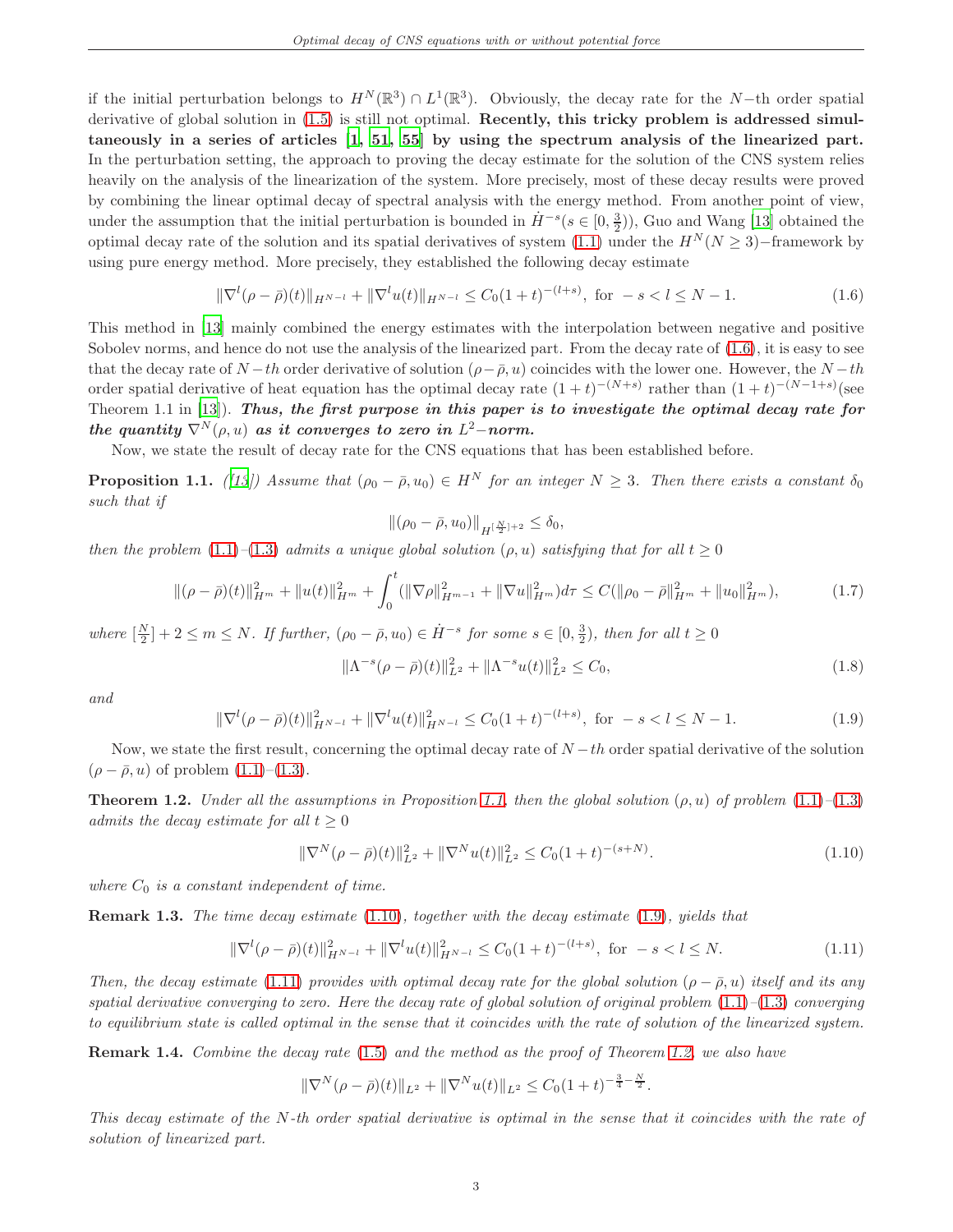if the initial perturbation belongs to  $H^N(\mathbb{R}^3) \cap L^1(\mathbb{R}^3)$ . Obviously, the decay rate for the N-th order spatial derivative of global solution in  $(1.5)$  is still not optimal. Recently, this tricky problem is addressed simultaneously in a series of articles [\[1,](#page-37-3) [51](#page-40-5), [55\]](#page-40-6) by using the spectrum analysis of the linearized part. In the perturbation setting, the approach to proving the decay estimate for the solution of the CNS system relies heavily on the analysis of the linearization of the system. More precisely, most of these decay results were proved by combining the linear optimal decay of spectral analysis with the energy method. From another point of view, under the assumption that the initial perturbation is bounded in  $\dot{H}^{-s}(s\in[0,\frac{3}{2}))$ , Guo and Wang [\[13\]](#page-38-0) obtained the optimal decay rate of the solution and its spatial derivatives of system [\(1.1\)](#page-1-0) under the  $H^N(N \geq 3)$ −framework by using pure energy method. More precisely, they established the following decay estimate

<span id="page-2-1"></span>
$$
\|\nabla^{l}(\rho - \bar{\rho})(t)\|_{H^{N-l}} + \|\nabla^{l}u(t)\|_{H^{N-l}} \le C_0(1+t)^{-(l+s)}, \text{ for } -s < l \le N-1.
$$
 (1.6)

This method in [\[13\]](#page-38-0) mainly combined the energy estimates with the interpolation between negative and positive Sobolev norms, and hence do not use the analysis of the linearized part. From the decay rate of [\(1.6\)](#page-2-1), it is easy to see that the decay rate of  $N-th$  order derivative of solution  $(\rho - \bar{\rho}, u)$  coincides with the lower one. However, the  $N-th$ order spatial derivative of heat equation has the optimal decay rate  $(1+t)^{-(N+s)}$  rather than  $(1+t)^{-(N-1+s)}$  (see Theorem 1.1 in  $[13]$ ). Thus, the first purpose in this paper is to investigate the optimal decay rate for  ${\it the \ quantity} \ \nabla^N(\rho,u) {\it \ as \ it \ converges \ to \ zero \ in \ } L^2-norm.$ 

Now, we state the result of decay rate for the CNS equations that has been established before.

<span id="page-2-2"></span>**Proposition 1.1.** ([\[13\]](#page-38-0)) Assume that  $(\rho_0 - \bar{\rho}, u_0) \in H^N$  for an integer  $N \geq 3$ . Then there exists a constant  $\delta_0$ such that if

$$
\|(\rho_0 - \bar{\rho}, u_0)\|_{H^{[\frac{N}{2}]+2}} \le \delta_0,
$$

then the problem [\(1.1\)](#page-1-0)–[\(1.3\)](#page-1-2) admits a unique global solution ( $\rho, u$ ) satisfying that for all  $t \geq 0$ 

<span id="page-2-6"></span>
$$
\|(\rho - \bar{\rho})(t)\|_{H^m}^2 + \|u(t)\|_{H^m}^2 + \int_0^t (\|\nabla \rho\|_{H^{m-1}}^2 + \|\nabla u\|_{H^m}^2) d\tau \le C(\|\rho_0 - \bar{\rho}\|_{H^m}^2 + \|u_0\|_{H^m}^2),\tag{1.7}
$$

where  $\left[\frac{N}{2}\right] + 2 \leq m \leq N$ . If further,  $(\rho_0 - \bar{\rho}, u_0) \in \dot{H}^{-s}$  for some  $s \in [0, \frac{3}{2})$ , then for all  $t \geq 0$ 

$$
\|\Lambda^{-s}(\rho - \bar{\rho})(t)\|_{L^2}^2 + \|\Lambda^{-s}u(t)\|_{L^2}^2 \le C_0,
$$
\n(1.8)

and

<span id="page-2-4"></span>
$$
\|\nabla^{l}(\rho - \bar{\rho})(t)\|_{H^{N-l}}^2 + \|\nabla^{l}u(t)\|_{H^{N-l}}^2 \le C_0(1+t)^{-(l+s)}, \text{ for } -s < l \le N-1.
$$
 (1.9)

Now, we state the first result, concerning the optimal decay rate of  $N-th$  order spatial derivative of the solution  $(\rho - \bar{\rho}, u)$  of problem  $(1.1)$ – $(1.3)$ .

<span id="page-2-0"></span>**Theorem 1.2.** Under all the assumptions in Proposition [1.1,](#page-2-2) then the global solution  $(\rho, u)$  of problem  $(1.1)$ – $(1.3)$ admits the decay estimate for all  $t \geq 0$ 

<span id="page-2-3"></span>
$$
\|\nabla^{N}(\rho - \bar{\rho})(t)\|_{L^{2}}^{2} + \|\nabla^{N}u(t)\|_{L^{2}}^{2} \leq C_{0}(1+t)^{-(s+N)}.
$$
\n(1.10)

where  $C_0$  is a constant independent of time.

Remark 1.3. The time decay estimate [\(1.10\)](#page-2-3), together with the decay estimate [\(1.9\)](#page-2-4), yields that

<span id="page-2-5"></span>
$$
\|\nabla^{l}(\rho - \bar{\rho})(t)\|_{H^{N-l}}^2 + \|\nabla^{l}u(t)\|_{H^{N-l}}^2 \le C_0(1+t)^{-(l+s)}, \text{ for } -s < l \le N. \tag{1.11}
$$

Then, the decay estimate [\(1.11\)](#page-2-5) provides with optimal decay rate for the global solution ( $\rho - \bar{\rho}, u$ ) itself and its any spatial derivative converging to zero. Here the decay rate of global solution of original problem  $(1.1)$ – $(1.3)$  converging to equilibrium state is called optimal in the sense that it coincides with the rate of solution of the linearized system.

Remark 1.4. Combine the decay rate [\(1.5\)](#page-1-1) and the method as the proof of Theorem [1.2,](#page-2-0) we also have

$$
\|\nabla^{N}(\rho-\bar{\rho})(t)\|_{L^{2}} + \|\nabla^{N}u(t)\|_{L^{2}} \leq C_{0}(1+t)^{-\frac{3}{4}-\frac{N}{2}}.
$$

This decay estimate of the N-th order spatial derivative is optimal in the sense that it coincides with the rate of solution of linearized part.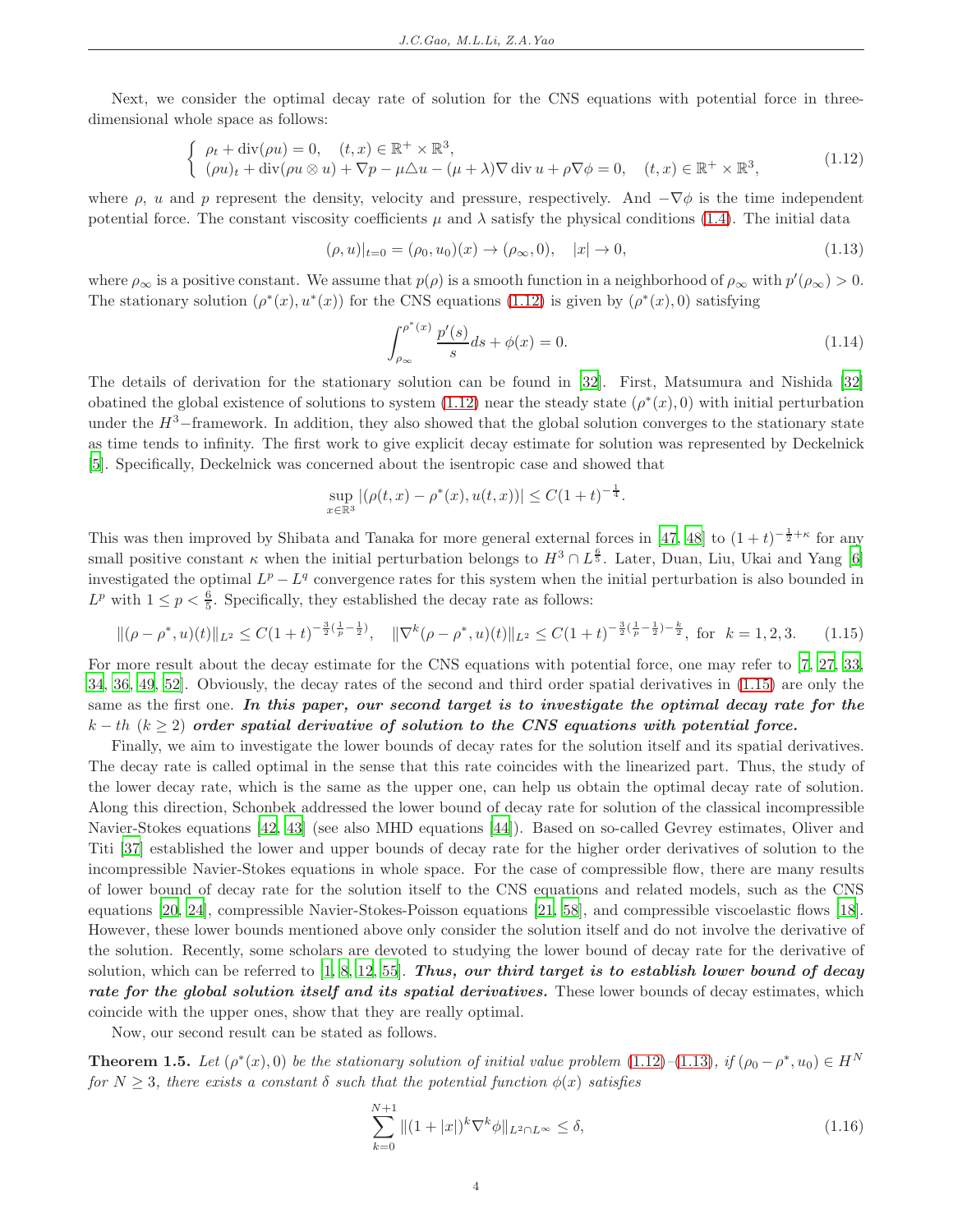Next, we consider the optimal decay rate of solution for the CNS equations with potential force in threedimensional whole space as follows:

<span id="page-3-1"></span>
$$
\begin{cases}\n\rho_t + \operatorname{div}(\rho u) = 0, & (t, x) \in \mathbb{R}^+ \times \mathbb{R}^3, \\
(\rho u)_t + \operatorname{div}(\rho u \otimes u) + \nabla p - \mu \Delta u - (\mu + \lambda) \nabla \operatorname{div} u + \rho \nabla \phi = 0, & (t, x) \in \mathbb{R}^+ \times \mathbb{R}^3,\n\end{cases}
$$
\n(1.12)

where  $\rho$ , u and p represent the density, velocity and pressure, respectively. And  $-\nabla\phi$  is the time independent potential force. The constant viscosity coefficients  $\mu$  and  $\lambda$  satisfy the physical conditions [\(1.4\)](#page-1-3). The initial data

<span id="page-3-3"></span>
$$
(\rho, u)|_{t=0} = (\rho_0, u_0)(x) \to (\rho_\infty, 0), \quad |x| \to 0,
$$
\n(1.13)

where  $\rho_{\infty}$  is a positive constant. We assume that  $p(\rho)$  is a smooth function in a neighborhood of  $\rho_{\infty}$  with  $p'(\rho_{\infty}) > 0$ . The stationary solution  $(\rho^*(x), u^*(x))$  for the CNS equations [\(1.12\)](#page-3-1) is given by  $(\rho^*(x), 0)$  satisfying

<span id="page-3-4"></span>
$$
\int_{\rho_{\infty}}^{\rho^*(x)} \frac{p'(s)}{s} ds + \phi(x) = 0.
$$
\n(1.14)

The details of derivation for the stationary solution can be found in [\[32](#page-39-9)]. First, Matsumura and Nishida [\[32\]](#page-39-9) obatined the global existence of solutions to system  $(1.12)$  near the steady state  $(\rho^*(x), 0)$  with initial perturbation under the  $H^3$ –framework. In addition, they also showed that the global solution converges to the stationary state as time tends to infinity. The first work to give explicit decay estimate for solution was represented by Deckelnick [\[5](#page-37-4)]. Specifically, Deckelnick was concerned about the isentropic case and showed that

$$
\sup_{x \in \mathbb{R}^3} |(\rho(t, x) - \rho^*(x), u(t, x))| \le C(1+t)^{-\frac{1}{4}}.
$$

This was then improved by Shibata and Tanaka for more general external forces in [\[47,](#page-40-7) [48](#page-40-8)] to  $(1+t)^{-\frac{1}{2}+\kappa}$  for any small positive constant  $\kappa$  when the initial perturbation belongs to  $H^3 \cap L^{\frac{6}{5}}$ . Later, Duan, Liu, Ukai and Yang [\[6\]](#page-37-5) investigated the optimal  $L^p - L^q$  convergence rates for this system when the initial perturbation is also bounded in  $L^p$  with  $1 \leq p < \frac{6}{5}$ . Specifically, they established the decay rate as follows:

<span id="page-3-2"></span>
$$
\|(\rho - \rho^*, u)(t)\|_{L^2} \le C(1+t)^{-\frac{3}{2}(\frac{1}{p}-\frac{1}{2})}, \quad \|\nabla^k(\rho - \rho^*, u)(t)\|_{L^2} \le C(1+t)^{-\frac{3}{2}(\frac{1}{p}-\frac{1}{2})-\frac{k}{2}}, \text{ for } k = 1, 2, 3. \tag{1.15}
$$

For more result about the decay estimate for the CNS equations with potential force, one may refer to [\[7,](#page-38-13) [27](#page-39-10), [33,](#page-39-11) [34,](#page-39-12) [36](#page-39-13), [49](#page-40-9), [52\]](#page-40-10). Obviously, the decay rates of the second and third order spatial derivatives in [\(1.15\)](#page-3-2) are only the same as the first one. In this paper, our second target is to investigate the optimal decay rate for the  $k-th$  ( $k \geq 2$ ) order spatial derivative of solution to the CNS equations with potential force.

Finally, we aim to investigate the lower bounds of decay rates for the solution itself and its spatial derivatives. The decay rate is called optimal in the sense that this rate coincides with the linearized part. Thus, the study of the lower decay rate, which is the same as the upper one, can help us obtain the optimal decay rate of solution. Along this direction, Schonbek addressed the lower bound of decay rate for solution of the classical incompressible Navier-Stokes equations [\[42,](#page-39-14) [43](#page-39-15)] (see also MHD equations [\[44](#page-39-16)]). Based on so-called Gevrey estimates, Oliver and Titi [\[37\]](#page-39-17) established the lower and upper bounds of decay rate for the higher order derivatives of solution to the incompressible Navier-Stokes equations in whole space. For the case of compressible flow, there are many results of lower bound of decay rate for the solution itself to the CNS equations and related models, such as the CNS equations [\[20](#page-38-14), [24\]](#page-38-15), compressible Navier-Stokes-Poisson equations [\[21,](#page-38-16) [58\]](#page-40-11), and compressible viscoelastic flows [\[18\]](#page-38-17). However, these lower bounds mentioned above only consider the solution itself and do not involve the derivative of the solution. Recently, some scholars are devoted to studying the lower bound of decay rate for the derivative of solution, which can be referred to  $[1, 8, 12, 55]$  $[1, 8, 12, 55]$  $[1, 8, 12, 55]$  $[1, 8, 12, 55]$ . Thus, our third target is to establish lower bound of decay rate for the global solution itself and its spatial derivatives. These lower bounds of decay estimates, which coincide with the upper ones, show that they are really optimal.

Now, our second result can be stated as follows.

<span id="page-3-0"></span>**Theorem 1.5.** Let  $(\rho^*(x), 0)$  be the stationary solution of initial value problem  $(1.12)$ - $(1.13)$ , if  $(\rho_0 - \rho^*, u_0) \in H^N$ for  $N \geq 3$ , there exists a constant  $\delta$  such that the potential function  $\phi(x)$  satisfies

<span id="page-3-5"></span>
$$
\sum_{k=0}^{N+1} \|(1+|x|)^k \nabla^k \phi\|_{L^2 \cap L^\infty} \le \delta,
$$
\n(1.16)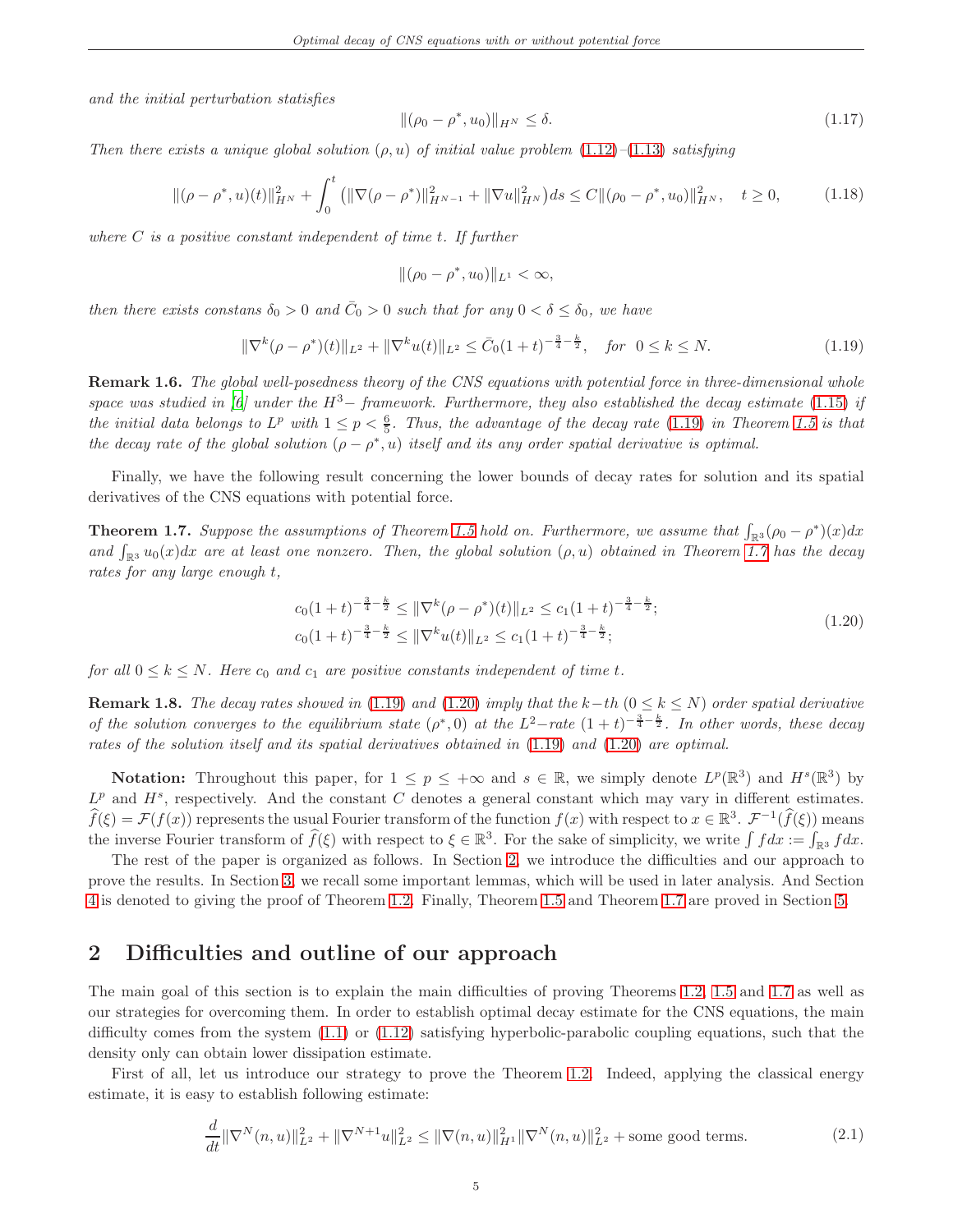and the initial perturbation statisfies

<span id="page-4-6"></span>
$$
\|(\rho_0 - \rho^*, u_0)\|_{H^N} \le \delta. \tag{1.17}
$$

<span id="page-4-5"></span>Then there exists a unique global solution  $(\rho, u)$  of initial value problem  $(1.12)$ – $(1.13)$  satisfying

$$
\|(\rho - \rho^*, u)(t)\|_{H^N}^2 + \int_0^t \left( \|\nabla(\rho - \rho^*)\|_{H^{N-1}}^2 + \|\nabla u\|_{H^N}^2 \right) ds \le C \|\rho_0 - \rho^*, u_0\|_{H^N}^2, \quad t \ge 0,
$$
\n(1.18)

where  $C$  is a positive constant independent of time  $t$ . If further

$$
\|(\rho_0 - \rho^*, u_0)\|_{L^1} < \infty,
$$

then there exists constans  $\delta_0 > 0$  and  $\bar{C}_0 > 0$  such that for any  $0 < \delta \leq \delta_0$ , we have

<span id="page-4-2"></span>
$$
\|\nabla^k(\rho - \rho^*)(t)\|_{L^2} + \|\nabla^k u(t)\|_{L^2} \le \bar{C}_0 (1+t)^{-\frac{3}{4} - \frac{k}{2}}, \quad \text{for } 0 \le k \le N. \tag{1.19}
$$

Remark 1.6. The global well-posedness theory of the CNS equations with potential force in three-dimensional whole space was studied in [\[6\]](#page-37-5) under the  $H^3$ -framework. Furthermore, they also established the decay estimate [\(1.15\)](#page-3-2) if the initial data belongs to  $L^p$  with  $1 \le p < \frac{6}{5}$ . Thus, the advantage of the decay rate [\(1.19\)](#page-4-2) in Theorem [1.5](#page-3-0) is that the decay rate of the global solution  $(\rho - \rho^*, u)$  itself and its any order spatial derivative is optimal.

Finally, we have the following result concerning the lower bounds of decay rates for solution and its spatial derivatives of the CNS equations with potential force.

<span id="page-4-1"></span>**Theorem 1.7.** Suppose the assumptions of Theorem [1.5](#page-3-0) hold on. Furthermore, we assume that  $\int_{\mathbb{R}^3} (\rho_0 - \rho^*)(x) dx$ and  $\int_{\mathbb{R}^3} u_0(x) dx$  are at least one nonzero. Then, the global solution  $(\rho, u)$  obtained in Theorem [1.7](#page-4-1) has the decay rates for any large enough t,

<span id="page-4-3"></span>
$$
c_0(1+t)^{-\frac{3}{4}-\frac{k}{2}} \le \|\nabla^k(\rho-\rho^*)(t)\|_{L^2} \le c_1(1+t)^{-\frac{3}{4}-\frac{k}{2}};
$$
  
\n
$$
c_0(1+t)^{-\frac{3}{4}-\frac{k}{2}} \le \|\nabla^k u(t)\|_{L^2} \le c_1(1+t)^{-\frac{3}{4}-\frac{k}{2}};
$$
\n(1.20)

for all  $0 \leq k \leq N$ . Here  $c_0$  and  $c_1$  are positive constants independent of time t.

**Remark 1.8.** The decay rates showed in [\(1.19\)](#page-4-2) and [\(1.20\)](#page-4-3) imply that the k−th ( $0 \le k \le N$ ) order spatial derivative of the solution converges to the equilibrium state  $(\rho^*,0)$  at the  $L^2$ -rate  $(1+t)^{-\frac{3}{4}-\frac{k}{2}}$ . In other words, these decay rates of the solution itself and its spatial derivatives obtained in [\(1.19\)](#page-4-2) and [\(1.20\)](#page-4-3) are optimal.

**Notation:** Throughout this paper, for  $1 \leq p \leq +\infty$  and  $s \in \mathbb{R}$ , we simply denote  $L^p(\mathbb{R}^3)$  and  $H^s(\mathbb{R}^3)$  by  $L^p$  and  $H^s$ , respectively. And the constant C denotes a general constant which may vary in different estimates.  $\widehat{f}(\xi) = \mathcal{F}(f(x))$  represents the usual Fourier transform of the function  $f(x)$  with respect to  $x \in \mathbb{R}^3$ .  $\mathcal{F}^{-1}(\widehat{f}(\xi))$  means the inverse Fourier transform of  $\widehat{f}(\xi)$  with respect to  $\xi \in \mathbb{R}^3$ . For the sake of simplicity, we write  $\int f dx := \int_{\mathbb{R}^3} f dx$ .

The rest of the paper is organized as follows. In Section [2,](#page-4-0) we introduce the difficulties and our approach to prove the results. In Section [3,](#page-6-0) we recall some important lemmas, which will be used in later analysis. And Section [4](#page-7-0) is denoted to giving the proof of Theorem [1.2.](#page-2-0) Finally, Theorem [1.5](#page-3-0) and Theorem [1.7](#page-4-1) are proved in Section [5.](#page-11-0)

### <span id="page-4-0"></span>2 Difficulties and outline of our approach

The main goal of this section is to explain the main difficulties of proving Theorems [1.2,](#page-2-0) [1.5](#page-3-0) and [1.7](#page-4-1) as well as our strategies for overcoming them. In order to establish optimal decay estimate for the CNS equations, the main difficulty comes from the system [\(1.1\)](#page-1-0) or [\(1.12\)](#page-3-1) satisfying hyperbolic-parabolic coupling equations, such that the density only can obtain lower dissipation estimate.

<span id="page-4-4"></span>First of all, let us introduce our strategy to prove the Theorem [1.2.](#page-2-0) Indeed, applying the classical energy estimate, it is easy to establish following estimate:

$$
\frac{d}{dt} \|\nabla^N(n, u)\|_{L^2}^2 + \|\nabla^{N+1} u\|_{L^2}^2 \le \|\nabla(n, u)\|_{H^1}^2 \|\nabla^N(n, u)\|_{L^2}^2 + \text{some good terms.} \tag{2.1}
$$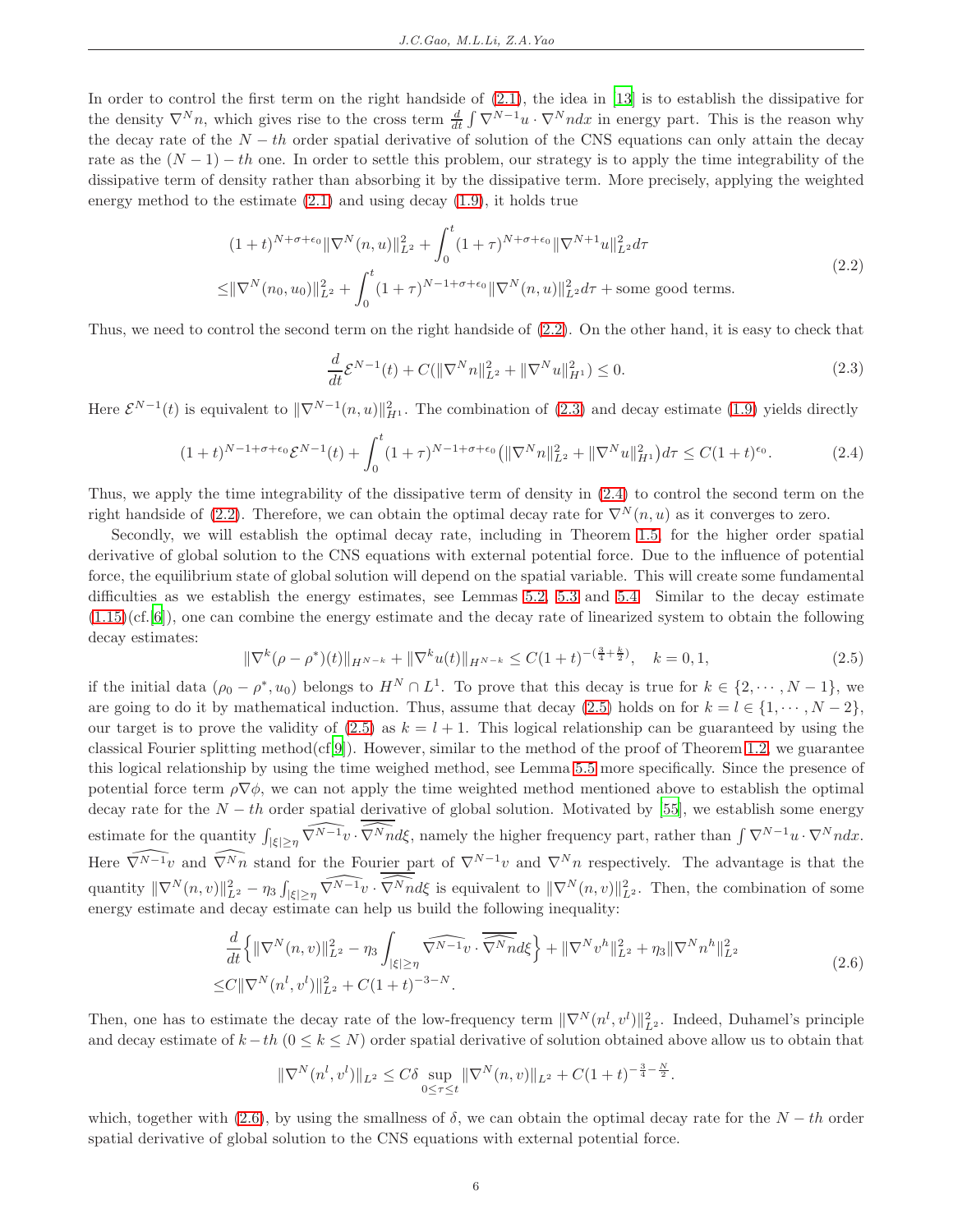In order to control the first term on the right handside of [\(2.1\)](#page-4-4), the idea in [\[13\]](#page-38-0) is to establish the dissipative for the density  $\nabla^N n$ , which gives rise to the cross term  $\frac{d}{dt} \int \nabla^{N-1} u \cdot \nabla^N n dx$  in energy part. This is the reason why the decay rate of the  $N - th$  order spatial derivative of solution of the CNS equations can only attain the decay rate as the  $(N-1) - th$  one. In order to settle this problem, our strategy is to apply the time integrability of the dissipative term of density rather than absorbing it by the dissipative term. More precisely, applying the weighted energy method to the estimate  $(2.1)$  and using decay  $(1.9)$ , it holds true

$$
(1+t)^{N+\sigma+\epsilon_0} \|\nabla^N(n,u)\|_{L^2}^2 + \int_0^t (1+\tau)^{N+\sigma+\epsilon_0} \|\nabla^{N+1}u\|_{L^2}^2 d\tau
$$
  

$$
\leq \|\nabla^N(n_0, u_0)\|_{L^2}^2 + \int_0^t (1+\tau)^{N-1+\sigma+\epsilon_0} \|\nabla^N(n,u)\|_{L^2}^2 d\tau + \text{some good terms.}
$$
 (2.2)

<span id="page-5-1"></span><span id="page-5-0"></span>Thus, we need to control the second term on the right handside of [\(2.2\)](#page-5-0). On the other hand, it is easy to check that

$$
\frac{d}{dt}\mathcal{E}^{N-1}(t) + C(||\nabla^N n||_{L^2}^2 + ||\nabla^N u||_{H^1}^2) \le 0.
$$
\n(2.3)

Here  $\mathcal{E}^{N-1}(t)$  is equivalent to  $\|\nabla^{N-1}(n,u)\|_{H^1}^2$ . The combination of [\(2.3\)](#page-5-1) and decay estimate [\(1.9\)](#page-2-4) yields directly

<span id="page-5-2"></span>
$$
(1+t)^{N-1+\sigma+\epsilon_0} \mathcal{E}^{N-1}(t) + \int_0^t (1+\tau)^{N-1+\sigma+\epsilon_0} \left( \|\nabla^N n\|_{L^2}^2 + \|\nabla^N u\|_{H^1}^2 \right) d\tau \le C(1+t)^{\epsilon_0}.
$$
 (2.4)

Thus, we apply the time integrability of the dissipative term of density in [\(2.4\)](#page-5-2) to control the second term on the right handside of [\(2.2\)](#page-5-0). Therefore, we can obtain the optimal decay rate for  $\nabla^{N}(n, u)$  as it converges to zero.

Secondly, we will establish the optimal decay rate, including in Theorem [1.5,](#page-3-0) for the higher order spatial derivative of global solution to the CNS equations with external potential force. Due to the influence of potential force, the equilibrium state of global solution will depend on the spatial variable. This will create some fundamental difficulties as we establish the energy estimates, see Lemmas [5.2,](#page-12-0) [5.3](#page-17-0) and [5.4.](#page-23-0) Similar to the decay estimate [\(1.15\)](#page-3-2)(cf.[\[6](#page-37-5)]), one can combine the energy estimate and the decay rate of linearized system to obtain the following decay estimates:

<span id="page-5-3"></span>
$$
\|\nabla^{k}(\rho - \rho^{*})(t)\|_{H^{N-k}} + \|\nabla^{k}u(t)\|_{H^{N-k}} \leq C(1+t)^{-(\frac{3}{4} + \frac{k}{2})}, \quad k = 0, 1,
$$
\n(2.5)

if the initial data  $(\rho_0 - \rho^*, u_0)$  belongs to  $H^N \cap L^1$ . To prove that this decay is true for  $k \in \{2, \dots, N-1\}$ , we are going to do it by mathematical induction. Thus, assume that decay [\(2.5\)](#page-5-3) holds on for  $k = l \in \{1, \dots, N-2\}$ , our target is to prove the validity of  $(2.5)$  as  $k = l + 1$ . This logical relationship can be guaranteed by using the classical Fourier splitting method $(cf[9])$  $(cf[9])$  $(cf[9])$ . However, similar to the method of the proof of Theorem [1.2,](#page-2-0) we guarantee this logical relationship by using the time weighed method, see Lemma [5.5](#page-24-1) more specifically. Since the presence of potential force term  $\rho \nabla \phi$ , we can not apply the time weighted method mentioned above to establish the optimal decay rate for the  $N-th$  order spatial derivative of global solution. Motivated by [\[55](#page-40-6)], we establish some energy estimate for the quantity  $\int_{|\xi|\geq \eta} \widehat{\nabla^{N-1}v} \cdot \widehat{\nabla^N n}d\xi$ , namely the higher frequency part, rather than  $\int \nabla^{N-1}u \cdot \nabla^N n dx$ . Here  $\widehat{\nabla^{N-1}v}$  and  $\widehat{\nabla^{N}n}$  stand for the Fourier part of  $\nabla^{N-1}v$  and  $\nabla^{N}n$  respectively. The advantage is that the quantity  $\|\nabla^N(n,v)\|_{L^2}^2 - \eta_3 \int_{|\xi|\geq \eta} \widehat{\nabla^{N-1}v} \cdot \widehat{\nabla^N n} d\xi$  is equivalent to  $\|\nabla^N(n,v)\|_{L^2}^2$ . Then, the combination of some energy estimate and decay estimate can help us build the following inequality:

$$
\frac{d}{dt}\left\{\|\nabla^{N}(n,v)\|_{L^{2}}^{2}-\eta_{3}\int_{|\xi|\geq \eta} \widehat{\nabla^{N-1}v}\cdot\overline{\widehat{\nabla^{N}n}}d\xi\right\}+\|\nabla^{N}v^{h}\|_{L^{2}}^{2}+\eta_{3}\|\nabla^{N}n^{h}\|_{L^{2}}^{2}
$$
\n
$$
\leq C\|\nabla^{N}(n^{l},v^{l})\|_{L^{2}}^{2}+C(1+t)^{-3-N}.\tag{2.6}
$$

<span id="page-5-4"></span>Then, one has to estimate the decay rate of the low-frequency term  $\|\nabla^N(n^l, v^l)\|_{L^2}^2$ . Indeed, Duhamel's principle and decay estimate of  $k - th$  ( $0 \le k \le N$ ) order spatial derivative of solution obtained above allow us to obtain that

$$
\|\nabla^N(n^l, v^l)\|_{L^2} \le C\delta \sup_{0 \le \tau \le t} \|\nabla^N(n, v)\|_{L^2} + C(1+t)^{-\frac{3}{4}-\frac{N}{2}}.
$$

which, together with [\(2.6\)](#page-5-4), by using the smallness of  $\delta$ , we can obtain the optimal decay rate for the  $N - th$  order spatial derivative of global solution to the CNS equations with external potential force.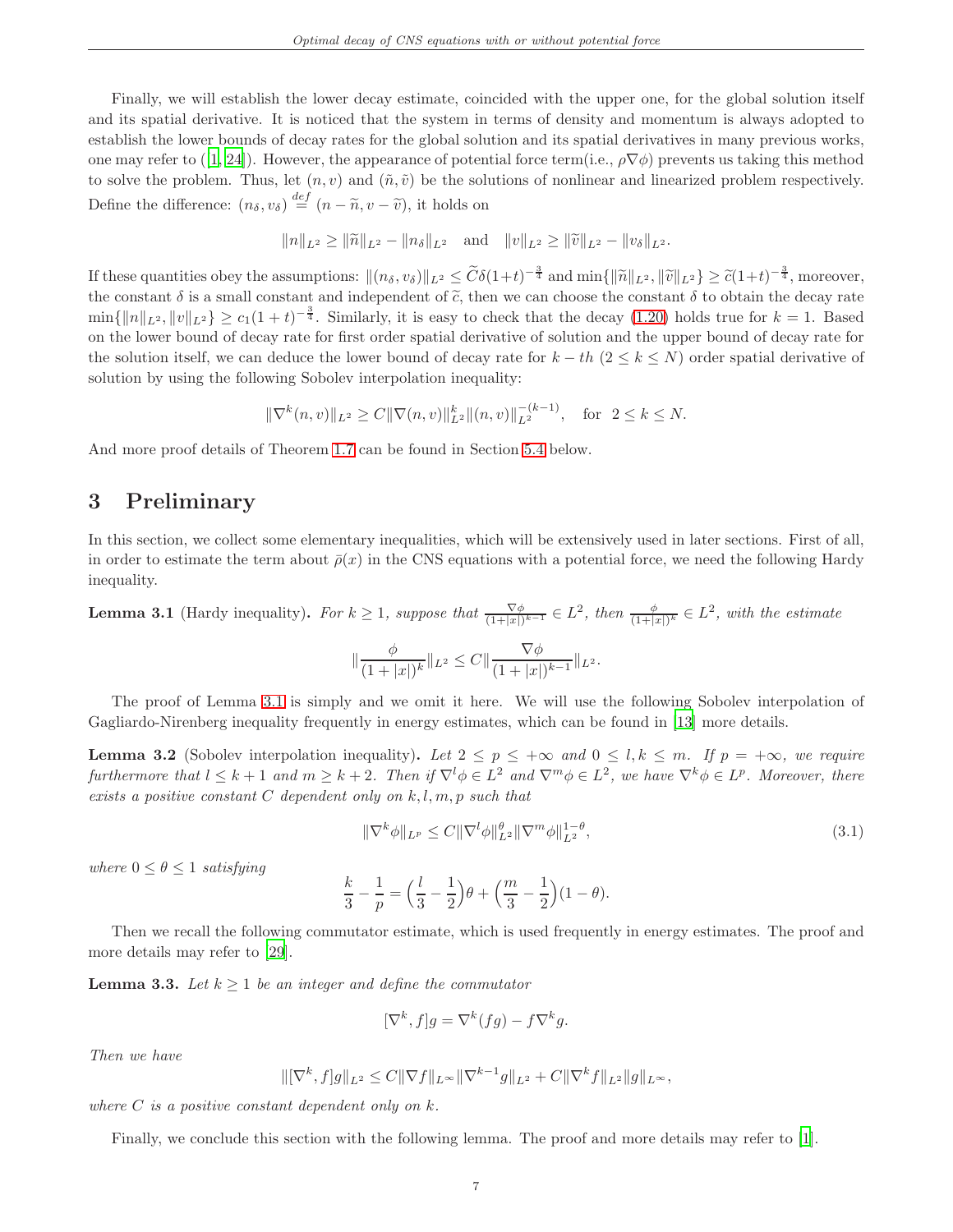Finally, we will establish the lower decay estimate, coincided with the upper one, for the global solution itself and its spatial derivative. It is noticed that the system in terms of density and momentum is always adopted to establish the lower bounds of decay rates for the global solution and its spatial derivatives in many previous works, one may refer to ([\[1](#page-37-3), [24\]](#page-38-15)). However, the appearance of potential force term(i.e.,  $\rho \nabla \phi$ ) prevents us taking this method to solve the problem. Thus, let  $(n, v)$  and  $(\tilde{n}, \tilde{v})$  be the solutions of nonlinear and linearized problem respectively. Define the difference:  $(n_{\delta}, v_{\delta}) \stackrel{def}{=} (n - \tilde{n}, v - \tilde{v})$ , it holds on

$$
||n||_{L^2} \ge ||\widetilde{n}||_{L^2} - ||n_{\delta}||_{L^2}
$$
 and  $||v||_{L^2} \ge ||\widetilde{v}||_{L^2} - ||v_{\delta}||_{L^2}$ .

If these quantities obey the assumptions:  $\|(n_\delta, v_\delta)\|_{L^2} \leq \widetilde{C}\delta(1+t)^{-\frac{3}{4}}$  and  $\min\{\|\widetilde{n}\|_{L^2}, \|\widetilde{v}\|_{L^2}\} \geq \widetilde{c}(1+t)^{-\frac{3}{4}}$ , moreover, the constant  $\delta$  is a small constant and independent of  $\tilde{c}$ , then we can choose the constant  $\delta$  to obtain the decay rate  $\min\{\|n\|_{L^2}, \|v\|_{L^2}\} \ge c_1(1+t)^{-\frac{3}{4}}$ . Similarly, it is easy to check that the decay [\(1.20\)](#page-4-3) holds true for  $k=1$ . Based on the lower bound of decay rate for first order spatial derivative of solution and the upper bound of decay rate for the solution itself, we can deduce the lower bound of decay rate for  $k - th$  ( $2 \le k \le N$ ) order spatial derivative of solution by using the following Sobolev interpolation inequality:

$$
\|\nabla^k(n,v)\|_{L^2} \ge C \|\nabla(n,v)\|_{L^2}^k \|(n,v)\|_{L^2}^{-(k-1)}, \text{ for } 2 \le k \le N.
$$

<span id="page-6-0"></span>And more proof details of Theorem [1.7](#page-4-1) can be found in Section [5.4](#page-35-0) below.

# 3 Preliminary

In this section, we collect some elementary inequalities, which will be extensively used in later sections. First of all, in order to estimate the term about  $\bar{\rho}(x)$  in the CNS equations with a potential force, we need the following Hardy inequality.

<span id="page-6-1"></span>**Lemma 3.1** (Hardy inequality). For  $k \geq 1$ , suppose that  $\frac{\nabla \phi}{(1+|x|)^{k-1}} \in L^2$ , then  $\frac{\phi}{(1+|x|)^k} \in L^2$ , with the estimate

$$
\|\frac{\phi}{(1+|x|)^k}\|_{L^2}\leq C\|\frac{\nabla\phi}{(1+|x|)^{k-1}}\|_{L^2}.
$$

The proof of Lemma [3.1](#page-6-1) is simply and we omit it here. We will use the following Sobolev interpolation of Gagliardo-Nirenberg inequality frequently in energy estimates, which can be found in [\[13\]](#page-38-0) more details.

<span id="page-6-4"></span>**Lemma 3.2** (Sobolev interpolation inequality). Let  $2 \le p \le +\infty$  and  $0 \le l, k \le m$ . If  $p = +\infty$ , we require furthermore that  $l \leq k+1$  and  $m \geq k+2$ . Then if  $\nabla^l \phi \in L^2$  and  $\nabla^m \phi \in L^2$ , we have  $\nabla^k \phi \in L^p$ . Moreover, there exists a positive constant  $C$  dependent only on  $k, l, m, p$  such that

<span id="page-6-3"></span>
$$
\|\nabla^k \phi\|_{L^p} \le C \|\nabla^l \phi\|_{L^2}^{\theta} \|\nabla^m \phi\|_{L^2}^{1-\theta},\tag{3.1}
$$

where  $0 \leq \theta \leq 1$  satisfying

$$
\frac{k}{3} - \frac{1}{p} = \left(\frac{l}{3} - \frac{1}{2}\right)\theta + \left(\frac{m}{3} - \frac{1}{2}\right)(1 - \theta).
$$

Then we recall the following commutator estimate, which is used frequently in energy estimates. The proof and more details may refer to [\[29\]](#page-39-18).

<span id="page-6-2"></span>**Lemma 3.3.** Let  $k \geq 1$  be an integer and define the commutator

$$
[\nabla^k, f]g = \nabla^k(fg) - f\nabla^k g.
$$

Then we have

$$
\|[\nabla^k, f]g\|_{L^2} \leq C\|\nabla f\|_{L^\infty} \|\nabla^{k-1}g\|_{L^2} + C\|\nabla^k f\|_{L^2} \|g\|_{L^\infty},
$$

where  $C$  is a positive constant dependent only on  $k$ .

Finally, we conclude this section with the following lemma. The proof and more details may refer to [\[1\]](#page-37-3).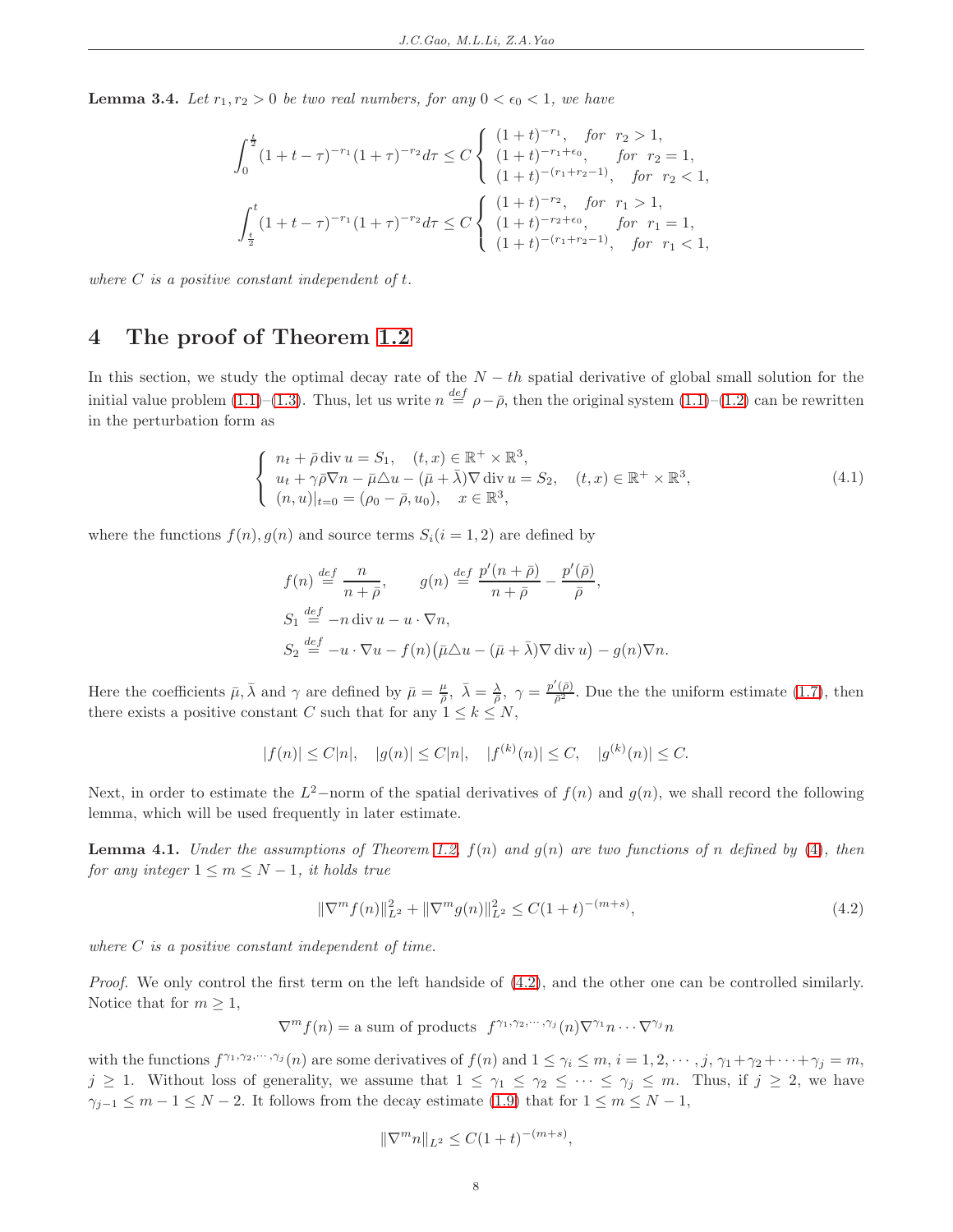<span id="page-7-4"></span>**Lemma 3.4.** Let  $r_1, r_2 > 0$  be two real numbers, for any  $0 < \epsilon_0 < 1$ , we have

$$
\int_0^{\frac{t}{2}} (1+t-\tau)^{-r_1} (1+\tau)^{-r_2} d\tau \le C \begin{cases} (1+t)^{-r_1}, & \text{for } r_2 > 1, \\ (1+t)^{-r_1+\epsilon_0}, & \text{for } r_2 = 1, \\ (1+t)^{-(r_1+r_2-1)}, & \text{for } r_2 < 1, \end{cases}
$$

$$
\int_{\frac{t}{2}}^t (1+t-\tau)^{-r_1} (1+\tau)^{-r_2} d\tau \le C \begin{cases} (1+t)^{-r_2}, & \text{for } r_1 > 1, \\ (1+t)^{-r_2+\epsilon_0}, & \text{for } r_1 = 1, \\ (1+t)^{-(r_1+r_2-1)}, & \text{for } r_1 < 1, \end{cases}
$$

<span id="page-7-0"></span>where  $C$  is a positive constant independent of  $t$ .

# 4 The proof of Theorem [1.2](#page-2-0)

In this section, we study the optimal decay rate of the  $N - th$  spatial derivative of global small solution for the initial value problem [\(1.1\)](#page-1-0)–[\(1.3\)](#page-1-2). Thus, let us write  $n \stackrel{def}{=} \rho - \bar{\rho}$ , then the original system (1.1)–[\(1.2\)](#page-1-4) can be rewritten in the perturbation form as

<span id="page-7-1"></span>
$$
\begin{cases}\n n_t + \bar{\rho} \operatorname{div} u = S_1, \quad (t, x) \in \mathbb{R}^+ \times \mathbb{R}^3, \\
 u_t + \gamma \bar{\rho} \nabla n - \bar{\mu} \triangle u - (\bar{\mu} + \bar{\lambda}) \nabla \operatorname{div} u = S_2, \quad (t, x) \in \mathbb{R}^+ \times \mathbb{R}^3, \\
 (n, u)|_{t=0} = (\rho_0 - \bar{\rho}, u_0), \quad x \in \mathbb{R}^3,\n\end{cases} \tag{4.1}
$$

where the functions  $f(n)$ ,  $g(n)$  and source terms  $S_i(i = 1, 2)$  are defined by

$$
f(n) \stackrel{def}{=} \frac{n}{n+\bar{\rho}}, \qquad g(n) \stackrel{def}{=} \frac{p'(n+\bar{\rho})}{n+\bar{\rho}} - \frac{p'(\bar{\rho})}{\bar{\rho}},
$$
  
\n
$$
S_1 \stackrel{def}{=} -n \operatorname{div} u - u \cdot \nabla n,
$$
  
\n
$$
S_2 \stackrel{def}{=} -u \cdot \nabla u - f(n) \big( \bar{\mu} \Delta u - (\bar{\mu} + \bar{\lambda}) \nabla \operatorname{div} u \big) - g(n) \nabla n.
$$

Here the coefficients  $\bar{\mu}, \bar{\lambda}$  and  $\gamma$  are defined by  $\bar{\mu} = \frac{\mu}{\bar{\rho}}, \ \bar{\lambda} = \frac{\lambda}{\bar{\rho}}, \ \gamma = \frac{p'(\bar{\rho})}{\bar{\rho}^2}$ . Due the the uniform estimate [\(1.7\)](#page-2-6), then there exists a positive constant C such that for any  $1 \leq k \leq N$ ,

$$
|f(n)| \le C|n|, \quad |g(n)| \le C|n|, \quad |f^{(k)}(n)| \le C, \quad |g^{(k)}(n)| \le C.
$$

Next, in order to estimate the  $L^2$ -norm of the spatial derivatives of  $f(n)$  and  $g(n)$ , we shall record the following lemma, which will be used frequently in later estimate.

<span id="page-7-3"></span>**Lemma 4.1.** Under the assumptions of Theorem [1.2,](#page-2-0)  $f(n)$  and  $g(n)$  are two functions of n defined by [\(4\)](#page-7-1), then for any integer  $1 \leq m \leq N-1$ , it holds true

<span id="page-7-2"></span>
$$
\|\nabla^m f(n)\|_{L^2}^2 + \|\nabla^m g(n)\|_{L^2}^2 \le C(1+t)^{-(m+s)},\tag{4.2}
$$

where  $C$  is a positive constant independent of time.

Proof. We only control the first term on the left handside of  $(4.2)$ , and the other one can be controlled similarly. Notice that for  $m \geq 1$ ,

$$
\nabla^m f(n) = \text{a sum of products } f^{\gamma_1, \gamma_2, \cdots, \gamma_j}(n) \nabla^{\gamma_1} n \cdots \nabla^{\gamma_j} n
$$

with the functions  $f^{\gamma_1,\gamma_2,\cdots,\gamma_j}(n)$  are some derivatives of  $f(n)$  and  $1 \leq \gamma_i \leq m$ ,  $i = 1, 2, \cdots, j$ ,  $\gamma_1 + \gamma_2 + \cdots + \gamma_j = m$ ,  $j \geq 1$ . Without loss of generality, we assume that  $1 \leq \gamma_1 \leq \gamma_2 \leq \cdots \leq \gamma_j \leq m$ . Thus, if  $j \geq 2$ , we have  $\gamma_{j-1} \leq m-1 \leq N-2$ . It follows from the decay estimate [\(1.9\)](#page-2-4) that for  $1 \leq m \leq N-1$ ,

$$
\|\nabla^m n\|_{L^2} \le C(1+t)^{-(m+s)},
$$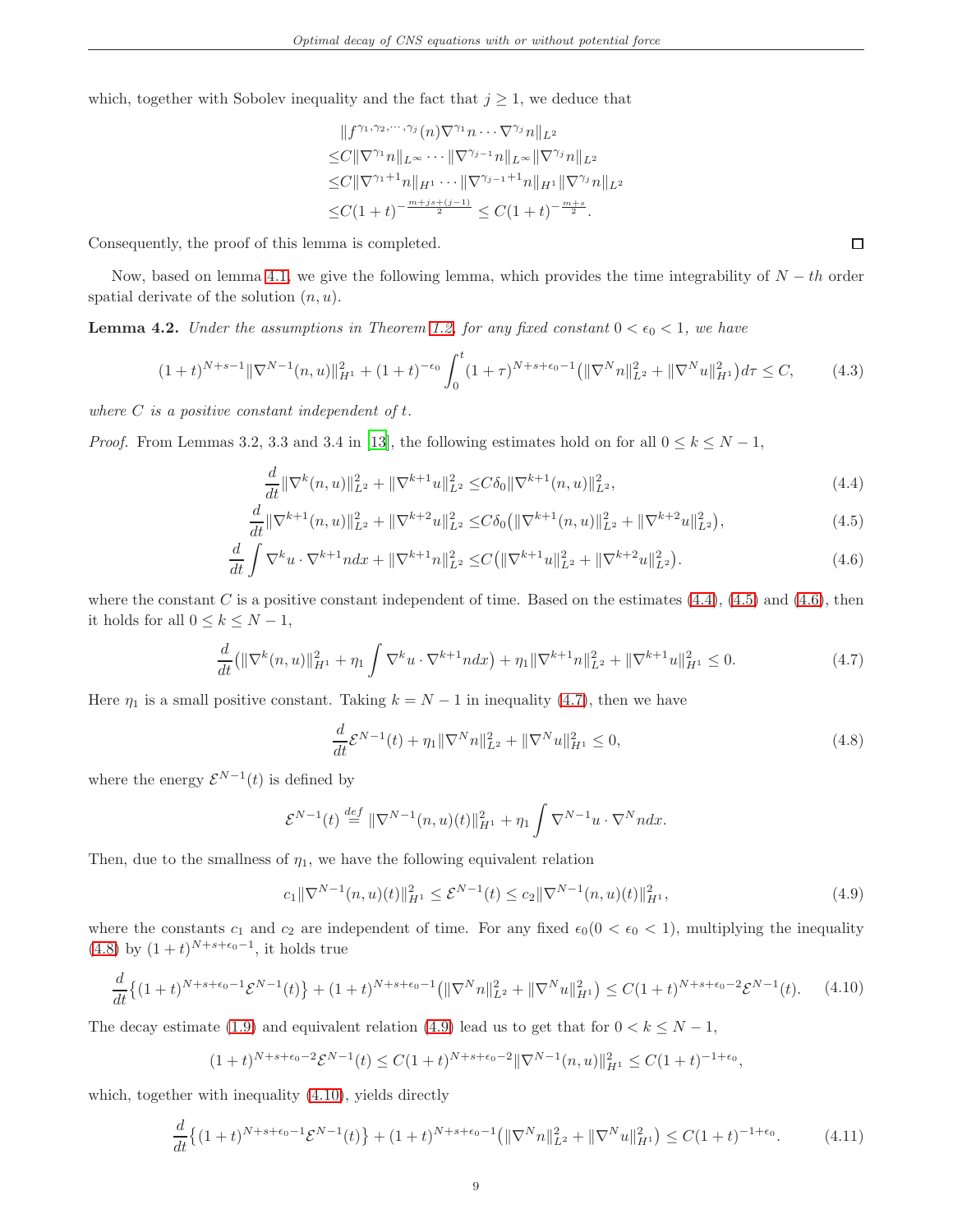which, together with Sobolev inequality and the fact that  $j \geq 1$ , we deduce that

$$
||f^{\gamma_1, \gamma_2, \cdots, \gamma_j}(n)\nabla^{\gamma_1} n \cdots \nabla^{\gamma_j} n||_{L^2}
$$
  
\n
$$
\leq C||\nabla^{\gamma_1} n||_{L^\infty} \cdots ||\nabla^{\gamma_{j-1}} n||_{L^\infty} ||\nabla^{\gamma_j} n||_{L^2}
$$
  
\n
$$
\leq C||\nabla^{\gamma_1+1} n||_{H^1} \cdots ||\nabla^{\gamma_{j-1}+1} n||_{H^1} ||\nabla^{\gamma_j} n||_{L^2}
$$
  
\n
$$
\leq C(1+t)^{-\frac{m+j_s+(j-1)}{2}} \leq C(1+t)^{-\frac{m+s}{2}}.
$$

Consequently, the proof of this lemma is completed.

Now, based on lemma [4.1,](#page-7-3) we give the following lemma, which provides the time integrability of  $N - th$  order spatial derivate of the solution  $(n, u)$ .

<span id="page-8-9"></span>**Lemma 4.2.** Under the assumptions in Theorem [1.2,](#page-2-0) for any fixed constant  $0 < \epsilon_0 < 1$ , we have

<span id="page-8-8"></span>
$$
(1+t)^{N+s-1} \|\nabla^{N-1}(n,u)\|_{H^1}^2 + (1+t)^{-\epsilon_0} \int_0^t (1+\tau)^{N+s+\epsilon_0-1} \left( \|\nabla^N n\|_{L^2}^2 + \|\nabla^N u\|_{H^1}^2 \right) d\tau \le C,\tag{4.3}
$$

where  $C$  is a positive constant independent of  $t$ .

*Proof.* From Lemmas 3.2, 3.3 and 3.4 in [\[13](#page-38-0)], the following estimates hold on for all  $0 \le k \le N - 1$ ,

$$
\frac{d}{dt} \|\nabla^{k}(n, u)\|_{L^{2}}^{2} + \|\nabla^{k+1} u\|_{L^{2}}^{2} \leq C\delta_{0} \|\nabla^{k+1}(n, u)\|_{L^{2}}^{2},\tag{4.4}
$$

$$
\frac{d}{dt} \|\nabla^{k+1}(n, u)\|_{L^2}^2 + \|\nabla^{k+2} u\|_{L^2}^2 \leq C\delta_0 \left(\|\nabla^{k+1}(n, u)\|_{L^2}^2 + \|\nabla^{k+2} u\|_{L^2}^2\right),\tag{4.5}
$$

$$
\frac{d}{dt}\int \nabla^k u \cdot \nabla^{k+1} n dx + \|\nabla^{k+1} n\|_{L^2}^2 \leq C \left( \|\nabla^{k+1} u\|_{L^2}^2 + \|\nabla^{k+2} u\|_{L^2}^2 \right). \tag{4.6}
$$

where the constant C is a positive constant independent of time. Based on the estimates  $(4.4)$ ,  $(4.5)$  and  $(4.6)$ , then it holds for all  $0 \leq k \leq N-1$ ,

$$
\frac{d}{dt}(\|\nabla^k(n,u)\|_{H^1}^2 + \eta_1 \int \nabla^k u \cdot \nabla^{k+1} n dx) + \eta_1 \|\nabla^{k+1} n\|_{L^2}^2 + \|\nabla^{k+1} u\|_{H^1}^2 \le 0. \tag{4.7}
$$

<span id="page-8-3"></span>Here  $\eta_1$  is a small positive constant. Taking  $k = N - 1$  in inequality [\(4.7\)](#page-8-3), then we have

<span id="page-8-4"></span>
$$
\frac{d}{dt}\mathcal{E}^{N-1}(t) + \eta_1 \|\nabla^N n\|_{L^2}^2 + \|\nabla^N u\|_{H^1}^2 \le 0,
$$
\n(4.8)

where the energy  $\mathcal{E}^{N-1}(t)$  is defined by

$$
\mathcal{E}^{N-1}(t) \stackrel{def}{=} \|\nabla^{N-1}(n, u)(t)\|_{H^1}^2 + \eta_1 \int \nabla^{N-1} u \cdot \nabla^N n dx.
$$

Then, due to the smallness of  $\eta_1$ , we have the following equivalent relation

<span id="page-8-5"></span>
$$
c_1 \|\nabla^{N-1}(n, u)(t)\|_{H^1}^2 \le \mathcal{E}^{N-1}(t) \le c_2 \|\nabla^{N-1}(n, u)(t)\|_{H^1}^2,
$$
\n(4.9)

where the constants  $c_1$  and  $c_2$  are independent of time. For any fixed  $\epsilon_0(0 < \epsilon_0 < 1)$ , multiplying the inequality  $(4.8)$  by  $(1 + t)^{N+s+\epsilon_0-1}$ , it holds true

<span id="page-8-6"></span>
$$
\frac{d}{dt}\left\{(1+t)^{N+s+\epsilon_0-1}\mathcal{E}^{N-1}(t)\right\} + (1+t)^{N+s+\epsilon_0-1} \left(\|\nabla^N n\|_{L^2}^2 + \|\nabla^N u\|_{H^1}^2\right) \le C(1+t)^{N+s+\epsilon_0-2}\mathcal{E}^{N-1}(t). \tag{4.10}
$$

The decay estimate [\(1.9\)](#page-2-4) and equivalent relation [\(4.9\)](#page-8-5) lead us to get that for  $0 < k \leq N - 1$ ,

$$
(1+t)^{N+s+\epsilon_0-2} \mathcal{E}^{N-1}(t) \le C(1+t)^{N+s+\epsilon_0-2} \|\nabla^{N-1}(n,u)\|_{H^1}^2 \le C(1+t)^{-1+\epsilon_0},
$$

which, together with inequality [\(4.10\)](#page-8-6), yields directly

<span id="page-8-7"></span>
$$
\frac{d}{dt}\left\{(1+t)^{N+s+\epsilon_0-1}\mathcal{E}^{N-1}(t)\right\} + (1+t)^{N+s+\epsilon_0-1} \left(\|\nabla^N n\|_{L^2}^2 + \|\nabla^N u\|_{H^1}^2\right) \le C(1+t)^{-1+\epsilon_0}.\tag{4.11}
$$

<span id="page-8-2"></span><span id="page-8-1"></span><span id="page-8-0"></span> $\Box$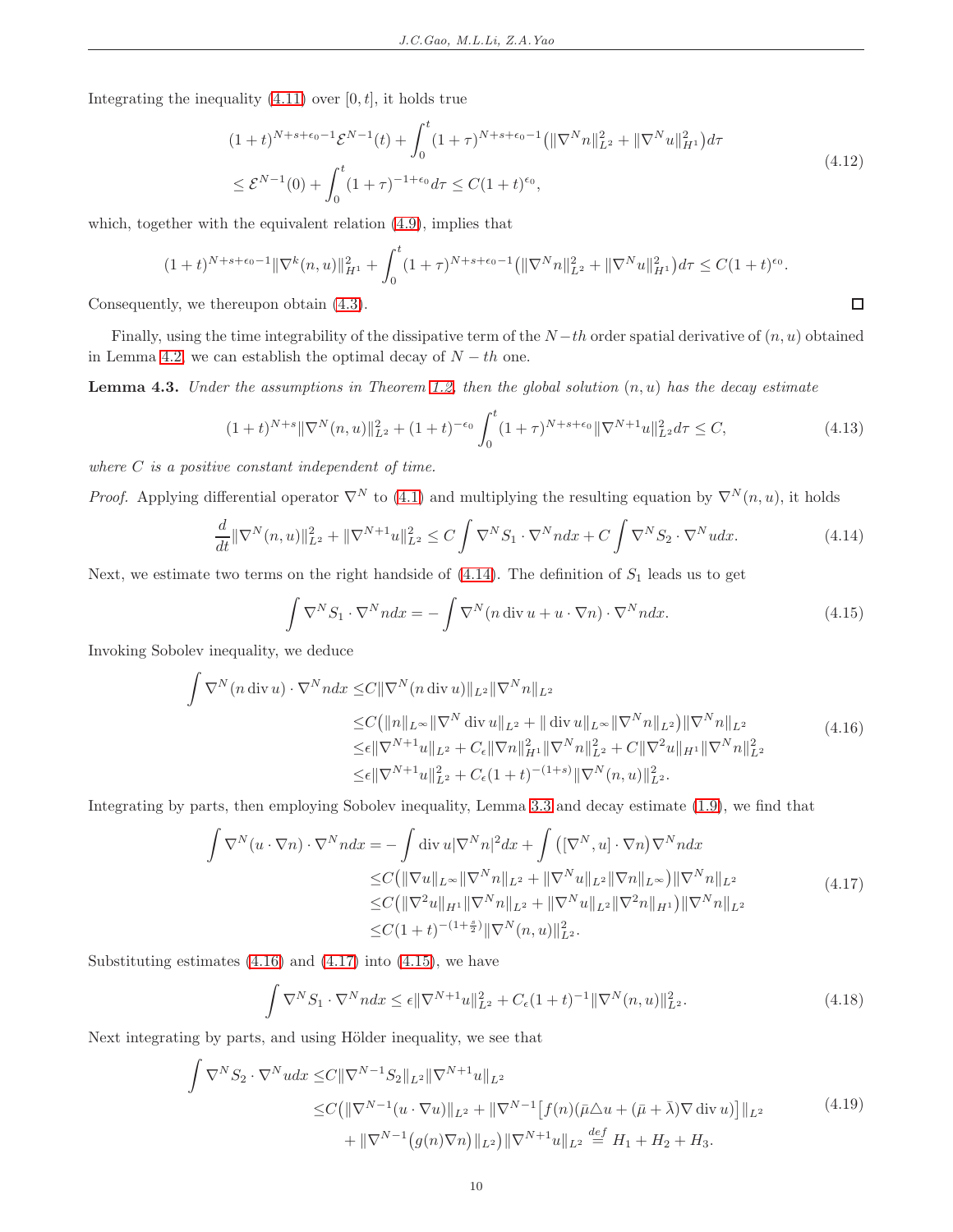Integrating the inequality  $(4.11)$  over  $[0, t]$ , it holds true

$$
(1+t)^{N+s+\epsilon_0-1} \mathcal{E}^{N-1}(t) + \int_0^t (1+\tau)^{N+s+\epsilon_0-1} \left( \|\nabla^N n\|_{L^2}^2 + \|\nabla^N u\|_{H^1}^2 \right) d\tau
$$
  
 
$$
\leq \mathcal{E}^{N-1}(0) + \int_0^t (1+\tau)^{-1+\epsilon_0} d\tau \leq C(1+t)^{\epsilon_0},
$$
\n(4.12)

which, together with the equivalent relation [\(4.9\)](#page-8-5), implies that

$$
(1+t)^{N+s+\epsilon_0-1} \|\nabla^k(n,u)\|_{H^1}^2 + \int_0^t (1+\tau)^{N+s+\epsilon_0-1} \left(\|\nabla^N n\|_{L^2}^2 + \|\nabla^N u\|_{H^1}^2\right) d\tau \le C(1+t)^{\epsilon_0}.
$$

Consequently, we thereupon obtain [\(4.3\)](#page-8-8).

Finally, using the time integrability of the dissipative term of the  $N-th$  order spatial derivative of  $(n, u)$  obtained in Lemma [4.2,](#page-8-9) we can establish the optimal decay of  $N - th$  one.

<span id="page-9-7"></span>**Lemma 4.3.** Under the assumptions in Theorem [1.2,](#page-2-0) then the global solution  $(n, u)$  has the decay estimate

<span id="page-9-6"></span>
$$
(1+t)^{N+s} \|\nabla^N(n,u)\|_{L^2}^2 + (1+t)^{-\epsilon_0} \int_0^t (1+\tau)^{N+s+\epsilon_0} \|\nabla^{N+1}u\|_{L^2}^2 d\tau \le C,
$$
\n(4.13)

 $\Box$ 

where  $C$  is a positive constant independent of time.

*Proof.* Applying differential operator  $\nabla^N$  to [\(4.1\)](#page-7-1) and multiplying the resulting equation by  $\nabla^N(n, u)$ , it holds

$$
\frac{d}{dt} \|\nabla^{N}(n, u)\|_{L^{2}}^{2} + \|\nabla^{N+1} u\|_{L^{2}}^{2} \le C \int \nabla^{N} S_{1} \cdot \nabla^{N} n dx + C \int \nabla^{N} S_{2} \cdot \nabla^{N} u dx.
$$
\n(4.14)

<span id="page-9-0"></span>Next, we estimate two terms on the right handside of  $(4.14)$ . The definition of  $S_1$  leads us to get

<span id="page-9-3"></span>
$$
\int \nabla^N S_1 \cdot \nabla^N n dx = -\int \nabla^N (n \operatorname{div} u + u \cdot \nabla n) \cdot \nabla^N n dx. \tag{4.15}
$$

<span id="page-9-1"></span>Invoking Sobolev inequality, we deduce

$$
\int \nabla^{N}(n \operatorname{div} u) \cdot \nabla^{N} n dx \leq C \|\nabla^{N}(n \operatorname{div} u)\|_{L^{2}} \|\nabla^{N} n\|_{L^{2}} \n\leq C (\|n\|_{L^{\infty}} \|\nabla^{N} \operatorname{div} u\|_{L^{2}} + \|\operatorname{div} u\|_{L^{\infty}} \|\nabla^{N} n\|_{L^{2}}) \|\nabla^{N} n\|_{L^{2}} \n\leq \epsilon \|\nabla^{N+1} u\|_{L^{2}} + C_{\epsilon} \|\nabla n\|_{H^{1}}^{2} \|\nabla^{N} n\|_{L^{2}}^{2} + C \|\nabla^{2} u\|_{H^{1}} \|\nabla^{N} n\|_{L^{2}}^{2} \n\leq \epsilon \|\nabla^{N+1} u\|_{L^{2}}^{2} + C_{\epsilon} (1+t)^{-(1+s)} \|\nabla^{N}(n, u)\|_{L^{2}}^{2}.
$$
\n(4.16)

<span id="page-9-2"></span>Integrating by parts, then employing Sobolev inequality, Lemma [3.3](#page-6-2) and decay estimate [\(1.9\)](#page-2-4), we find that

$$
\int \nabla^{N}(u \cdot \nabla n) \cdot \nabla^{N} n dx = -\int \text{div } u |\nabla^{N} n|^{2} dx + \int \left( [\nabla^{N}, u] \cdot \nabla n \right) \nabla^{N} n dx
$$
  
\n
$$
\leq C \left( \|\nabla u\|_{L^{\infty}} \|\nabla^{N} n\|_{L^{2}} + \|\nabla^{N} u\|_{L^{2}} \|\nabla n\|_{L^{\infty}} \right) \|\nabla^{N} n\|_{L^{2}}
$$
  
\n
$$
\leq C \left( \|\nabla^{2} u\|_{H^{1}} \|\nabla^{N} n\|_{L^{2}} + \|\nabla^{N} u\|_{L^{2}} \|\nabla^{2} n\|_{H^{1}} \right) \|\nabla^{N} n\|_{L^{2}}
$$
  
\n
$$
\leq C (1+t)^{-(1+\frac{s}{2})} \|\nabla^{N}(n, u)\|_{L^{2}}^{2}.
$$
\n(4.17)

Substituting estimates  $(4.16)$  and  $(4.17)$  into  $(4.15)$ , we have

$$
\int \nabla^N S_1 \cdot \nabla^N n dx \le \epsilon \|\nabla^{N+1} u\|_{L^2}^2 + C_{\epsilon} (1+t)^{-1} \|\nabla^N(n, u)\|_{L^2}^2.
$$
\n(4.18)

<span id="page-9-5"></span><span id="page-9-4"></span>Next integrating by parts, and using Hölder inequality, we see that

$$
\int \nabla^N S_2 \cdot \nabla^N u dx \leq C \|\nabla^{N-1} S_2\|_{L^2} \|\nabla^{N+1} u\|_{L^2}
$$
  
\n
$$
\leq C \left( \|\nabla^{N-1} (u \cdot \nabla u)\|_{L^2} + \|\nabla^{N-1} [f(n) (\bar{\mu} \Delta u + (\bar{\mu} + \bar{\lambda}) \nabla \operatorname{div} u)] \|_{L^2} + \|\nabla^{N-1} (g(n) \nabla n) \|_{L^2} \right) \|\nabla^{N+1} u\|_{L^2} \stackrel{def}{=} H_1 + H_2 + H_3. \tag{4.19}
$$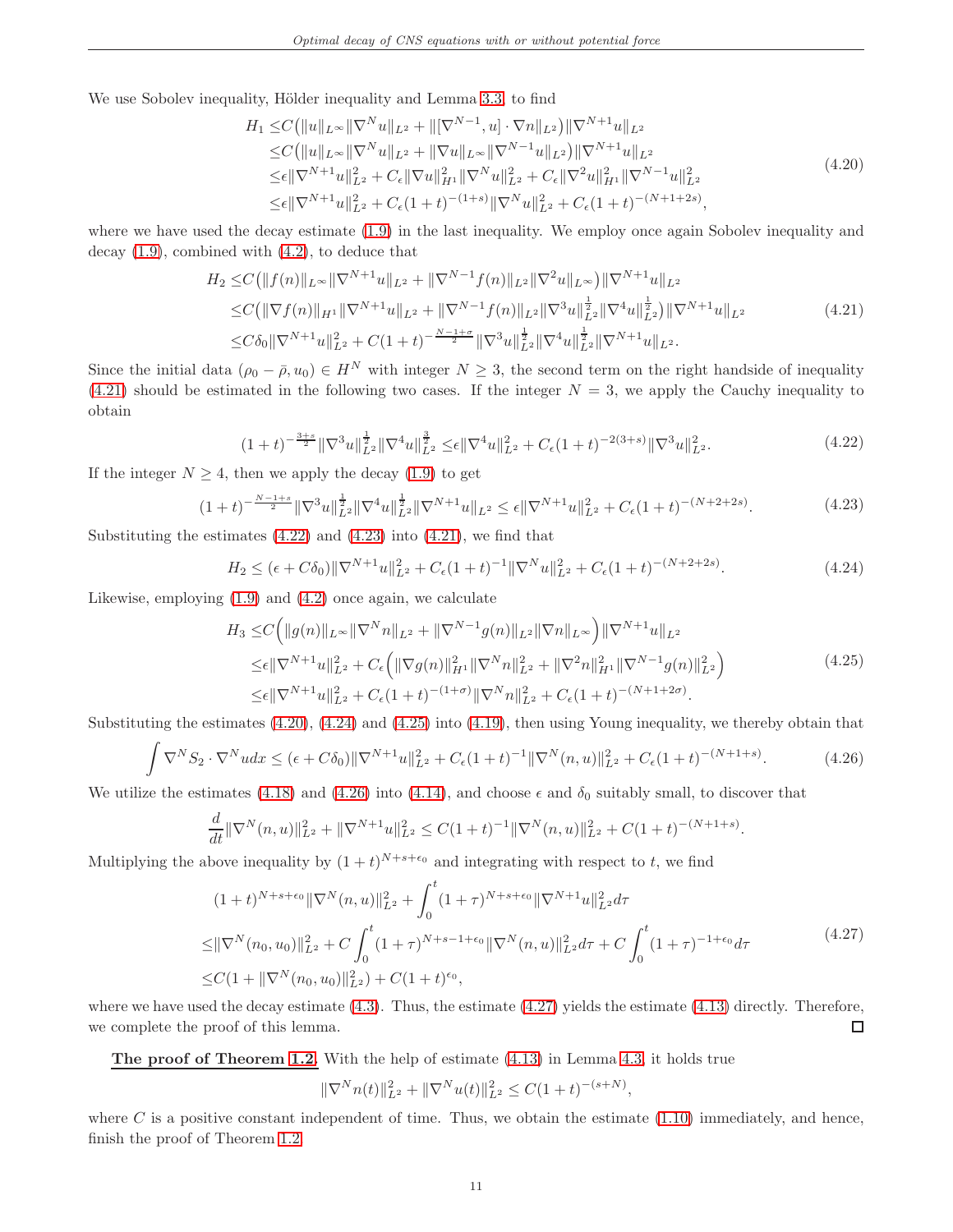<span id="page-10-3"></span>We use Sobolev inequality, Hölder inequality and Lemma [3.3,](#page-6-2) to find

$$
H_1 \leq C \left( \|u\|_{L^{\infty}} \|\nabla^N u\|_{L^2} + \|[\nabla^{N-1}, u] \cdot \nabla n\|_{L^2} \right) \|\nabla^{N+1} u\|_{L^2}
$$
  
\n
$$
\leq C \left( \|u\|_{L^{\infty}} \|\nabla^N u\|_{L^2} + \|\nabla u\|_{L^{\infty}} \|\nabla^{N-1} u\|_{L^2} \right) \|\nabla^{N+1} u\|_{L^2}
$$
  
\n
$$
\leq \epsilon \|\nabla^{N+1} u\|_{L^2}^2 + C_{\epsilon} \|\nabla u\|_{H^1}^2 \|\nabla^N u\|_{L^2}^2 + C_{\epsilon} \|\nabla^2 u\|_{H^1}^2 \|\nabla^{N-1} u\|_{L^2}^2
$$
  
\n
$$
\leq \epsilon \|\nabla^{N+1} u\|_{L^2}^2 + C_{\epsilon} (1+t)^{-(1+s)} \|\nabla^N u\|_{L^2}^2 + C_{\epsilon} (1+t)^{-(N+1+2s)},
$$
\n(4.20)

where we have used the decay estimate [\(1.9\)](#page-2-4) in the last inequality. We employ once again Sobolev inequality and decay [\(1.9\)](#page-2-4), combined with [\(4.2\)](#page-7-2), to deduce that

$$
H_2 \leq C \left( \|f(n)\|_{L^\infty} \|\nabla^{N+1} u\|_{L^2} + \|\nabla^{N-1} f(n)\|_{L^2} \|\nabla^2 u\|_{L^\infty} \right) \|\nabla^{N+1} u\|_{L^2}
$$
  
\n
$$
\leq C \left( \|\nabla f(n)\|_{H^1} \|\nabla^{N+1} u\|_{L^2} + \|\nabla^{N-1} f(n)\|_{L^2} \|\nabla^3 u\|_{L^2}^{\frac{1}{2}} \|\nabla^4 u\|_{L^2}^{\frac{1}{2}} \right) \|\nabla^{N+1} u\|_{L^2}
$$
  
\n
$$
\leq C \delta_0 \|\nabla^{N+1} u\|_{L^2}^2 + C(1+t)^{-\frac{N-1+\sigma}{2}} \|\nabla^3 u\|_{L^2}^{\frac{1}{2}} \|\nabla^4 u\|_{L^2}^{\frac{1}{2}} \|\nabla^{N+1} u\|_{L^2}.
$$
\n(4.21)

<span id="page-10-0"></span>Since the initial data  $(\rho_0 - \bar{\rho}, u_0) \in H^N$  with integer  $N \geq 3$ , the second term on the right handside of inequality  $(4.21)$  should be estimated in the following two cases. If the integer  $N = 3$ , we apply the Cauchy inequality to obtain

$$
(1+t)^{-\frac{3+s}{2}} \|\nabla^3 u\|_{L^2}^{\frac{1}{2}} \|\nabla^4 u\|_{L^2}^{\frac{3}{2}} \leq \epsilon \|\nabla^4 u\|_{L^2}^2 + C_{\epsilon} (1+t)^{-2(3+s)} \|\nabla^3 u\|_{L^2}^2. \tag{4.22}
$$

<span id="page-10-2"></span><span id="page-10-1"></span>If the integer  $N \geq 4$ , then we apply the decay [\(1.9\)](#page-2-4) to get

$$
(1+t)^{-\frac{N-1+s}{2}} \|\nabla^3 u\|_{L^2}^{\frac{1}{2}} \|\nabla^4 u\|_{L^2}^{\frac{1}{2}} \|\nabla^{N+1} u\|_{L^2} \le \epsilon \|\nabla^{N+1} u\|_{L^2}^2 + C_{\epsilon} (1+t)^{-(N+2+2s)}.
$$
\n(4.23)

<span id="page-10-4"></span>Substituting the estimates  $(4.22)$  and  $(4.23)$  into  $(4.21)$ , we find that

$$
H_2 \leq (\epsilon + C\delta_0) \|\nabla^{N+1}u\|_{L^2}^2 + C_{\epsilon}(1+t)^{-1} \|\nabla^N u\|_{L^2}^2 + C_{\epsilon}(1+t)^{-(N+2+2s)}.
$$
\n(4.24)

<span id="page-10-5"></span>Likewise, employing [\(1.9\)](#page-2-4) and [\(4.2\)](#page-7-2) once again, we calculate

$$
H_3 \leq C \left( \|g(n)\|_{L^\infty} \|\nabla^N n\|_{L^2} + \|\nabla^{N-1} g(n)\|_{L^2} \|\nabla n\|_{L^\infty} \right) \|\nabla^{N+1} u\|_{L^2}
$$
  
\n
$$
\leq \epsilon \|\nabla^{N+1} u\|_{L^2}^2 + C_{\epsilon} \left( \|\nabla g(n)\|_{H^1}^2 \|\nabla^N n\|_{L^2}^2 + \|\nabla^2 n\|_{H^1}^2 \|\nabla^{N-1} g(n)\|_{L^2}^2 \right)
$$
  
\n
$$
\leq \epsilon \|\nabla^{N+1} u\|_{L^2}^2 + C_{\epsilon} (1+t)^{-(1+\sigma)} \|\nabla^N n\|_{L^2}^2 + C_{\epsilon} (1+t)^{-(N+1+2\sigma)}.
$$
\n(4.25)

<span id="page-10-6"></span>Substituting the estimates [\(4.20\)](#page-10-3), [\(4.24\)](#page-10-4) and [\(4.25\)](#page-10-5) into [\(4.19\)](#page-9-4), then using Young inequality, we thereby obtain that

$$
\int \nabla^N S_2 \cdot \nabla^N u dx \le (\epsilon + C\delta_0) \|\nabla^{N+1} u\|_{L^2}^2 + C_{\epsilon} (1+t)^{-1} \|\nabla^N (n, u)\|_{L^2}^2 + C_{\epsilon} (1+t)^{-(N+1+s)}.
$$
\n(4.26)

We utilize the estimates [\(4.18\)](#page-9-5) and [\(4.26\)](#page-10-6) into [\(4.14\)](#page-9-0), and choose  $\epsilon$  and  $\delta_0$  suitably small, to discover that

$$
\frac{d}{dt} \|\nabla^N(n, u)\|_{L^2}^2 + \|\nabla^{N+1} u\|_{L^2}^2 \le C(1+t)^{-1} \|\nabla^N(n, u)\|_{L^2}^2 + C(1+t)^{-(N+1+s)}.
$$

<span id="page-10-7"></span>Multiplying the above inequality by  $(1 + t)^{N+s+\epsilon_0}$  and integrating with respect to t, we find

$$
(1+t)^{N+s+\epsilon_0} \|\nabla^N(n,u)\|_{L^2}^2 + \int_0^t (1+\tau)^{N+s+\epsilon_0} \|\nabla^{N+1}u\|_{L^2}^2 d\tau
$$
  
\n
$$
\leq \|\nabla^N(n_0, u_0)\|_{L^2}^2 + C \int_0^t (1+\tau)^{N+s-1+\epsilon_0} \|\nabla^N(n,u)\|_{L^2}^2 d\tau + C \int_0^t (1+\tau)^{-1+\epsilon_0} d\tau
$$
\n
$$
\leq C(1+\|\nabla^N(n_0, u_0)\|_{L^2}^2) + C(1+t)^{\epsilon_0},
$$
\n(4.27)

where we have used the decay estimate  $(4.3)$ . Thus, the estimate  $(4.27)$  yields the estimate  $(4.13)$  directly. Therefore, we complete the proof of this lemma.  $\Box$ 

The proof of Theorem [1.2.](#page-2-0) With the help of estimate [\(4.13\)](#page-9-6) in Lemma [4.3,](#page-9-7) it holds true

 $\|\nabla^N n(t)\|_{L^2}^2 + \|\nabla^N u(t)\|_{L^2}^2 \leq C(1+t)^{-(s+N)},$ 

where  $C$  is a positive constant independent of time. Thus, we obtain the estimate  $(1.10)$  immediately, and hence, finish the proof of Theorem [1.2.](#page-2-0)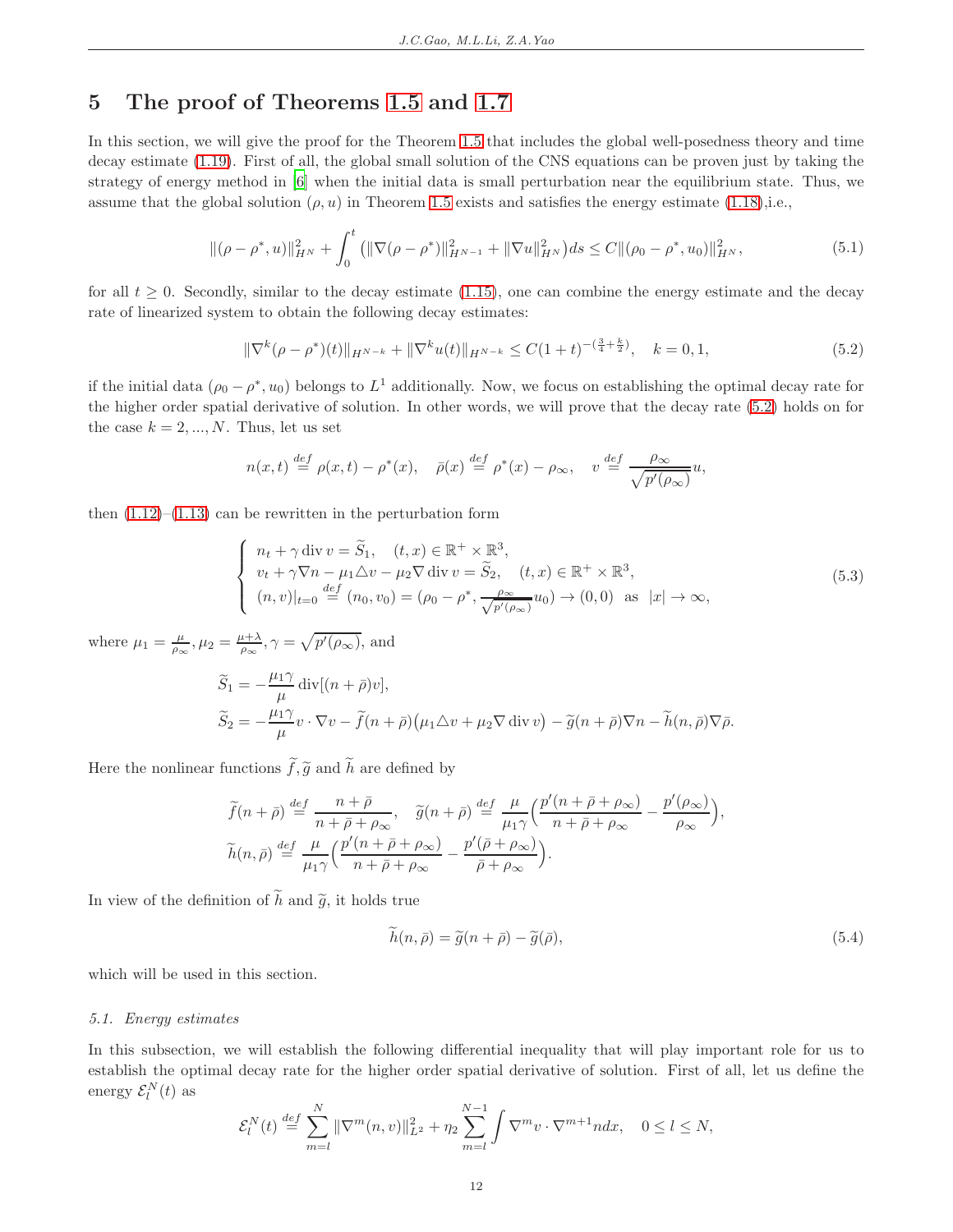# <span id="page-11-0"></span>5 The proof of Theorems [1.5](#page-3-0) and [1.7](#page-4-1)

In this section, we will give the proof for the Theorem [1.5](#page-3-0) that includes the global well-posedness theory and time decay estimate [\(1.19\)](#page-4-2). First of all, the global small solution of the CNS equations can be proven just by taking the strategy of energy method in [\[6\]](#page-37-5) when the initial data is small perturbation near the equilibrium state. Thus, we assume that the global solution  $(\rho, u)$  in Theorem [1.5](#page-3-0) exists and satisfies the energy estimate [\(1.18\)](#page-4-5),i.e.,

$$
\|(\rho - \rho^*, u)\|_{H^N}^2 + \int_0^t \left( \|\nabla(\rho - \rho^*)\|_{H^{N-1}}^2 + \|\nabla u\|_{H^N}^2 \right) ds \le C \|\rho_0 - \rho^*, u_0\|_{H^N}^2, \tag{5.1}
$$

<span id="page-11-3"></span>for all  $t \geq 0$ . Secondly, similar to the decay estimate [\(1.15\)](#page-3-2), one can combine the energy estimate and the decay rate of linearized system to obtain the following decay estimates:

<span id="page-11-2"></span>
$$
\|\nabla^{k}(\rho - \rho^{*})(t)\|_{H^{N-k}} + \|\nabla^{k}u(t)\|_{H^{N-k}} \leq C(1+t)^{-(\frac{3}{4}+\frac{k}{2})}, \quad k = 0, 1,
$$
\n(5.2)

if the initial data  $(\rho_0 - \rho^*, u_0)$  belongs to  $L^1$  additionally. Now, we focus on establishing the optimal decay rate for the higher order spatial derivative of solution. In other words, we will prove that the decay rate [\(5.2\)](#page-11-2) holds on for the case  $k = 2, ..., N$ . Thus, let us set

$$
n(x,t) \stackrel{def}{=} \rho(x,t) - \rho^*(x), \quad \bar{\rho}(x) \stackrel{def}{=} \rho^*(x) - \rho_\infty, \quad v \stackrel{def}{=} \frac{\rho_\infty}{\sqrt{p'(\rho_\infty)}}u,
$$

then  $(1.12)$ – $(1.13)$  can be rewritten in the perturbation form

<span id="page-11-4"></span>
$$
\begin{cases}\n n_t + \gamma \operatorname{div} v = \widetilde{S}_1, \quad (t, x) \in \mathbb{R}^+ \times \mathbb{R}^3, \\
 v_t + \gamma \nabla n - \mu_1 \Delta v - \mu_2 \nabla \operatorname{div} v = \widetilde{S}_2, \quad (t, x) \in \mathbb{R}^+ \times \mathbb{R}^3, \\
 (n, v)|_{t=0} \stackrel{\text{def}}{=} (n_0, v_0) = (\rho_0 - \rho^*, \frac{\rho_{\infty}}{\sqrt{p'(\rho_{\infty})}} u_0) \to (0, 0) \text{ as } |x| \to \infty,\n\end{cases}
$$
\n(5.3)

where  $\mu_1 = \frac{\mu}{\rho_{\infty}}, \mu_2 = \frac{\mu + \lambda}{\rho_{\infty}}, \gamma = \sqrt{p'(\rho_{\infty})}$ , and

$$
\widetilde{S}_1 = -\frac{\mu_1 \gamma}{\mu} \operatorname{div}[(n+\bar{\rho})v],
$$
  
\n
$$
\widetilde{S}_2 = -\frac{\mu_1 \gamma}{\mu} v \cdot \nabla v - \widetilde{f}(n+\bar{\rho})(\mu_1 \triangle v + \mu_2 \nabla \operatorname{div} v) - \widetilde{g}(n+\bar{\rho}) \nabla n - \widetilde{h}(n,\bar{\rho}) \nabla \bar{\rho}.
$$

Here the nonlinear functions  $\widetilde{f},\widetilde{g}$  and  $\widetilde{h}$  are defined by

$$
\widetilde{f}(n+\bar{\rho}) \stackrel{def}{=} \frac{n+\bar{\rho}}{n+\bar{\rho}+\rho_{\infty}}, \quad \widetilde{g}(n+\bar{\rho}) \stackrel{def}{=} \frac{\mu}{\mu_1\gamma} \Big( \frac{p'(n+\bar{\rho}+\rho_{\infty})}{n+\bar{\rho}+\rho_{\infty}} - \frac{p'(\rho_{\infty})}{\rho_{\infty}} \Big),
$$
  

$$
\widetilde{h}(n,\bar{\rho}) \stackrel{def}{=} \frac{\mu}{\mu_1\gamma} \Big( \frac{p'(n+\bar{\rho}+\rho_{\infty})}{n+\bar{\rho}+\rho_{\infty}} - \frac{p'(\bar{\rho}+\rho_{\infty})}{\bar{\rho}+\rho_{\infty}} \Big).
$$

In view of the definition of  $\widetilde{h}$  and  $\widetilde{q}$ , it holds true

<span id="page-11-5"></span>
$$
\tilde{h}(n,\bar{\rho}) = \tilde{g}(n+\bar{\rho}) - \tilde{g}(\bar{\rho}),\tag{5.4}
$$

<span id="page-11-1"></span>which will be used in this section.

### 5.1. Energy estimates

In this subsection, we will establish the following differential inequality that will play important role for us to establish the optimal decay rate for the higher order spatial derivative of solution. First of all, let us define the energy  $\mathcal{E}_l^N(t)$  as

$$
\mathcal{E}_l^N(t) \stackrel{def}{=} \sum_{m=l}^N \|\nabla^m(n,v)\|_{L^2}^2 + \eta_2 \sum_{m=l}^{N-1} \int \nabla^m v \cdot \nabla^{m+1} n dx, \quad 0 \le l \le N,
$$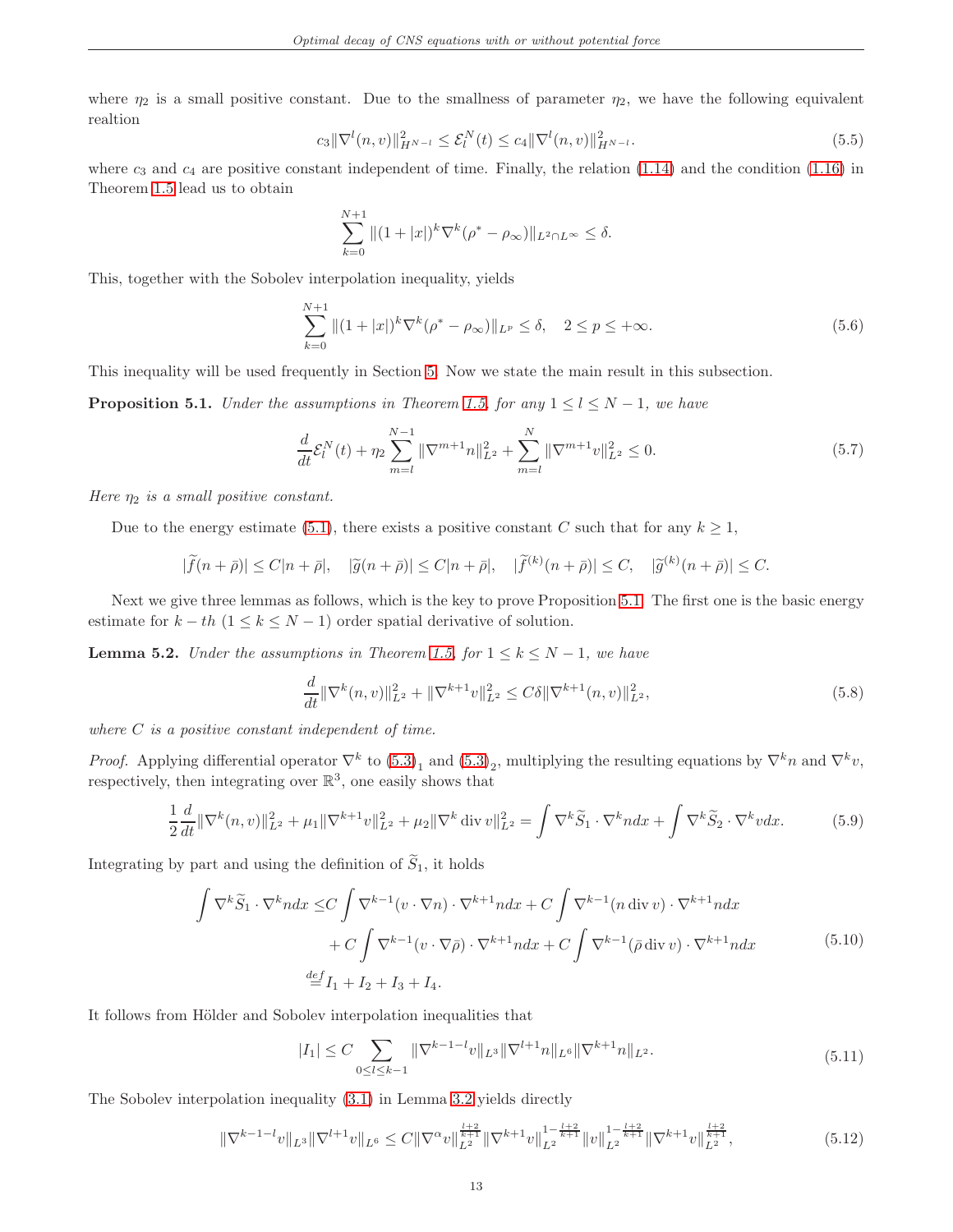where  $\eta_2$  is a small positive constant. Due to the smallness of parameter  $\eta_2$ , we have the following equivalent realtion

<span id="page-12-8"></span>
$$
c_3 \|\nabla^l(n, v)\|_{H^{N-l}}^2 \le \mathcal{E}_l^N(t) \le c_4 \|\nabla^l(n, v)\|_{H^{N-l}}^2.
$$
\n(5.5)

where  $c_3$  and  $c_4$  are positive constant independent of time. Finally, the relation [\(1.14\)](#page-3-4) and the condition [\(1.16\)](#page-3-5) in Theorem [1.5](#page-3-0) lead us to obtain

$$
\sum_{k=0}^{N+1} \| (1+|x|)^k \nabla^k (\rho^* - \rho_\infty) \|_{L^2 \cap L^\infty} \le \delta.
$$

This, together with the Sobolev interpolation inequality, yields

$$
\sum_{k=0}^{N+1} \|(1+|x|)^k \nabla^k (\rho^* - \rho_\infty)\|_{L^p} \le \delta, \quad 2 \le p \le +\infty.
$$
\n(5.6)

This inequality will be used frequently in Section [5.](#page-11-0) Now we state the main result in this subsection.

<span id="page-12-7"></span><span id="page-12-1"></span>**Proposition 5.1.** Under the assumptions in Theorem [1.5,](#page-3-0) for any  $1 \leq l \leq N-1$ , we have

$$
\frac{d}{dt}\mathcal{E}_l^N(t) + \eta_2 \sum_{m=l}^{N-1} \|\nabla^{m+1}n\|_{L^2}^2 + \sum_{m=l}^N \|\nabla^{m+1}v\|_{L^2}^2 \le 0.
$$
\n(5.7)

Here  $\eta_2$  is a small positive constant.

Due to the energy estimate [\(5.1\)](#page-11-3), there exists a positive constant C such that for any  $k \geq 1$ ,

$$
|\widetilde{f}(n+\bar{\rho})| \le C|n+\bar{\rho}|, \quad |\widetilde{g}(n+\bar{\rho})| \le C|n+\bar{\rho}|, \quad |\widetilde{f}^{(k)}(n+\bar{\rho})| \le C, \quad |\widetilde{g}^{(k)}(n+\bar{\rho})| \le C.
$$

Next we give three lemmas as follows, which is the key to prove Proposition [5.1.](#page-12-1) The first one is the basic energy estimate for  $k - th$  (1 ≤  $k \le N - 1$ ) order spatial derivative of solution.

<span id="page-12-0"></span>**Lemma 5.2.** Under the assumptions in Theorem [1.5,](#page-3-0) for  $1 \leq k \leq N-1$ , we have

<span id="page-12-6"></span>
$$
\frac{d}{dt} \|\nabla^k(n,v)\|_{L^2}^2 + \|\nabla^{k+1}v\|_{L^2}^2 \le C\delta \|\nabla^{k+1}(n,v)\|_{L^2}^2,
$$
\n(5.8)

where  $C$  is a positive constant independent of time.

*Proof.* Applying differential operator  $\nabla^k$  to  $(5.3)_1$  and  $(5.3)_2$ , multiplying the resulting equations by  $\nabla^k n$  and  $\nabla^k v$ , respectively, then integrating over  $\mathbb{R}^3$ , one easily shows that

$$
\frac{1}{2}\frac{d}{dt}\|\nabla^{k}(n,v)\|_{L^{2}}^{2} + \mu_{1}\|\nabla^{k+1}v\|_{L^{2}}^{2} + \mu_{2}\|\nabla^{k} \operatorname{div} v\|_{L^{2}}^{2} = \int \nabla^{k}\widetilde{S}_{1} \cdot \nabla^{k} n dx + \int \nabla^{k}\widetilde{S}_{2} \cdot \nabla^{k} v dx.
$$
 (5.9)

<span id="page-12-5"></span>Integrating by part and using the definition of  $\widetilde{S}_1$ , it holds

<span id="page-12-4"></span>
$$
\int \nabla^k \widetilde{S}_1 \cdot \nabla^k n dx \le C \int \nabla^{k-1} (v \cdot \nabla n) \cdot \nabla^{k+1} n dx + C \int \nabla^{k-1} (n \operatorname{div} v) \cdot \nabla^{k+1} n dx \n+ C \int \nabla^{k-1} (v \cdot \nabla \bar{\rho}) \cdot \nabla^{k+1} n dx + C \int \nabla^{k-1} (\bar{\rho} \operatorname{div} v) \cdot \nabla^{k+1} n dx
$$
\n(5.10)\n
$$
\stackrel{def}{=} I_1 + I_2 + I_3 + I_4.
$$

<span id="page-12-3"></span>It follows from Hölder and Sobolev interpolation inequalities that

$$
|I_1| \le C \sum_{0 \le l \le k-1} \|\nabla^{k-1-l}v\|_{L^3} \|\nabla^{l+1}u\|_{L^6} \|\nabla^{k+1}u\|_{L^2}.
$$
\n(5.11)

The Sobolev interpolation inequality [\(3.1\)](#page-6-3) in Lemma [3.2](#page-6-4) yields directly

<span id="page-12-2"></span>
$$
\|\nabla^{k-1-l}v\|_{L^{3}}\|\nabla^{l+1}v\|_{L^{6}} \leq C\|\nabla^{\alpha}v\|_{L^{2}}^{\frac{l+2}{k+1}}\|\nabla^{k+1}v\|_{L^{2}}^{1-\frac{l+2}{k+1}}\|v\|_{L^{2}}^{1-\frac{l+2}{k+1}}\|\nabla^{k+1}v\|_{L^{2}}^{\frac{l+2}{k+1}},\tag{5.12}
$$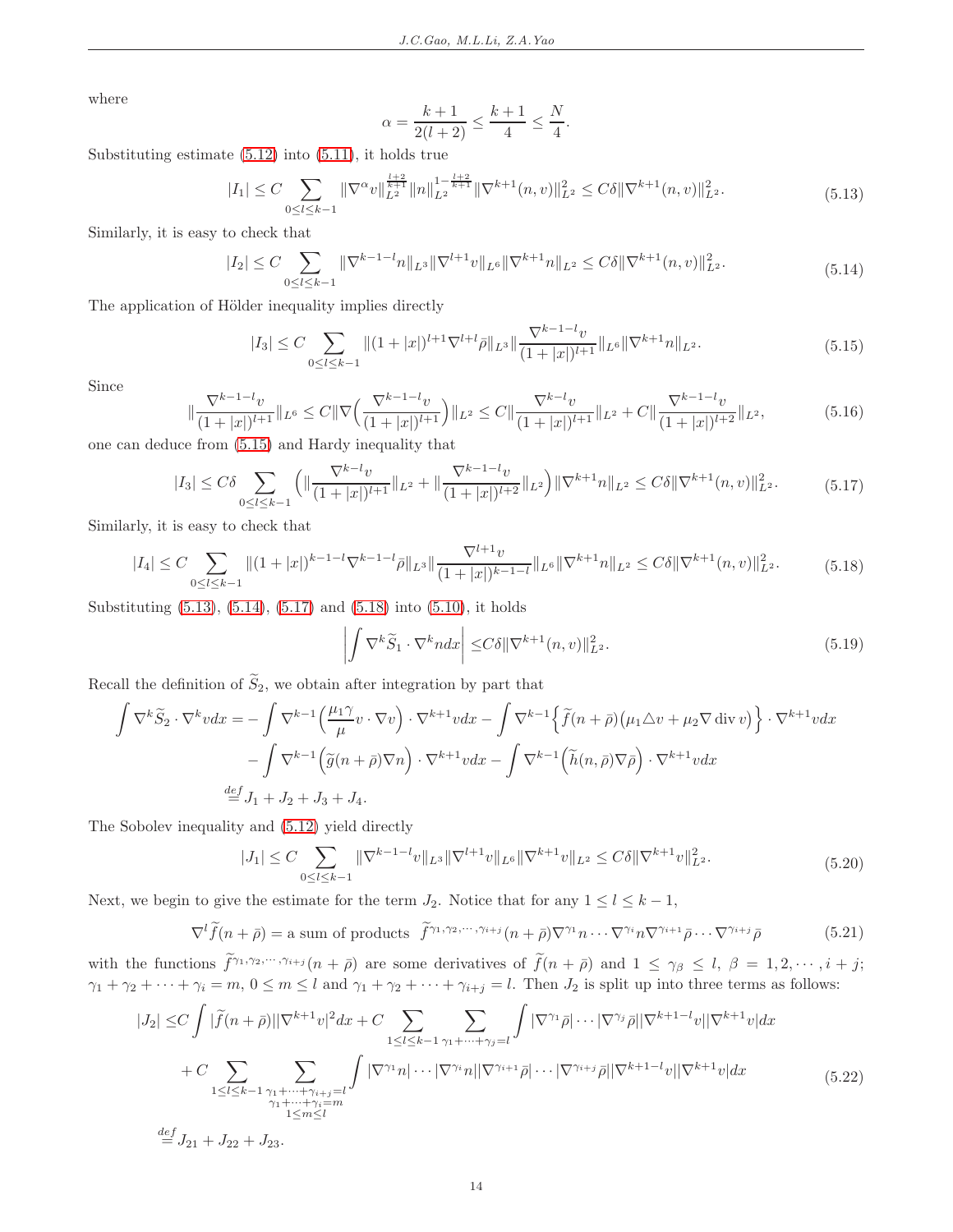where

$$
\alpha = \frac{k+1}{2(l+2)} \le \frac{k+1}{4} \le \frac{N}{4}.
$$

<span id="page-13-1"></span>Substituting estimate [\(5.12\)](#page-12-2) into [\(5.11\)](#page-12-3), it holds true

$$
|I_1| \le C \sum_{0 \le l \le k-1} \|\nabla^{\alpha}v\|_{L^2}^{\frac{l+2}{k+1}} \|n\|_{L^2}^{1-\frac{l+2}{k+1}} \|\nabla^{k+1}(n,v)\|_{L^2}^2 \le C\delta \|\nabla^{k+1}(n,v)\|_{L^2}^2. \tag{5.13}
$$

<span id="page-13-2"></span>Similarly, it is easy to check that

$$
|I_2| \le C \sum_{0 \le l \le k-1} \|\nabla^{k-1-l} n\|_{L^3} \|\nabla^{l+1} v\|_{L^6} \|\nabla^{k+1} n\|_{L^2} \le C\delta \|\nabla^{k+1} (n, v)\|_{L^2}^2.
$$
\n(5.14)

<span id="page-13-0"></span>The application of Hölder inequality implies directly

$$
|I_3| \le C \sum_{0 \le l \le k-1} \|(1+|x|)^{l+1} \nabla^{l+l} \bar{\rho}\|_{L^3} \|\frac{\nabla^{k-1-l} v}{(1+|x|)^{l+1}}\|_{L^6} \|\nabla^{k+1} n\|_{L^2}.
$$
\n(5.15)

Since

<span id="page-13-6"></span>
$$
\|\frac{\nabla^{k-1-l}v}{(1+|x|)^{l+1}}\|_{L^{6}} \leq C\|\nabla\left(\frac{\nabla^{k-1-l}v}{(1+|x|)^{l+1}}\right)\|_{L^{2}} \leq C\|\frac{\nabla^{k-l}v}{(1+|x|)^{l+1}}\|_{L^{2}} + C\|\frac{\nabla^{k-1-l}v}{(1+|x|)^{l+2}}\|_{L^{2}},\tag{5.16}
$$

<span id="page-13-3"></span>one can deduce from [\(5.15\)](#page-13-0) and Hardy inequality that

$$
|I_3| \leq C\delta \sum_{0 \leq l \leq k-1} \left( \|\frac{\nabla^{k-l}v}{(1+|x|)^{l+1}}\|_{L^2} + \|\frac{\nabla^{k-1-l}v}{(1+|x|)^{l+2}}\|_{L^2} \right) \|\nabla^{k+1}n\|_{L^2} \leq C\delta \|\nabla^{k+1}(n,v)\|_{L^2}^2. \tag{5.17}
$$

<span id="page-13-4"></span>Similarly, it is easy to check that

$$
|I_4| \leq C \sum_{0 \leq l \leq k-1} \|(1+|x|)^{k-1-l} \nabla^{k-1-l} \bar{\rho} \|_{L^3} \|\frac{\nabla^{l+1} v}{(1+|x|)^{k-1-l}} \|_{L^6} \|\nabla^{k+1} n\|_{L^2} \leq C\delta \|\nabla^{k+1} (n,v) \|_{L^2}^2. \tag{5.18}
$$

<span id="page-13-8"></span>Substituting [\(5.13\)](#page-13-1), [\(5.14\)](#page-13-2), [\(5.17\)](#page-13-3) and [\(5.18\)](#page-13-4) into [\(5.10\)](#page-12-4), it holds

$$
\left| \int \nabla^k \widetilde{S}_1 \cdot \nabla^k n dx \right| \leq C \delta \| \nabla^{k+1} (n, v) \|_{L^2}^2.
$$
\n(5.19)

Recall the definition of  $\widetilde{S}_2$ , we obtain after integration by part that

$$
\int \nabla^k \widetilde{S}_2 \cdot \nabla^k v dx = -\int \nabla^{k-1} \left( \frac{\mu_1 \gamma}{\mu} v \cdot \nabla v \right) \cdot \nabla^{k+1} v dx - \int \nabla^{k-1} \left\{ \widetilde{f}(n+\bar{\rho}) \left( \mu_1 \triangle v + \mu_2 \nabla \operatorname{div} v \right) \right\} \cdot \nabla^{k+1} v dx
$$

$$
- \int \nabla^{k-1} \left( \widetilde{g}(n+\bar{\rho}) \nabla n \right) \cdot \nabla^{k+1} v dx - \int \nabla^{k-1} \left( \widetilde{h}(n,\bar{\rho}) \nabla \bar{\rho} \right) \cdot \nabla^{k+1} v dx
$$

$$
\stackrel{def}{=} J_1 + J_2 + J_3 + J_4.
$$

The Sobolev inequality and [\(5.12\)](#page-12-2) yield directly

$$
|J_1| \le C \sum_{0 \le l \le k-1} \|\nabla^{k-1-l}v\|_{L^3} \|\nabla^{l+1}v\|_{L^6} \|\nabla^{k+1}v\|_{L^2} \le C\delta \|\nabla^{k+1}v\|_{L^2}^2.
$$
\n(5.20)

<span id="page-13-7"></span>Next, we begin to give the estimate for the term  $J_2$ . Notice that for any  $1 \leq l \leq k-1$ ,

$$
\nabla^l \widetilde{f}(n+\bar{\rho}) = \text{a sum of products } \widetilde{f}^{\gamma_1,\gamma_2,\cdots,\gamma_{i+j}}(n+\bar{\rho}) \nabla^{\gamma_1} n \cdots \nabla^{\gamma_i} n \nabla^{\gamma_{i+1}} \bar{\rho} \cdots \nabla^{\gamma_{i+j}} \bar{\rho}
$$
(5.21)

<span id="page-13-9"></span>with the functions  $\tilde{f}^{\gamma_1,\gamma_2,\cdots,\gamma_{i+j}}(n+\bar{\rho})$  are some derivatives of  $\tilde{f}(n+\bar{\rho})$  and  $1 \leq \gamma_{\beta} \leq l, \beta = 1, 2, \cdots, i+j$ ;  $\gamma_1 + \gamma_2 + \cdots + \gamma_i = m, 0 \le m \le l$  and  $\gamma_1 + \gamma_2 + \cdots + \gamma_{i+j} = l$ . Then  $J_2$  is split up into three terms as follows:

<span id="page-13-5"></span>
$$
|J_2| \leq C \int |\tilde{f}(n+\bar{\rho})| |\nabla^{k+1} v|^2 dx + C \sum_{1 \leq l \leq k-1} \sum_{\substack{\gamma_1 + \dots + \gamma_j = l \\ \gamma_1 + \dots + \gamma_{i+j} = l}} \int |\nabla^{\gamma_1} \bar{\rho}| \cdots |\nabla^{\gamma_j} \bar{\rho}| |\nabla^{k+1-1} v| |\nabla^{k+1} v| dx + C \sum_{1 \leq l \leq k-1} \sum_{\substack{\gamma_1 + \dots + \gamma_{i+j} = l \\ \gamma_1 + \dots + \gamma_i = m}} \int |\nabla^{\gamma_1} n| \cdots |\nabla^{\gamma_i} n| |\nabla^{\gamma_{i+1}} \bar{\rho}| \cdots |\nabla^{\gamma_{i+j}} \bar{\rho}| |\nabla^{k+1-1} v| |\nabla^{k+1} v| dx \qquad (5.22)
$$

 $\stackrel{def}{=} J_{21} + J_{22} + J_{23}.$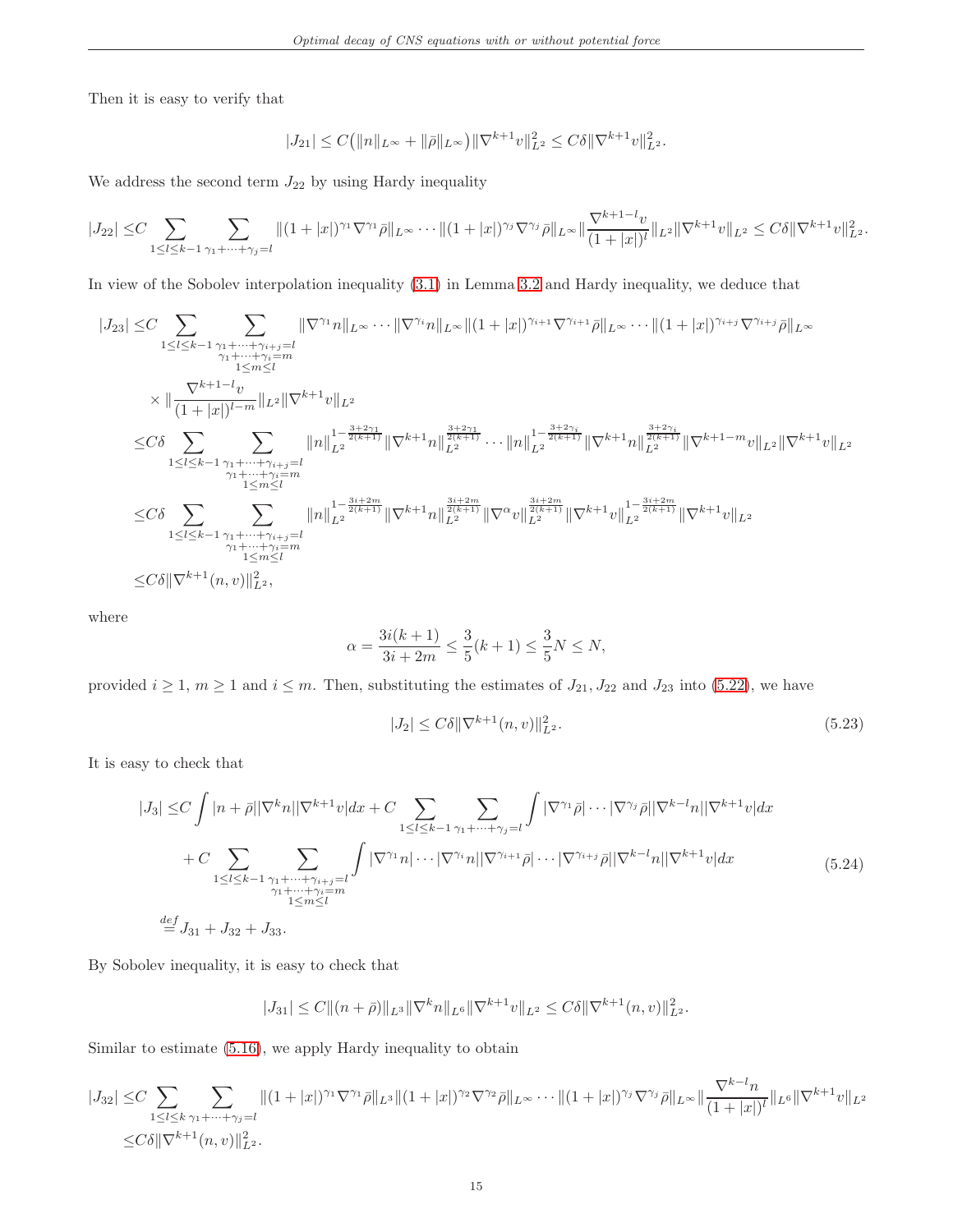Then it is easy to verify that

$$
|J_{21}| \leq C(||n||_{L^{\infty}} + ||\bar{\rho}||_{L^{\infty}})||\nabla^{k+1}v||_{L^{2}}^{2} \leq C\delta ||\nabla^{k+1}v||_{L^{2}}^{2}.
$$

We address the second term  $J_{22}$  by using Hardy inequality

$$
|J_{22}| \leq C \sum_{1 \leq l \leq k-1} \sum_{\gamma_1 + \dots + \gamma_j = l} \| (1+|x|)^{\gamma_1} \nabla^{\gamma_1} \bar{\rho} \|_{L^{\infty}} \cdots \| (1+|x|)^{\gamma_j} \nabla^{\gamma_j} \bar{\rho} \|_{L^{\infty}} \|\frac{\nabla^{k+1-l} v}{(1+|x|)^l} \|_{L^2} \|\nabla^{k+1} v \|_{L^2} \leq C \delta \|\nabla^{k+1} v \|_{L^2}^2.
$$

In view of the Sobolev interpolation inequality [\(3.1\)](#page-6-3) in Lemma [3.2](#page-6-4) and Hardy inequality, we deduce that

$$
\begin{split} |J_{23}| \leq & C \sum_{1 \leq l \leq k-1} \sum_{\substack{\gamma_1 + \dots + \gamma_{i+j} = l \\ \gamma_1 + \dots + \gamma_i = m \\ 1 \leq m \leq l}} \| \nabla^{\gamma_1} n \|_{L^{\infty}} \cdots \| \nabla^{\gamma_i} n \|_{L^{\infty}} \| (1+|x|)^{\gamma_{i+1}} \nabla^{\gamma_{i+1}} \bar{\rho} \|_{L^{\infty}} \cdots \| (1+|x|)^{\gamma_{i+j}} \nabla^{\gamma_{i+j}} \bar{\rho} \|_{L^{\infty}} \\ & \times \| \frac{\nabla^{k+1-l} v}{(1+|x|)^{l-m}} \|_{L^2} \|\nabla^{k+1} v \|_{L^2} \\ \leq & C \delta \sum_{1 \leq l \leq k-1} \sum_{\substack{\gamma_1 + \dots + \gamma_{i+j} = l \\ \gamma_1 + \dots + \gamma_i = m \\ 1 \leq m \leq l}} \| n \|_{L^2}^{1 - \frac{3+2\gamma_1}{2(k+1)}} \| \nabla^{k+1} n \|_{L^2}^{\frac{3+2\gamma_1}{2(k+1)}} \cdots \| n \|_{L^2}^{1 - \frac{3+2\gamma_i}{2(k+1)}} \| \nabla^{k+1} n \|_{L^2}^{\frac{3+2\gamma_i}{2(k+1)}} \| \nabla^{k+1} n \|_{L^2}^{\frac{3+2\gamma_i}{2(k+1)}} \| \nabla^{k+1} n \|_{L^2}^{\frac{3+2\gamma_i}{2(k+1)}} \| \nabla^{k+1} v \|_{L^2}^{1 - \frac{3i+2m}{2(k+1)}} \| \nabla^{k+1} v \|_{L^2}^{1 - \frac{3i+2m}{2(k+1)}} \| \nabla^{k+1} v \|_{L^2}^{1} \\ \leq & C \delta \sum_{1 \leq l \leq k-1} \sum_{\substack{\gamma_1 + \dots + \gamma_{i+j} = l \\ 1 \leq m \leq l}} \| n \|_{L^2}^{1 - \frac{3i+2m}{2(k+1)}} \| \nabla^{k+1} n \|_{L^2}^{\frac{3i+2m}{2(k+1)}} \| \nabla^{\alpha} v \|_{L^2}^{\frac{3i+2m}{2(k+1)}} \| \nabla^{k+1} v \|
$$

where

$$
\alpha = \frac{3i(k+1)}{3i+2m} \le \frac{3}{5}(k+1) \le \frac{3}{5}N \le N,
$$

provided  $i \geq 1$ ,  $m \geq 1$  and  $i \leq m$ . Then, substituting the estimates of  $J_{21}, J_{22}$  and  $J_{23}$  into [\(5.22\)](#page-13-5), we have

<span id="page-14-1"></span>
$$
|J_2| \le C\delta \|\nabla^{k+1}(n,v)\|_{L^2}^2. \tag{5.23}
$$

It is easy to check that

<span id="page-14-0"></span>
$$
|J_3| \leq C \int |n+\bar{\rho}| |\nabla^k n| |\nabla^{k+1} v| dx + C \sum_{1 \leq l \leq k-1} \sum_{\gamma_1 + \dots + \gamma_j = l} \int |\nabla^{\gamma_1} \bar{\rho}| \cdots |\nabla^{\gamma_j} \bar{\rho}| |\nabla^{k-l} n| |\nabla^{k+1} v| dx + C \sum_{1 \leq l \leq k-1} \sum_{\substack{\gamma_1 + \dots + \gamma_{i+j} = l \\ \gamma_1 + \dots + \gamma_i = m \\ 1 \leq m \leq l}} \int |\nabla^{\gamma_1} n| \cdots |\nabla^{\gamma_i} n| |\nabla^{\gamma_{i+1}} \bar{\rho}| \cdots |\nabla^{\gamma_{i+j}} \bar{\rho}| |\nabla^{k-l} n| |\nabla^{k+1} v| dx
$$
(5.24)

By Sobolev inequality, it is easy to check that

$$
|J_{31}| \leq C \|(n+\bar{\rho})\|_{L^{3}} \|\nabla^{k} n\|_{L^{6}} \|\nabla^{k+1} v\|_{L^{2}} \leq C\delta \|\nabla^{k+1} (n,v)\|_{L^{2}}^{2}.
$$

Similar to estimate [\(5.16\)](#page-13-6), we apply Hardy inequality to obtain

$$
|J_{32}| \leq C \sum_{1 \leq l \leq k} \sum_{\gamma_1 + \dots + \gamma_j = l} \| (1 + |x|)^{\gamma_1} \nabla^{\gamma_1} \bar{\rho} \|_{L^3} \| (1 + |x|)^{\gamma_2} \nabla^{\gamma_2} \bar{\rho} \|_{L^\infty} \cdots \| (1 + |x|)^{\gamma_j} \nabla^{\gamma_j} \bar{\rho} \|_{L^\infty} \| \frac{\nabla^{k-l} n}{(1 + |x|)^l} \|_{L^6} \| \nabla^{k+1} v \|_{L^2}
$$
  

$$
\leq C \delta \| \nabla^{k+1} (n, v) \|_{L^2}^2.
$$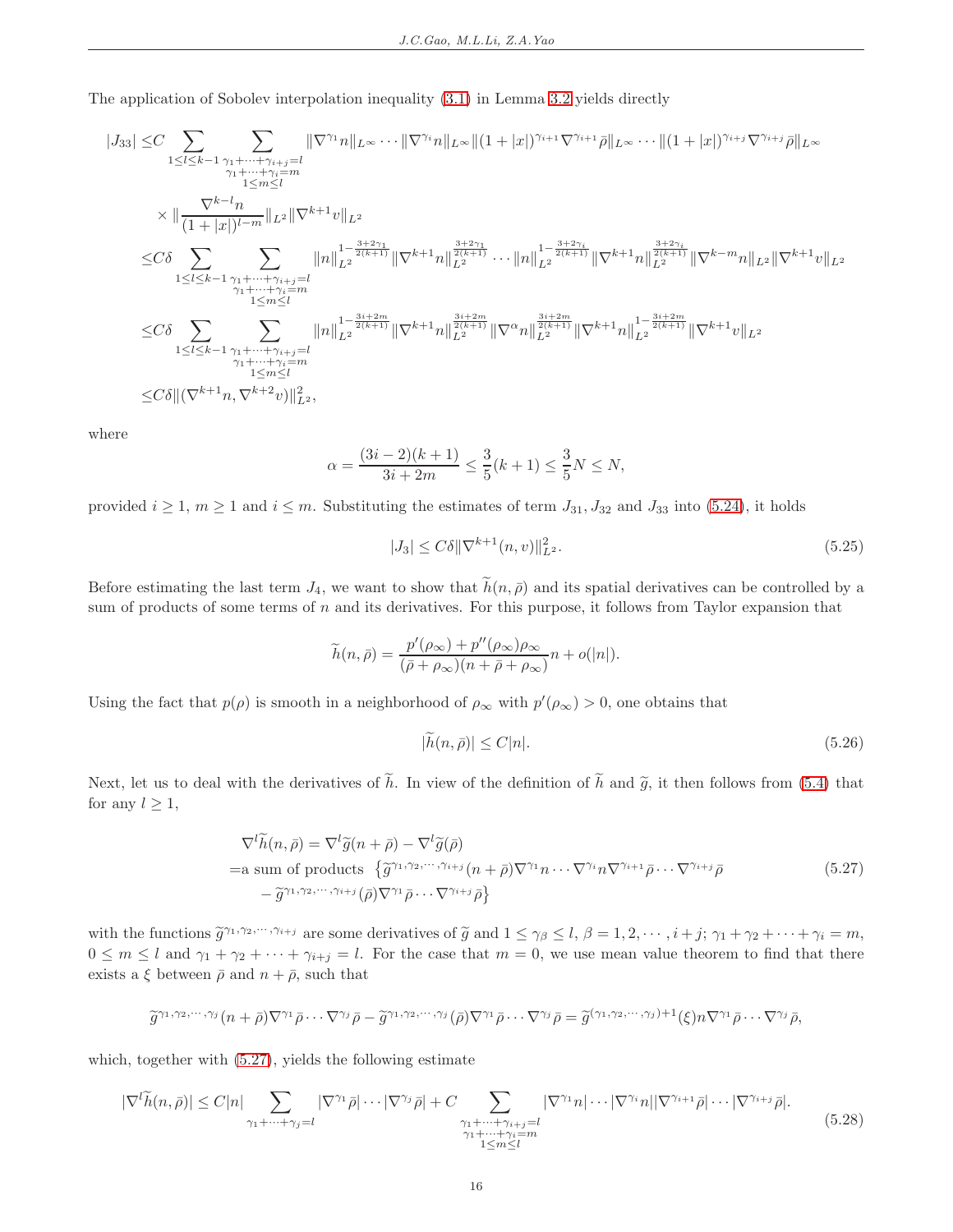The application of Sobolev interpolation inequality [\(3.1\)](#page-6-3) in Lemma [3.2](#page-6-4) yields directly

$$
\begin{split} |J_{33}| \leq & C \sum_{1 \leq l \leq k-1} \sum_{\substack{\gamma_1 + \dots + \gamma_{i+j} = l \\ \gamma_1 + \dots + \gamma_i = m \\ 1 \leq m \leq l}} \| \nabla^{\gamma_1} n \|_{L^{\infty}} \cdots \| \nabla^{\gamma_i} n \|_{L^{\infty}} \| (1+|x|)^{\gamma_{i+1}} \nabla^{\gamma_{i+1}} \bar{\rho} \|_{L^{\infty}} \cdots \| (1+|x|)^{\gamma_{i+j}} \nabla^{\gamma_{i+j}} \bar{\rho} \|_{L^{\infty}} \\ \times & \| \frac{\nabla^{k-l} n}{(1+|x|)^{l-m}} \|_{L^2} \|\nabla^{k+1} v \|_{L^2} \\ \leq & C \delta \sum_{1 \leq l \leq k-1} \sum_{\substack{\gamma_1 + \dots + \gamma_{i+j} = l \\ \gamma_1 + \dots + \gamma_i = m \\ 1 \leq m \leq l}} \| n \|_{L^2}^{1 - \frac{3+2\gamma_1}{2(k+1)}} \| \nabla^{k+1} n \|_{L^2}^{\frac{3+2\gamma_1}{2(k+1)}} \cdots \| n \|_{L^2}^{1 - \frac{3+2\gamma_i}{2(k+1)}} \| \nabla^{k+1} n \|_{L^2}^{\frac{3+2\gamma_i}{2(k+1)}} \| \nabla^{k-m} n \|_{L^2} \| \nabla^{k+1} v \|_{L^2} \\ \leq & C \delta \sum_{1 \leq l \leq k-1} \sum_{\substack{\gamma_1 + \dots + \gamma_{i+j} = l \\ \gamma_1 + \dots + \gamma_i = m \\ 1 \leq m \leq l}} \| n \|_{L^2}^{1 - \frac{3i + 2m}{2(k+1)}} \| \nabla^{k+1} n \|_{L^2}^{\frac{3i + 2m}{2(k+1)}} \| \nabla^k n \|_{L^2}^{\frac{3i + 2m}{2(k+1)}} \| \nabla^{k+1} n \|_{L^2}^{1 - \frac{3i + 2m}{2(k+1)}} \| \nabla^{k+1} n \|_{L^2}^{1 - \frac{3i + 2m}{2(k+1)}} \| \nabla^{k+1} v \|_{L^2} \\ \leq & C \delta \| (\nabla^{k+1} n, \nabla^{k+2} v) \|_{
$$

where

$$
\alpha = \frac{(3i - 2)(k + 1)}{3i + 2m} \le \frac{3}{5}(k + 1) \le \frac{3}{5}N \le N,
$$

provided  $i \geq 1$ ,  $m \geq 1$  and  $i \leq m$ . Substituting the estimates of term  $J_{31}$ ,  $J_{32}$  and  $J_{33}$  into [\(5.24\)](#page-14-0), it holds

<span id="page-15-2"></span>
$$
|J_3| \le C\delta \|\nabla^{k+1}(n,v)\|_{L^2}^2. \tag{5.25}
$$

Before estimating the last term  $J_4$ , we want to show that  $\tilde{h}(n, \bar{\rho})$  and its spatial derivatives can be controlled by a sum of products of some terms of n and its derivatives. For this purpose, it follows from Taylor expansion that

$$
\widetilde{h}(n,\bar{\rho}) = \frac{p'(\rho_{\infty}) + p''(\rho_{\infty})\rho_{\infty}}{(\bar{\rho} + \rho_{\infty})(n + \bar{\rho} + \rho_{\infty})}n + o(|n|).
$$

Using the fact that  $p(\rho)$  is smooth in a neighborhood of  $\rho_{\infty}$  with  $p'(\rho_{\infty}) > 0$ , one obtains that

<span id="page-15-1"></span>
$$
|\bar{h}(n,\bar{\rho})| \le C|n|.\tag{5.26}
$$

Next, let us to deal with the derivatives of  $\tilde{h}$ . In view of the definition of  $\tilde{h}$  and  $\tilde{g}$ , it then follows from [\(5.4\)](#page-11-5) that for any  $l \geq 1$ ,

$$
\nabla^{l}\widetilde{h}(n,\bar{\rho}) = \nabla^{l}\widetilde{g}(n+\bar{\rho}) - \nabla^{l}\widetilde{g}(\bar{\rho})
$$
  
=a sum of products  $\{\widetilde{g}^{\gamma_1,\gamma_2,\cdots,\gamma_{i+j}}(n+\bar{\rho})\nabla^{\gamma_1}n\cdots\nabla^{\gamma_i}n\nabla^{\gamma_{i+1}}\bar{\rho}\cdots\nabla^{\gamma_{i+j}}\bar{\rho}$   

$$
-\widetilde{g}^{\gamma_1,\gamma_2,\cdots,\gamma_{i+j}}(\bar{\rho})\nabla^{\gamma_1}\bar{\rho}\cdots\nabla^{\gamma_{i+j}}\bar{\rho}\}
$$
(5.27)

<span id="page-15-0"></span>with the functions  $\tilde{g}^{\gamma_1,\gamma_2,\cdots,\gamma_{i+j}}$  are some derivatives of  $\tilde{g}$  and  $1 \leq \gamma_\beta \leq l$ ,  $\beta = 1, 2, \cdots, i+j$ ;  $\gamma_1 + \gamma_2 + \cdots + \gamma_i = m$ ,  $0 \leq m \leq l$  and  $\gamma_1 + \gamma_2 + \cdots + \gamma_{i+j} = l$ . For the case that  $m = 0$ , we use mean value theorem to find that there exists a  $\xi$  between  $\bar{\rho}$  and  $n + \bar{\rho}$ , such that

$$
\widetilde{g}^{\gamma_1,\gamma_2,\cdots,\gamma_j}(n+\bar{p})\nabla^{\gamma_1}\bar{p}\cdots\nabla^{\gamma_j}\bar{p}-\widetilde{g}^{\gamma_1,\gamma_2,\cdots,\gamma_j}(\bar{p})\nabla^{\gamma_1}\bar{p}\cdots\nabla^{\gamma_j}\bar{p}=\widetilde{g}^{(\gamma_1,\gamma_2,\cdots,\gamma_j)+1}(\xi)n\nabla^{\gamma_1}\bar{p}\cdots\nabla^{\gamma_j}\bar{p},
$$

which, together with [\(5.27\)](#page-15-0), yields the following estimate

<span id="page-15-3"></span>
$$
|\nabla^l \widetilde{h}(n,\bar{\rho})| \le C|n| \sum_{\substack{\gamma_1 + \dots + \gamma_j = l \\ \gamma_1 + \dots + \gamma_j = l}} |\nabla^{\gamma_1} \bar{\rho}| \cdots |\nabla^{\gamma_j} \bar{\rho}| + C \sum_{\substack{\gamma_1 + \dots + \gamma_{i+j} = l \\ \gamma_1 + \dots + \gamma_i = m \\ 1 \le m \le l}} |\nabla^{\gamma_1} n| \cdots |\nabla^{\gamma_i} n| |\nabla^{\gamma_{i+1}} \bar{\rho}| \cdots |\nabla^{\gamma_{i+j}} \bar{\rho}|. \tag{5.28}
$$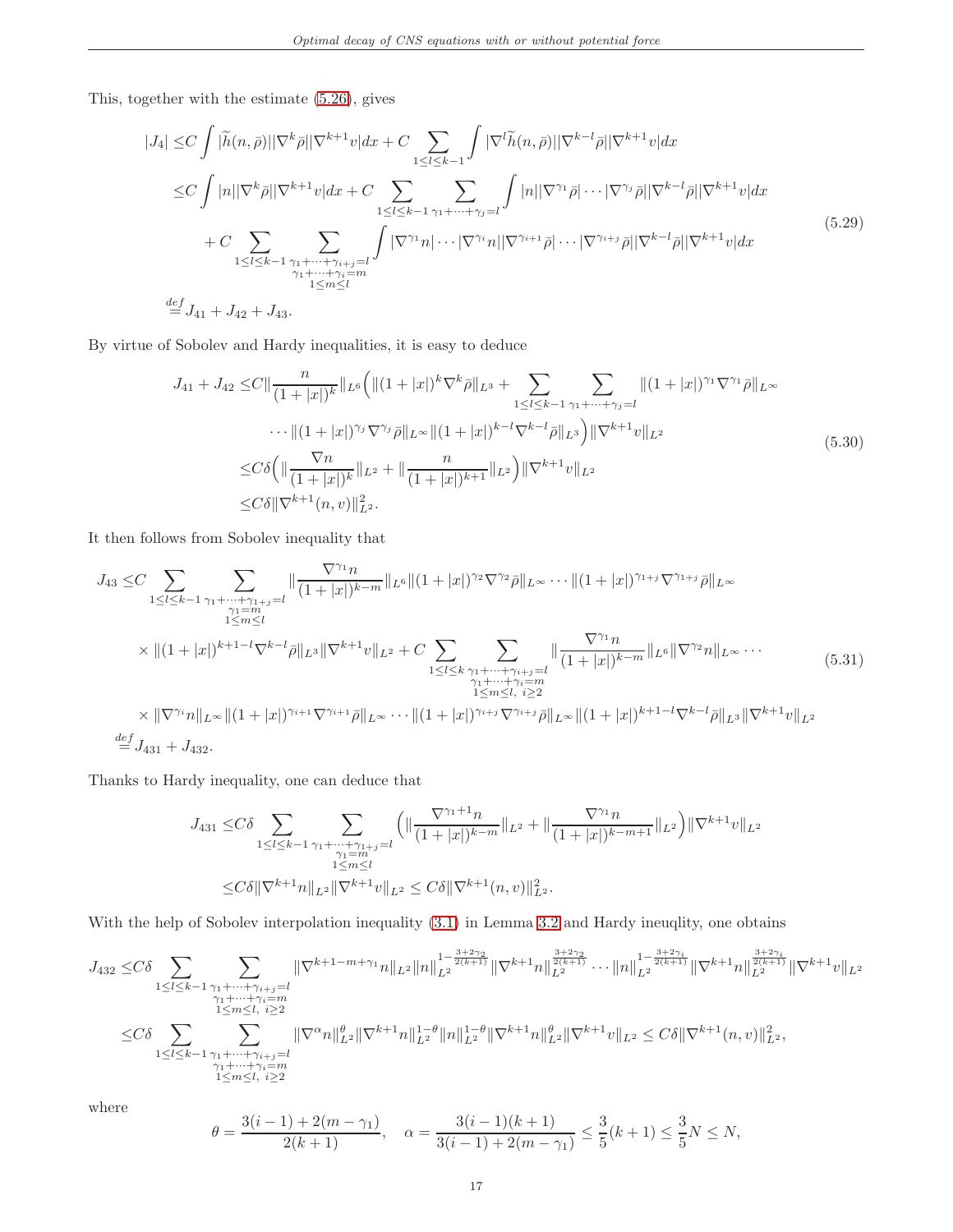This, together with the estimate [\(5.26\)](#page-15-1), gives

<span id="page-16-2"></span>
$$
|J_4| \leq C \int |\tilde{h}(n,\bar{\rho})| |\nabla^k \bar{\rho}| |\nabla^{k+1} v| dx + C \sum_{1 \leq l \leq k-1} \int |\nabla^l \tilde{h}(n,\bar{\rho})| |\nabla^{k-l} \bar{\rho}| |\nabla^{k+1} v| dx
$$
  
\n
$$
\leq C \int |n| |\nabla^k \bar{\rho}| |\nabla^{k+1} v| dx + C \sum_{1 \leq l \leq k-1} \sum_{\gamma_1 + \dots + \gamma_j = l} \int |n| |\nabla^{\gamma_1} \bar{\rho}| \cdots |\nabla^{\gamma_j} \bar{\rho}| |\nabla^{k-l} \bar{\rho}| |\nabla^{k+1} v| dx
$$
  
\n
$$
+ C \sum_{1 \leq l \leq k-1} \sum_{\substack{\gamma_1 + \dots + \gamma_{i+j} = l \\ \gamma_1 + \dots + \gamma_i = m \\ 1 \leq m \leq l}} \int |\nabla^{\gamma_1} n| \cdots |\nabla^{\gamma_i} n| |\nabla^{\gamma_{i+1}} \bar{\rho}| \cdots |\nabla^{\gamma_{i+j}} \bar{\rho}| |\nabla^{k-l} \bar{\rho}| |\nabla^{k+1} v| dx
$$
  
\n
$$
\stackrel{def}{=} J_{41} + J_{42} + J_{43}.
$$
\n(5.29)

<span id="page-16-1"></span>By virtue of Sobolev and Hardy inequalities, it is easy to deduce

$$
J_{41} + J_{42} \leq C \|\frac{n}{(1+|x|)^k} \|_{L^6} \Big( \| (1+|x|)^k \nabla^k \bar{\rho} \|_{L^3} + \sum_{1 \leq l \leq k-1} \sum_{\gamma_1 + \dots + \gamma_j = l} \| (1+|x|)^{\gamma_1} \nabla^{\gamma_1} \bar{\rho} \|_{L^\infty}
$$
  
 
$$
\cdots \| (1+|x|)^{\gamma_j} \nabla^{\gamma_j} \bar{\rho} \|_{L^\infty} \| (1+|x|)^{k-l} \nabla^{k-l} \bar{\rho} \|_{L^3} \Big) \| \nabla^{k+1} v \|_{L^2}
$$
  
\n
$$
\leq C \delta \Big( \| \frac{\nabla n}{(1+|x|)^k} \|_{L^2} + \| \frac{n}{(1+|x|)^{k+1}} \|_{L^2} \Big) \| \nabla^{k+1} v \|_{L^2}
$$
  
\n
$$
\leq C \delta \| \nabla^{k+1} (n, v) \|_{L^2}^2.
$$
\n
$$
(5.30)
$$

It then follows from Sobolev inequality that

<span id="page-16-0"></span>
$$
J_{43} \leq C \sum_{1 \leq l \leq k-1} \sum_{\substack{\gamma_1 + \cdots + \gamma_{1+j} = l \\ 1 \leq m \leq l}} \|\frac{\nabla^{\gamma_1} n}{(1+|x|)^{k-m}} \|_{L^6} \|(1+|x|)^{\gamma_2} \nabla^{\gamma_2} \bar{\rho} \|_{L^{\infty}} \cdots \|(1+|x|)^{\gamma_{1+j}} \nabla^{\gamma_{1+j}} \bar{\rho} \|_{L^{\infty}}
$$
\n
$$
\times \|(1+|x|)^{k+1-l} \nabla^{k-l} \bar{\rho} \|_{L^3} \|\nabla^{k+1} v\|_{L^2} + C \sum_{1 \leq l \leq k} \sum_{\substack{\gamma_1 + \cdots + \gamma_{i+j} = l \\ \gamma_1 + \cdots + \gamma_i = m \\ 1 \leq m \leq l, \ i \geq 2}} \|\frac{\nabla^{\gamma_1} n}{(1+|x|)^{k-m}} \|_{L^6} \|\nabla^{\gamma_2} n\|_{L^{\infty}} \cdots
$$
\n
$$
(5.31)
$$
\n
$$
\times \|\nabla^{\gamma_i} n\|_{L^{\infty}} \|(1+|x|)^{\gamma_{i+1}} \nabla^{\gamma_{i+1}} \bar{\rho} \|_{L^{\infty}} \cdots \|(1+|x|)^{\gamma_{i+j}} \nabla^{\gamma_{i+j}} \bar{\rho} \|_{L^{\infty}} \|(1+|x|)^{k+1-l} \nabla^{k-l} \bar{\rho} \|_{L^3} \|\nabla^{k+1} v\|_{L^2}
$$
\n
$$
\stackrel{def}{=} J_{431} + J_{432}.
$$
\n
$$
(5.31)
$$

Thanks to Hardy inequality, one can deduce that

$$
J_{431} \leq C\delta \sum_{1 \leq l \leq k-1} \sum_{\substack{\gamma_1 + \dots + \gamma_{1+j} = l \\ \gamma_1 = m \\ 1 \leq n \leq l}} \left( \|\frac{\nabla^{\gamma_1 + 1} n}{(1 + |x|)^{k-m}} \|_{L^2} + \|\frac{\nabla^{\gamma_1} n}{(1 + |x|)^{k-m+1}} \|_{L^2} \right) \|\nabla^{k+1} v\|_{L^2}
$$
  

$$
\leq C\delta \|\nabla^{k+1} n\|_{L^2} \|\nabla^{k+1} v\|_{L^2} \leq C\delta \|\nabla^{k+1} (n, v)\|_{L^2}^2.
$$

With the help of Sobolev interpolation inequality [\(3.1\)](#page-6-3) in Lemma [3.2](#page-6-4) and Hardy ineuqlity, one obtains

<sup>J</sup><sup>432</sup> <sup>≤</sup>Cδ <sup>X</sup> 1≤l≤k−1 X γ1+···+γi+j=l γ1+···+γi=m 1≤m≤l, i≥2 k∇k+1−m+γ<sup>1</sup> <sup>n</sup>kL<sup>2</sup> <sup>k</sup>n<sup>k</sup> 1− 3+2γ2 2(k+1) <sup>L</sup><sup>2</sup> k∇k+1n<sup>k</sup> 3+2γ2 2(k+1) <sup>L</sup><sup>2</sup> · · · knk 1− 3+2γi 2(k+1) <sup>L</sup><sup>2</sup> k∇k+1n<sup>k</sup> 3+2γi 2(k+1) <sup>L</sup><sup>2</sup> k∇k+1vkL<sup>2</sup> <sup>≤</sup>Cδ <sup>X</sup> 1≤l≤k−1 X γ1+···+γi+j=l γ1+···+γi=m 1≤m≤l, i≥2 k∇αn<sup>k</sup> θ <sup>L</sup><sup>2</sup>k∇k+1n<sup>k</sup> 1−θ <sup>L</sup><sup>2</sup> knk 1−θ <sup>L</sup><sup>2</sup> k∇k+1n<sup>k</sup> θ <sup>L</sup><sup>2</sup>k∇k+1vkL<sup>2</sup> <sup>≤</sup> Cδk∇k+1(n, v)<sup>k</sup> 2 <sup>L</sup><sup>2</sup> ,

where

$$
\theta = \frac{3(i-1) + 2(m - \gamma_1)}{2(k+1)}, \quad \alpha = \frac{3(i-1)(k+1)}{3(i-1) + 2(m - \gamma_1)} \le \frac{3}{5}(k+1) \le \frac{3}{5}N \le N,
$$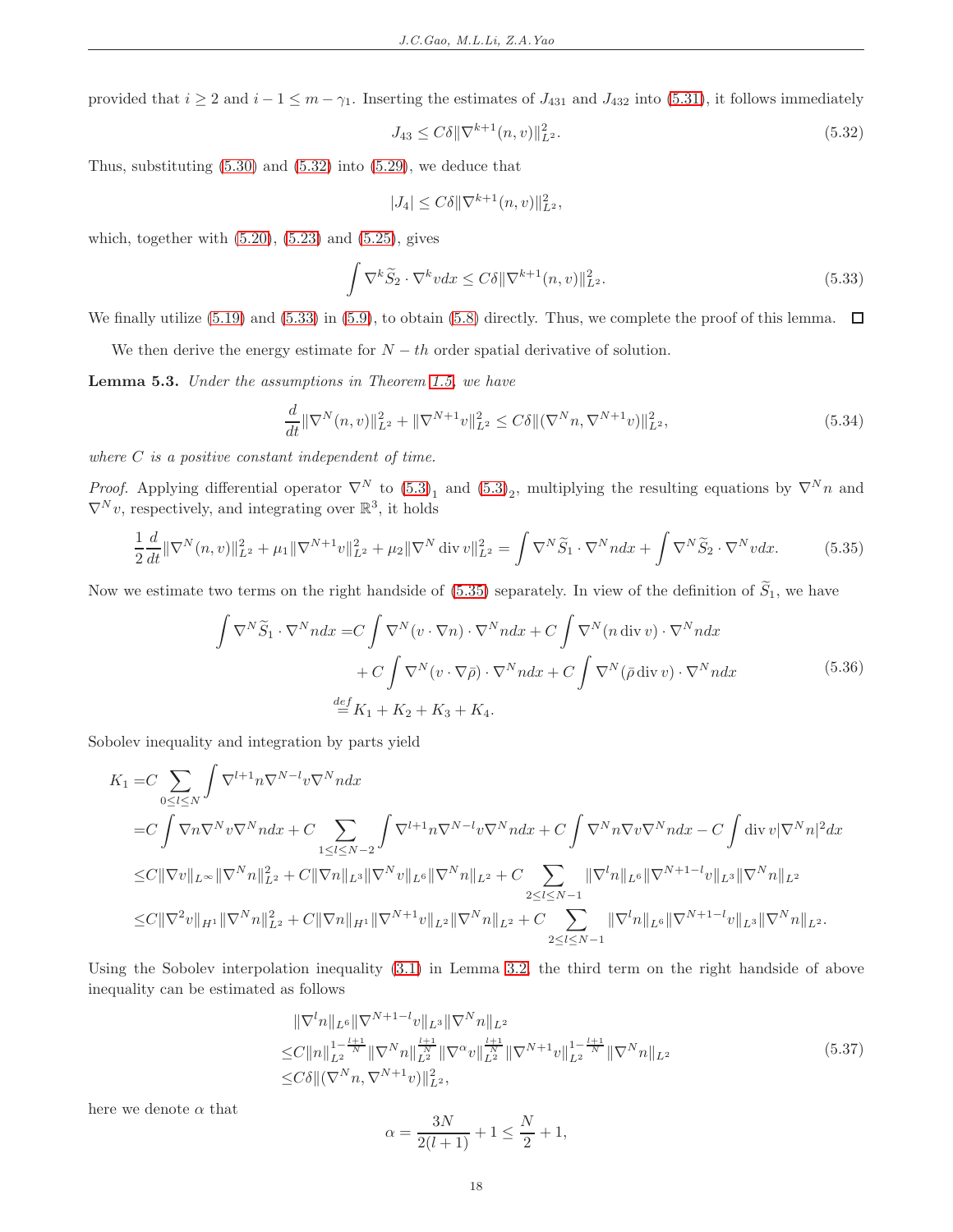provided that  $i \geq 2$  and  $i - 1 \leq m - \gamma_1$ . Inserting the estimates of  $J_{431}$  and  $J_{432}$  into [\(5.31\)](#page-16-0), it follows immediately

<span id="page-17-1"></span>
$$
J_{43} \le C\delta \|\nabla^{k+1}(n,v)\|_{L^2}^2. \tag{5.32}
$$

Thus, substituting  $(5.30)$  and  $(5.32)$  into  $(5.29)$ , we deduce that

$$
|J_4| \le C\delta \|\nabla^{k+1}(n,v)\|_{L^2}^2,
$$

<span id="page-17-2"></span>which, together with  $(5.20)$ ,  $(5.23)$  and  $(5.25)$ , gives

$$
\int \nabla^k \widetilde{S}_2 \cdot \nabla^k v dx \le C \delta \|\nabla^{k+1}(n, v)\|_{L^2}^2.
$$
\n(5.33)

We finally utilize [\(5.19\)](#page-13-8) and [\(5.33\)](#page-17-2) in [\(5.9\)](#page-12-5), to obtain [\(5.8\)](#page-12-6) directly. Thus, we complete the proof of this lemma.  $\Box$ 

We then derive the energy estimate for  $N - th$  order spatial derivative of solution.

<span id="page-17-0"></span>Lemma 5.3. Under the assumptions in Theorem [1.5,](#page-3-0) we have

<span id="page-17-6"></span>
$$
\frac{d}{dt} \|\nabla^{N}(n,v)\|_{L^{2}}^{2} + \|\nabla^{N+1}v\|_{L^{2}}^{2} \leq C\delta \|(\nabla^{N}n, \nabla^{N+1}v)\|_{L^{2}}^{2},\tag{5.34}
$$

where  $C$  is a positive constant independent of time.

*Proof.* Applying differential operator  $\nabla^N$  to  $(5.3)_1$  and  $(5.3)_2$ , multiplying the resulting equations by  $\nabla^N n$  and  $\nabla^N v$ , respectively, and integrating over  $\mathbb{R}^3$ , it holds

$$
\frac{1}{2}\frac{d}{dt}\|\nabla^{N}(n,v)\|_{L^{2}}^{2} + \mu_{1}\|\nabla^{N+1}v\|_{L^{2}}^{2} + \mu_{2}\|\nabla^{N}\operatorname{div}v\|_{L^{2}}^{2} = \int \nabla^{N}\widetilde{S}_{1} \cdot \nabla^{N} n dx + \int \nabla^{N}\widetilde{S}_{2} \cdot \nabla^{N} v dx.
$$
 (5.35)

<span id="page-17-3"></span>Now we estimate two terms on the right handside of [\(5.35\)](#page-17-3) separately. In view of the definition of  $\tilde{S}_1$ , we have

$$
\int \nabla^N \widetilde{S}_1 \cdot \nabla^N n dx = C \int \nabla^N (v \cdot \nabla n) \cdot \nabla^N n dx + C \int \nabla^N (n \operatorname{div} v) \cdot \nabla^N n dx \n+ C \int \nabla^N (v \cdot \nabla \overline{\rho}) \cdot \nabla^N n dx + C \int \nabla^N (\overline{\rho} \operatorname{div} v) \cdot \nabla^N n dx
$$
\n(5.36)\n
$$
\stackrel{def}{=} K_1 + K_2 + K_3 + K_4.
$$

<span id="page-17-5"></span>Sobolev inequality and integration by parts yield

$$
K_{1} = C \sum_{0 \leq l \leq N} \int \nabla^{l+1} n \nabla^{N-l} v \nabla^{N} n dx
$$
  
\n
$$
= C \int \nabla n \nabla^{N} v \nabla^{N} n dx + C \sum_{1 \leq l \leq N-2} \int \nabla^{l+1} n \nabla^{N-l} v \nabla^{N} n dx + C \int \nabla^{N} n \nabla v \nabla^{N} n dx - C \int \text{div} \, v |\nabla^{N} n|^{2} dx
$$
  
\n
$$
\leq C ||\nabla v||_{L^{\infty}} ||\nabla^{N} n||_{L^{2}}^{2} + C ||\nabla n||_{L^{3}} ||\nabla^{N} v||_{L^{6}} ||\nabla^{N} n||_{L^{2}} + C \sum_{2 \leq l \leq N-1} ||\nabla^{l} n||_{L^{6}} ||\nabla^{N+1-l} v||_{L^{3}} ||\nabla^{N} n||_{L^{2}}
$$
  
\n
$$
\leq C ||\nabla^{2} v||_{H^{1}} ||\nabla^{N} n||_{L^{2}}^{2} + C ||\nabla n||_{H^{1}} ||\nabla^{N+1} v||_{L^{2}} ||\nabla^{N} n||_{L^{2}} + C \sum_{2 \leq l \leq N-1} ||\nabla^{l} n||_{L^{6}} ||\nabla^{N+1-l} v||_{L^{3}} ||\nabla^{N} n||_{L^{2}}.
$$

Using the Sobolev interpolation inequality [\(3.1\)](#page-6-3) in Lemma [3.2,](#page-6-4) the third term on the right handside of above inequality can be estimated as follows

<span id="page-17-4"></span>
$$
\|\nabla^l n\|_{L^6} \|\nabla^{N+1-l} v\|_{L^3} \|\nabla^N n\|_{L^2}
$$
  
\n
$$
\leq C \|n\|_{L^2}^{1-\frac{l+1}{N}} \|\nabla^N n\|_{L^2}^{\frac{l+1}{N}} \|\nabla^\alpha v\|_{L^2}^{\frac{l+1}{N}} \|\nabla^{N+1} v\|_{L^2}^{1-\frac{l+1}{N}} \|\nabla^N n\|_{L^2}
$$
  
\n
$$
\leq C\delta \|(\nabla^N n, \nabla^{N+1} v)\|_{L^2}^2, \tag{5.37}
$$

here we denote  $\alpha$  that

$$
\alpha = \frac{3N}{2(l+1)} + 1 \le \frac{N}{2} + 1,
$$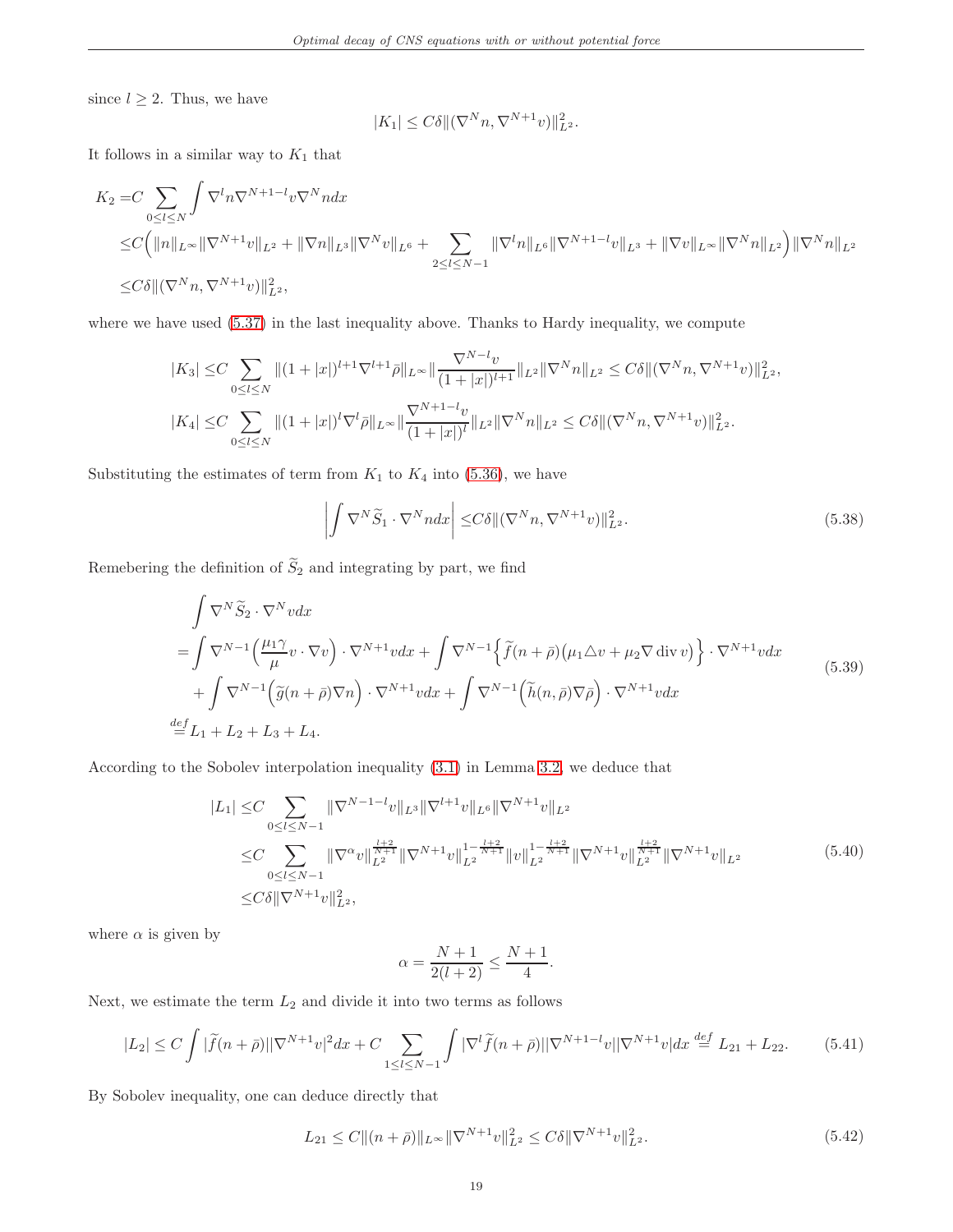since  $l \geq 2$ . Thus, we have

$$
|K_1| \leq C\delta \|\nabla^N n, \nabla^{N+1} v)\|_{L^2}^2.
$$

It follows in a similar way to  $K_1$  that

$$
K_2 = C \sum_{0 \le l \le N} \int \nabla^l n \nabla^{N+1-l} v \nabla^N n dx
$$
  
\n
$$
\le C \Big( \|n\|_{L^\infty} \|\nabla^{N+1} v\|_{L^2} + \|\nabla n\|_{L^3} \|\nabla^N v\|_{L^6} + \sum_{2 \le l \le N-1} \|\nabla^l n\|_{L^6} \|\nabla^{N+1-l} v\|_{L^3} + \|\nabla v\|_{L^\infty} \|\nabla^N n\|_{L^2} \Big) \|\nabla^N n\|_{L^2}
$$
  
\n
$$
\le C \delta \| (\nabla^N n, \nabla^{N+1} v) \|_{L^2}^2,
$$

where we have used [\(5.37\)](#page-17-4) in the last inequality above. Thanks to Hardy inequality, we compute

$$
|K_3| \leq C \sum_{0 \leq l \leq N} \|(1+|x|)^{l+1}\nabla^{l+1}\bar{\rho}\|_{L^{\infty}} \|\frac{\nabla^{N-l}v}{(1+|x|)^{l+1}}\|_{L^2} \|\nabla^N n\|_{L^2} \leq C\delta \|(\nabla^N n, \nabla^{N+1}v)\|_{L^2}^2,
$$
  

$$
|K_4| \leq C \sum_{0 \leq l \leq N} \|(1+|x|)^l \nabla^l \bar{\rho}\|_{L^{\infty}} \|\frac{\nabla^{N+1-l}v}{(1+|x|)^l}\|_{L^2} \|\nabla^N n\|_{L^2} \leq C\delta \|(\nabla^N n, \nabla^{N+1}v)\|_{L^2}^2.
$$

<span id="page-18-4"></span>Substituting the estimates of term from  $K_1$  to  $K_4$  into [\(5.36\)](#page-17-5), we have

$$
\left| \int \nabla^N \widetilde{S}_1 \cdot \nabla^N n dx \right| \leq C \delta \| (\nabla^N n, \nabla^{N+1} v) \|_{L^2}^2.
$$
\n(5.38)

Reme<br/>bering the definition of  $\widetilde{S}_2$  and integrating by part, we find

$$
\int \nabla^{N} \widetilde{S}_{2} \cdot \nabla^{N} v dx
$$
\n
$$
= \int \nabla^{N-1} \left( \frac{\mu_{1} \gamma}{\mu} v \cdot \nabla v \right) \cdot \nabla^{N+1} v dx + \int \nabla^{N-1} \left\{ \widetilde{f}(n+\bar{\rho}) \left( \mu_{1} \triangle v + \mu_{2} \nabla \operatorname{div} v \right) \right\} \cdot \nabla^{N+1} v dx
$$
\n
$$
+ \int \nabla^{N-1} \left( \widetilde{g}(n+\bar{\rho}) \nabla n \right) \cdot \nabla^{N+1} v dx + \int \nabla^{N-1} \left( \widetilde{h}(n,\bar{\rho}) \nabla \bar{\rho} \right) \cdot \nabla^{N+1} v dx
$$
\n
$$
\stackrel{def}{=} L_{1} + L_{2} + L_{3} + L_{4}.
$$
\n(5.39)

<span id="page-18-3"></span>According to the Sobolev interpolation inequality [\(3.1\)](#page-6-3) in Lemma [3.2,](#page-6-4) we deduce that

$$
|L_{1}| \leq C \sum_{0 \leq l \leq N-1} \|\nabla^{N-1-l}v\|_{L^{3}} \|\nabla^{l+1}v\|_{L^{6}} \|\nabla^{N+1}v\|_{L^{2}} \n\leq C \sum_{0 \leq l \leq N-1} \|\nabla^{\alpha}v\|_{L^{2}}^{\frac{l+2}{N+1}} \|\nabla^{N+1}v\|_{L^{2}}^{1-\frac{l+2}{N+1}} \|v\|_{L^{2}}^{1-\frac{l+2}{N+1}} \|\nabla^{N+1}v\|_{L^{2}}^{\frac{l+2}{N+1}} \|\nabla^{N+1}v\|_{L^{2}}^{1-\frac{l+2}{N+1}}.
$$
\n(5.40)\n
$$
\leq C\delta \|\nabla^{N+1}v\|_{L^{2}}^{2},
$$

<span id="page-18-2"></span>where  $\alpha$  is given by

$$
\alpha = \frac{N+1}{2(l+2)} \le \frac{N+1}{4}.
$$

Next, we estimate the term  $L_2$  and divide it into two terms as follows

<span id="page-18-0"></span>
$$
|L_2| \le C \int |\tilde{f}(n+\bar{\rho})||\nabla^{N+1}v|^2 dx + C \sum_{1 \le l \le N-1} \int |\nabla^l \tilde{f}(n+\bar{\rho})||\nabla^{N+1-l}v||\nabla^{N+1}v| dx \stackrel{def}{=} L_{21} + L_{22}.
$$
 (5.41)

<span id="page-18-1"></span>By Sobolev inequality, one can deduce directly that

$$
L_{21} \le C \| (n + \bar{\rho}) \|_{L^{\infty}} \| \nabla^{N+1} v \|_{L^2}^2 \le C \delta \| \nabla^{N+1} v \|_{L^2}^2. \tag{5.42}
$$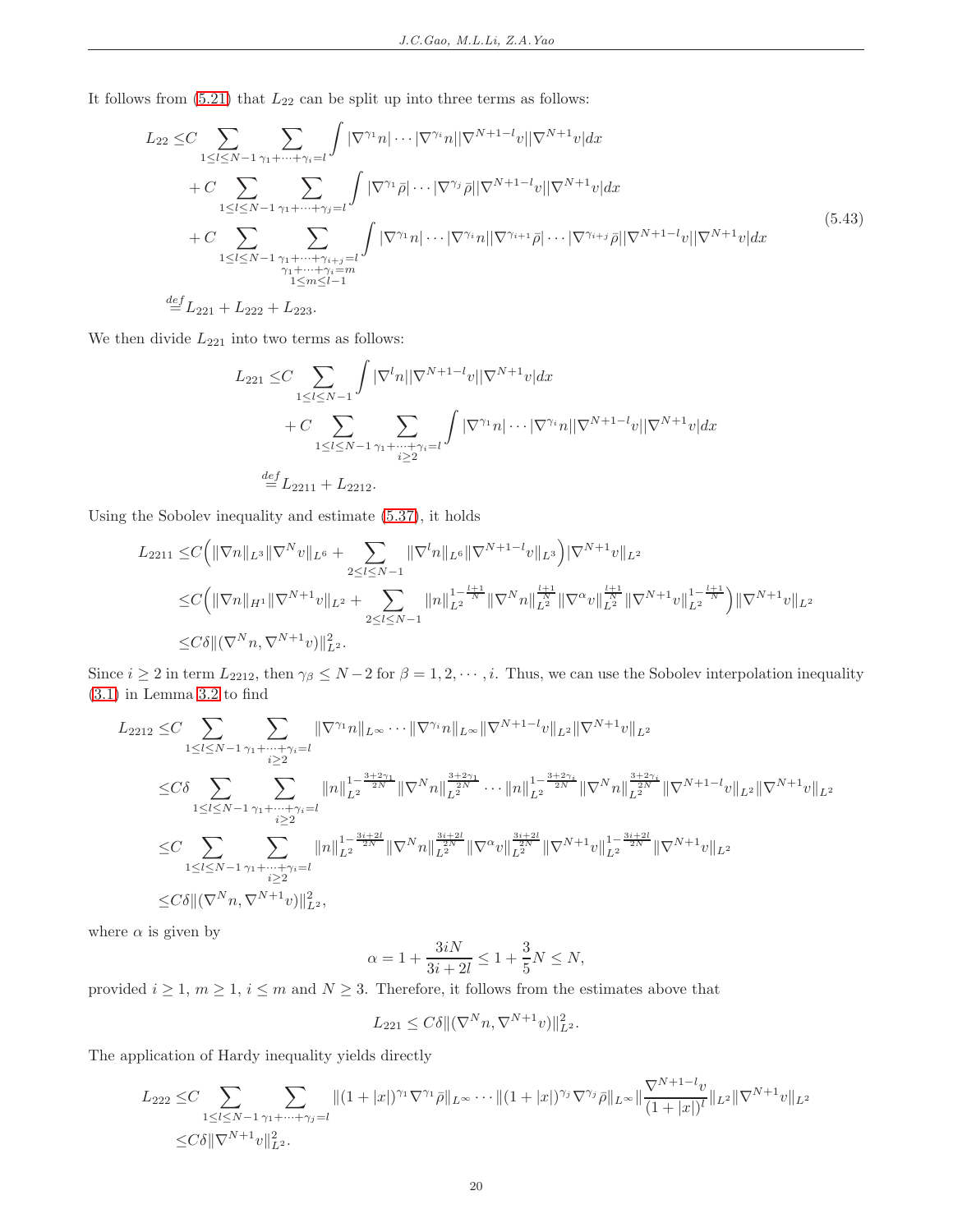It follows from  $(5.21)$  that  $L_{22}$  can be split up into three terms as follows:

<span id="page-19-0"></span>
$$
L_{22} \leq C \sum_{1 \leq l \leq N-1} \sum_{\gamma_1 + \dots + \gamma_i = l} \int |\nabla^{\gamma_1} n| \cdots |\nabla^{\gamma_i} n| |\nabla^{N+1-i} v| |\nabla^{N+1} v| dx + C \sum_{1 \leq l \leq N-1} \sum_{\gamma_1 + \dots + \gamma_j = l} \int |\nabla^{\gamma_1} \bar{\rho}| \cdots |\nabla^{\gamma_j} \bar{\rho}| |\nabla^{N+1-i} v| |\nabla^{N+1} v| dx + C \sum_{1 \leq l \leq N-1} \sum_{\substack{\gamma_1 + \dots + \gamma_{i+j} = l \\ \gamma_1 + \dots + \gamma_i = m \\ 1 \leq m \leq l-1}} \int |\nabla^{\gamma_1} n| \cdots |\nabla^{\gamma_i} n| |\nabla^{\gamma_{i+1}} \bar{\rho}| \cdots |\nabla^{\gamma_{i+j}} \bar{\rho}| |\nabla^{N+1-i} v| |\nabla^{N+1} v| dx
$$
\n(5.43)

 $\stackrel{def}{=} L_{221} + L_{222} + L_{223}.$ 

We then divide  $L_{221}$  into two terms as follows:

$$
L_{221} \leq C \sum_{1 \leq l \leq N-1} \int |\nabla^l n| |\nabla^{N+1-l} v| |\nabla^{N+1} v| dx
$$
  
+ 
$$
C \sum_{1 \leq l \leq N-1} \sum_{\gamma_1 + \dots + \gamma_i = l} \int |\nabla^{\gamma_1} n| \dots |\nabla^{\gamma_i} n| |\nabla^{N+1-l} v| |\nabla^{N+1} v| dx
$$
  

$$
\stackrel{def}{=} L_{2211} + L_{2212}.
$$

Using the Sobolev inequality and estimate [\(5.37\)](#page-17-4), it holds

$$
L_{2211} \leq C \Big( \|\nabla n\|_{L^{3}} \|\nabla^{N} v\|_{L^{6}} + \sum_{2 \leq l \leq N-1} \|\nabla^{l} n\|_{L^{6}} \|\nabla^{N+1-l} v\|_{L^{3}} \Big) |\nabla^{N+1} v\|_{L^{2}} \n\leq C \Big( \|\nabla n\|_{H^{1}} \|\nabla^{N+1} v\|_{L^{2}} + \sum_{2 \leq l \leq N-1} \|n\|_{L^{2}}^{1-\frac{l+1}{N}} \|\nabla^{N} n\|_{L^{2}}^{\frac{l+1}{N}} \|\nabla^{\alpha} v\|_{L^{2}}^{\frac{l+1}{N}} \|\nabla^{N+1} v\|_{L^{2}}^{1-\frac{l+1}{N}} \Big) \|\nabla^{N+1} v\|_{L^{2}} \n\leq C \delta \| (\nabla^{N} n, \nabla^{N+1} v) \|_{L^{2}}^{2}.
$$

Since  $i \geq 2$  in term  $L_{2212}$ , then  $\gamma_{\beta} \leq N-2$  for  $\beta = 1, 2, \dots, i$ . Thus, we can use the Sobolev interpolation inequality [\(3.1\)](#page-6-3) in Lemma [3.2](#page-6-4) to find

$$
\begin{split} L_{2212} \leq & C \sum_{1 \leq l \leq N-1} \sum_{\gamma_1 + \dots + \gamma_i = l} \|\nabla^{\gamma_1} n\|_{L^{\infty}} \cdots \|\nabla^{\gamma_i} n\|_{L^{\infty}} \|\nabla^{N+1-i} v\|_{L^2} \|\nabla^{N+1} v\|_{L^2} \\ \leq & C \delta \sum_{1 \leq l \leq N-1} \sum_{\gamma_1 + \dots + \gamma_i = l} \|n\|_{L^2}^{1 - \frac{3 + 2\gamma_1}{2N}} \|\nabla^N n\|_{L^2}^{\frac{3 + 2\gamma_1}{2N}} \cdots \|n\|_{L^2}^{1 - \frac{3 + 2\gamma_i}{2N}} \|\nabla^N n\|_{L^2}^{\frac{3 + 2\gamma_i}{2N}} \|\nabla^{N+1-i} v\|_{L^2} \|\nabla^{N+1} v\|_{L^2} \\ \leq & C \sum_{1 \leq l \leq N-1} \sum_{\gamma_1 + \dots + \gamma_i = l} \|n\|_{L^2}^{1 - \frac{3i + 2l}{2N}} \|\nabla^N n\|_{L^2}^{\frac{3i + 2l}{2N}} \|\nabla^{\alpha} v\|_{L^2}^{\frac{3i + 2l}{2N}} \|\nabla^{N+1} v\|_{L^2}^{1 - \frac{3i + 2l}{2N}} \|\nabla^N n + v\|_{L^2} \\ \leq & C \delta \|( \nabla^N n, \nabla^{N+1} v) \|^2_{L^2}, \end{split}
$$

where  $\alpha$  is given by

$$
\alpha = 1 + \frac{3iN}{3i + 2l} \le 1 + \frac{3}{5}N \le N,
$$

provided  $i \geq 1$ ,  $m \geq 1$ ,  $i \leq m$  and  $N \geq 3$ . Therefore, it follows from the estimates above that

$$
L_{221} \leq C\delta \|\nabla^N n, \nabla^{N+1} v)\|_{L^2}^2.
$$

The application of Hardy inequality yields directly

$$
L_{222} \leq C \sum_{1 \leq l \leq N-1} \sum_{\gamma_1 + \dots + \gamma_j = l} \| (1 + |x|)^{\gamma_1} \nabla^{\gamma_1} \bar{\rho} \|_{L^{\infty}} \cdots \| (1 + |x|)^{\gamma_j} \nabla^{\gamma_j} \bar{\rho} \|_{L^{\infty}} \|\frac{\nabla^{N+1-l} v}{(1 + |x|)^l} \|_{L^2} \|\nabla^{N+1} v \|_{L^2}
$$
  

$$
\leq C\delta \|\nabla^{N+1} v\|_{L^2}^2.
$$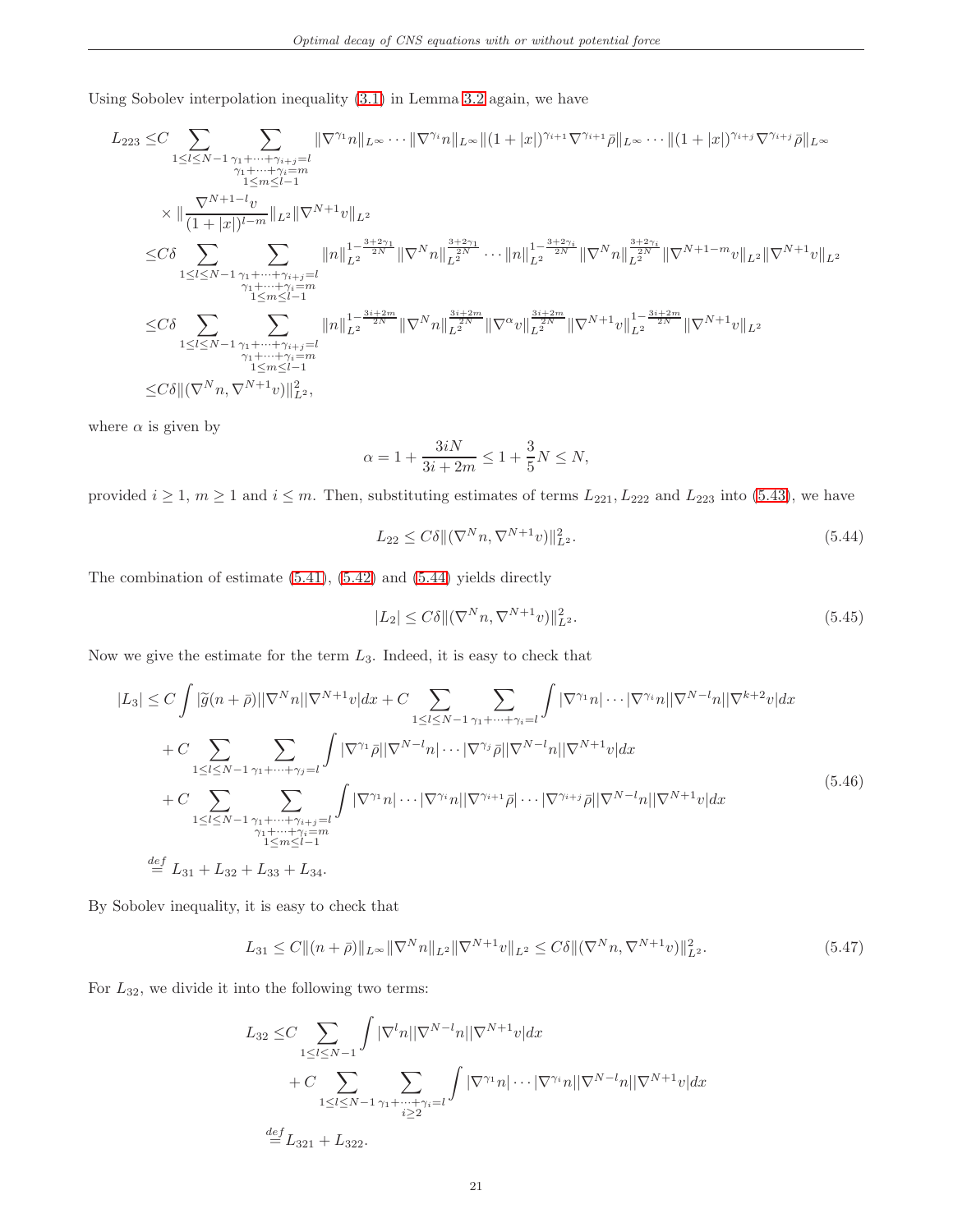Using Sobolev interpolation inequality [\(3.1\)](#page-6-3) in Lemma [3.2](#page-6-4) again, we have

$$
L_{223} \leq C \sum_{1 \leq l \leq N-1} \sum_{\substack{\gamma_1 + \dots + \gamma_{i+j} = l \\ \gamma_1 + \dots + \gamma_i = m \\ 1 \leq m \leq l-1}} \| \nabla^{\gamma_1} n \|_{L^{\infty}} \cdots \| \nabla^{\gamma_i} n \|_{L^{\infty}} \| (1+|x|)^{\gamma_{i+1}} \nabla^{\gamma_{i+1}} \bar{\rho} \|_{L^{\infty}} \cdots \| (1+|x|)^{\gamma_{i+j}} \nabla^{\gamma_{i+j}} \bar{\rho} \|_{L^{\infty}}
$$
\n
$$
\times \| \frac{\nabla^{N+1-l} v}{(1+|x|)^{l-m}} \|_{L^2} \|\nabla^{N+1} v \|_{L^2}
$$
\n
$$
\leq C \delta \sum_{1 \leq l \leq N-1} \sum_{\substack{\gamma_1 + \dots + \gamma_{i+j} = l \\ \gamma_1 + \dots + \gamma_i = m \\ 1 \leq m \leq l-1}} \| n \|_{L^2}^{1 - \frac{3+2\gamma_1}{2N}} \|\nabla^N n \|_{L^2}^{\frac{3+2\gamma_1}{2N}} \cdots \| n \|_{L^2}^{1 - \frac{3+2\gamma_i}{2N}} \|\nabla^N n \|_{L^2}^{\frac{3+2\gamma_i}{2N}} \|\nabla^N n \|_{L^2}^{\frac{3+2\gamma_i}{2N}} \|\nabla^N n \|_{L^2}^{\frac{3+2\gamma_i}{2N}} \|\nabla^N n \|_{L^2}^{1 - \frac{3i + 2m}{2N}} \|\nabla^{N+1} v \|_{L^2}
$$
\n
$$
\leq C \delta \sum_{1 \leq l \leq N-1} \sum_{\substack{\gamma_1 + \dots + \gamma_{i+j} = l \\ \gamma_1 + \dots + \gamma_i = m \\ 1 \leq m \leq l-1}} \| n \|_{L^2}^{1 - \frac{3i + 2m}{2N}} \|\nabla^N n \|_{L^2}^{\frac{3i + 2m}{2N}} \|\nabla^{\alpha} v \|_{L^2}^{\frac{3i + 2m}{2N}} \|\nabla^{N+1} v \|_{L^2}^{1 - \frac{3i + 2m}{2N}} \|\nabla^{N+1} v \|_{L^2}
$$

where  $\alpha$  is given by

$$
\alpha = 1 + \frac{3iN}{3i + 2m} \le 1 + \frac{3}{5}N \le N,
$$

<span id="page-20-0"></span>provided  $i \geq 1$ ,  $m \geq 1$  and  $i \leq m$ . Then, substituting estimates of terms  $L_{221}$ ,  $L_{222}$  and  $L_{223}$  into [\(5.43\)](#page-19-0), we have

$$
L_{22} \le C\delta \|\nabla^N n, \nabla^{N+1} v\|_{L^2}^2. \tag{5.44}
$$

The combination of estimate [\(5.41\)](#page-18-0), [\(5.42\)](#page-18-1) and [\(5.44\)](#page-20-0) yields directly

<span id="page-20-3"></span>
$$
|L_2| \le C\delta \|\left(\nabla^N n, \nabla^{N+1} v\right)\|_{L^2}^2.
$$
\n(5.45)

Now we give the estimate for the term  $L_3$ . Indeed, it is easy to check that

<span id="page-20-2"></span>
$$
|L_{3}| \leq C \int |\tilde{g}(n+\bar{\rho})||\nabla^{N}n||\nabla^{N+1}v|dx + C \sum_{1 \leq l \leq N-1} \sum_{\gamma_{1}+\cdots+\gamma_{i}=l} \int |\nabla^{\gamma_{1}}n| \cdots |\nabla^{\gamma_{i}}n||\nabla^{N-l}n||\nabla^{k+2}v|dx
$$
  
+ 
$$
C \sum_{1 \leq l \leq N-1} \sum_{\gamma_{1}+\cdots+\gamma_{j}=l} \int |\nabla^{\gamma_{1}}\bar{\rho}||\nabla^{N-l}n| \cdots |\nabla^{\gamma_{j}}\bar{\rho}||\nabla^{N-l}n||\nabla^{N+1}v|dx
$$
  
+ 
$$
C \sum_{1 \leq l \leq N-1} \sum_{\substack{\gamma_{1}+\cdots+\gamma_{i}+j=l \ \gamma_{1}+\cdots+\gamma_{i}=m \ \text{is odd}}} \int |\nabla^{\gamma_{1}}n| \cdots |\nabla^{\gamma_{i}}n||\nabla^{\gamma_{i+1}}\bar{\rho}| \cdots |\nabla^{\gamma_{i+j}}\bar{\rho}||\nabla^{N-l}n||\nabla^{N+1}v|dx
$$
  
= 
$$
L_{31} + L_{32} + L_{33} + L_{34}.
$$
  
(5.46)

By Sobolev inequality, it is easy to check that

$$
L_{31} \le C \| (n + \bar{\rho}) \|_{L^{\infty}} \| \nabla^{N} n \|_{L^{2}} \| \nabla^{N+1} v \|_{L^{2}} \le C \delta \| (\nabla^{N} n, \nabla^{N+1} v) \|_{L^{2}}^{2}.
$$
\n(5.47)

<span id="page-20-1"></span>For  $L_{32}$ , we divide it into the following two terms:

$$
L_{32} \leq C \sum_{1 \leq l \leq N-1} \int |\nabla^l n| |\nabla^{N-l} n| |\nabla^{N+1} v| dx + C \sum_{1 \leq l \leq N-1} \sum_{\gamma_1 + \dots + \gamma_i = l} \int |\nabla^{\gamma_1} n| \cdots |\nabla^{\gamma_i} n| |\nabla^{N-l} n| |\nabla^{N+1} v| dx \stackrel{def}{=} L_{321} + L_{322}.
$$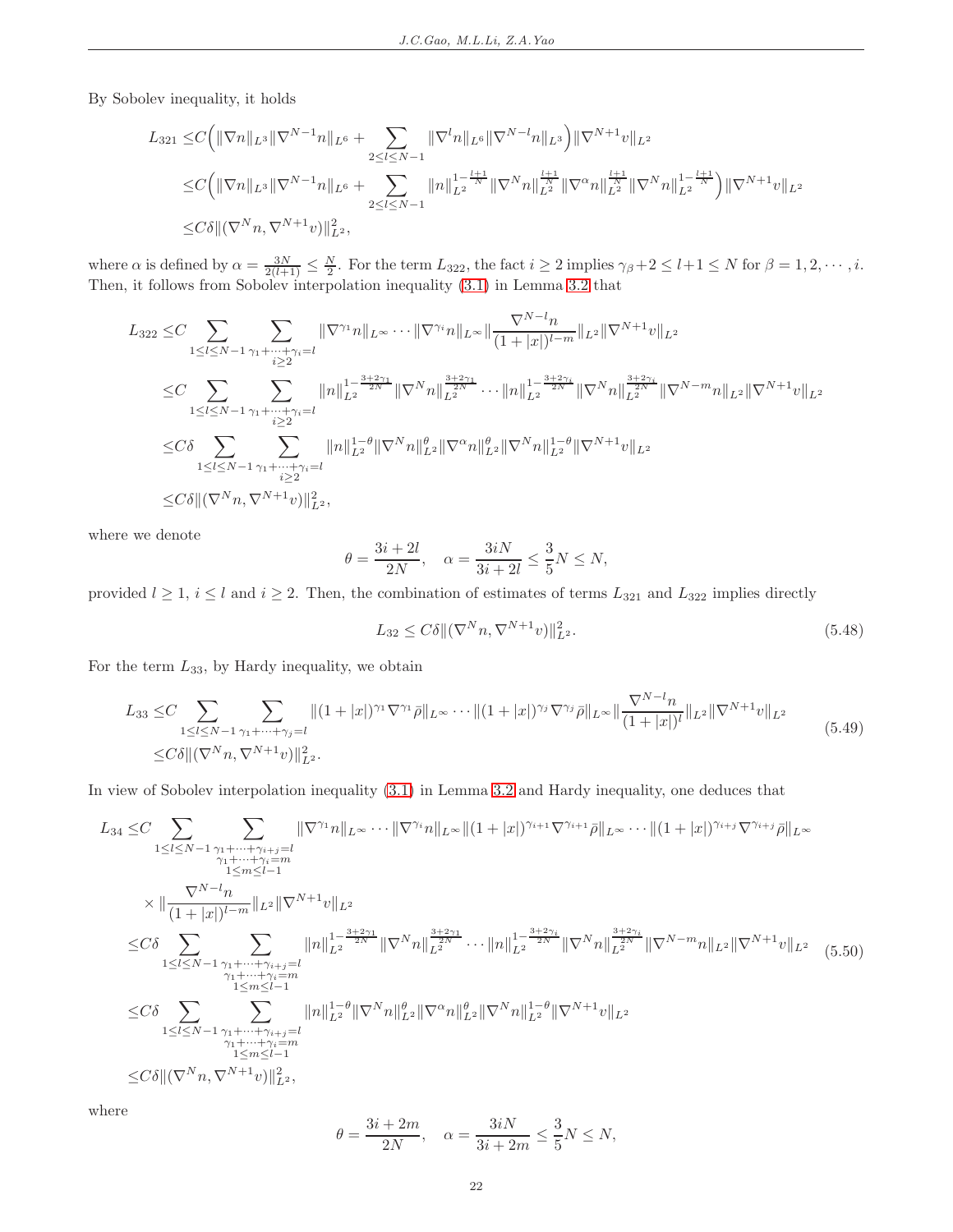By Sobolev inequality, it holds

$$
L_{321} \leq C \Big( \|\nabla n\|_{L^{3}} \|\nabla^{N-1} n\|_{L^{6}} + \sum_{2 \leq l \leq N-1} \|\nabla^{l} n\|_{L^{6}} \|\nabla^{N-l} n\|_{L^{3}} \Big) \|\nabla^{N+1} v\|_{L^{2}} \n\leq C \Big( \|\nabla n\|_{L^{3}} \|\nabla^{N-1} n\|_{L^{6}} + \sum_{2 \leq l \leq N-1} \|n\|_{L^{2}}^{1-\frac{l+1}{N}} \|\nabla^{N} n\|_{L^{2}}^{\frac{l+1}{N}} \|\nabla^{\alpha} n\|_{L^{2}}^{\frac{l+1}{N}} \|\nabla^{N} n\|_{L^{2}}^{1-\frac{l+1}{N}} \Big) \|\nabla^{N+1} v\|_{L^{2}} \n\leq C\delta \|\left(\nabla^{N} n, \nabla^{N+1} v\right)\|_{L^{2}}^{2},
$$

where  $\alpha$  is defined by  $\alpha = \frac{3N}{2(l+1)} \leq \frac{N}{2}$ . For the term  $L_{322}$ , the fact  $i \geq 2$  implies  $\gamma_{\beta} + 2 \leq l+1 \leq N$  for  $\beta = 1, 2, \cdots, i$ . Then, it follows from Sobolev interpolation inequality [\(3.1\)](#page-6-3) in Lemma [3.2](#page-6-4) that

$$
L_{322} \leq C \sum_{1 \leq l \leq N-1} \sum_{\substack{\gamma_1 + \dots + \gamma_i = l \\ i \geq 2}} \|\nabla^{\gamma_1} n\|_{L^{\infty}} \cdots \|\nabla^{\gamma_i} n\|_{L^{\infty}} \|\frac{\nabla^{N-l} n}{(1+|x|)^{l-m}}\|_{L^2} \|\nabla^{N+1} v\|_{L^2}
$$
\n
$$
\leq C \sum_{1 \leq l \leq N-1} \sum_{\substack{\gamma_1 + \dots + \gamma_i = l \\ i \geq 2}} \|n\|_{L^2}^{1 - \frac{3+2\gamma_1}{2N}} \|\nabla^N n\|_{L^2}^{\frac{3+2\gamma_1}{2N}} \cdots \|n\|_{L^2}^{1 - \frac{3+2\gamma_i}{2N}} \|\nabla^N n\|_{L^2}^{\frac{3+2\gamma_i}{2N}} \|\nabla^{N-1} n\|_{L^2} \|\nabla^{N-1} v\|_{L^2}
$$
\n
$$
\leq C\delta \sum_{1 \leq l \leq N-1} \sum_{\substack{\gamma_1 + \dots + \gamma_i = l \\ i \geq 2}} \|n\|_{L^2}^{1 - \theta} \|\nabla^N n\|_{L^2}^{\theta} \|\nabla^{\alpha} n\|_{L^2}^{\theta} \|\nabla^N n\|_{L^2}^{1 - \theta} \|\nabla^{N+1} v\|_{L^2}
$$
\n
$$
\leq C\delta \|(\nabla^N n, \nabla^{N+1} v)\|_{L^2}^2,
$$

where we denote

$$
\theta = \frac{3i+2l}{2N}, \quad \alpha = \frac{3iN}{3i+2l} \le \frac{3}{5}N \le N,
$$

provided  $l \geq 1$ ,  $i \leq l$  and  $i \geq 2$ . Then, the combination of estimates of terms  $L_{321}$  and  $L_{322}$  implies directly

$$
L_{32} \le C\delta \|\nabla^N n, \nabla^{N+1} v)\|_{L^2}^2. \tag{5.48}
$$

For the term  $L_{33}$ , by Hardy inequality, we obtain

$$
L_{33} \leq C \sum_{1 \leq l \leq N-1} \sum_{\gamma_1 + \dots + \gamma_j = l} \|(1+|x|)^{\gamma_1} \nabla^{\gamma_1} \bar{\rho} \|_{L^{\infty}} \cdots \|(1+|x|)^{\gamma_j} \nabla^{\gamma_j} \bar{\rho} \|_{L^{\infty}} \|\frac{\nabla^{N-l} n}{(1+|x|)^l} \|_{L^2} \|\nabla^{N+1} v \|_{L^2}
$$
\n
$$
\leq C\delta \| (\nabla^N n, \nabla^{N+1} v) \|_{L^2}^2. \tag{5.49}
$$

In view of Sobolev interpolation inequality [\(3.1\)](#page-6-3) in Lemma [3.2](#page-6-4) and Hardy inequality, one deduces that

<span id="page-21-0"></span>
$$
L_{34} \leq C \sum_{1 \leq l \leq N-1} \sum_{\substack{\gamma_1 + \dots + \gamma_{i+j} = l \\ \gamma_1 + \dots + \gamma_i = m \\ 1 \leq m \leq l-1}} \|\nabla^{\gamma_1} n\|_{L^{\infty}} \cdots \|\nabla^{\gamma_i} n\|_{L^{\infty}} \|(1+|x|)^{\gamma_{i+1}} \nabla^{\gamma_{i+1}} \bar{\rho}\|_{L^{\infty}} \cdots \|(1+|x|)^{\gamma_{i+j}} \nabla^{\gamma_{i+j}} \bar{\rho}\|_{L^{\infty}} \times \|\frac{\nabla^{N-l} n}{(1+|x|)^{l-m}}\|_{L^2} \|\nabla^{N+1} v\|_{L^2} \n\leq C\delta \sum_{1 \leq l \leq N-1} \sum_{\substack{\gamma_1 + \dots + \gamma_{i+j} = l \\ \gamma_1 + \dots + \gamma_i = m \\ 1 \leq m \leq l-1}} \|n\|_{L^2}^{1 - \frac{3+2\gamma_1}{2N}} \|\nabla^N n\|_{L^2}^{\frac{3+2\gamma_1}{2N}} \cdots \|n\|_{L^2}^{1 - \frac{3+2\gamma_i}{2N}} \|\nabla^N n\|_{L^2}^{\frac{3+2\gamma_i}{2N}} \|\nabla^{N-m} n\|_{L^2} \|\nabla^{N-l} v\|_{L^2} \tag{5.50}
$$
\n
$$
\leq C\delta \sum_{1 \leq l \leq N-1} \sum_{\substack{\gamma_1 + \dots + \gamma_{i+j} = l \\ \gamma_1 + \dots + \gamma_i = m \\ 1 \leq m \leq l-1}} \|n\|_{L^2}^{1 - \theta} \|\nabla^N n\|_{L^2}^{\theta} \|\nabla^N n\|_{L^2}^{\theta} \|\nabla^N n\|_{L^2}^{1 - \theta} \|\nabla^N n\|_{L^2}^{1 - \theta} \|\nabla^{N+1} v\|_{L^2} \n\leq C\delta \|\left(\nabla^N n, \nabla^{N+1} v\right)\|_{L^2}^2,
$$

where

$$
\theta = \frac{3i + 2m}{2N}, \quad \alpha = \frac{3iN}{3i + 2m} \le \frac{3}{5}N \le N,
$$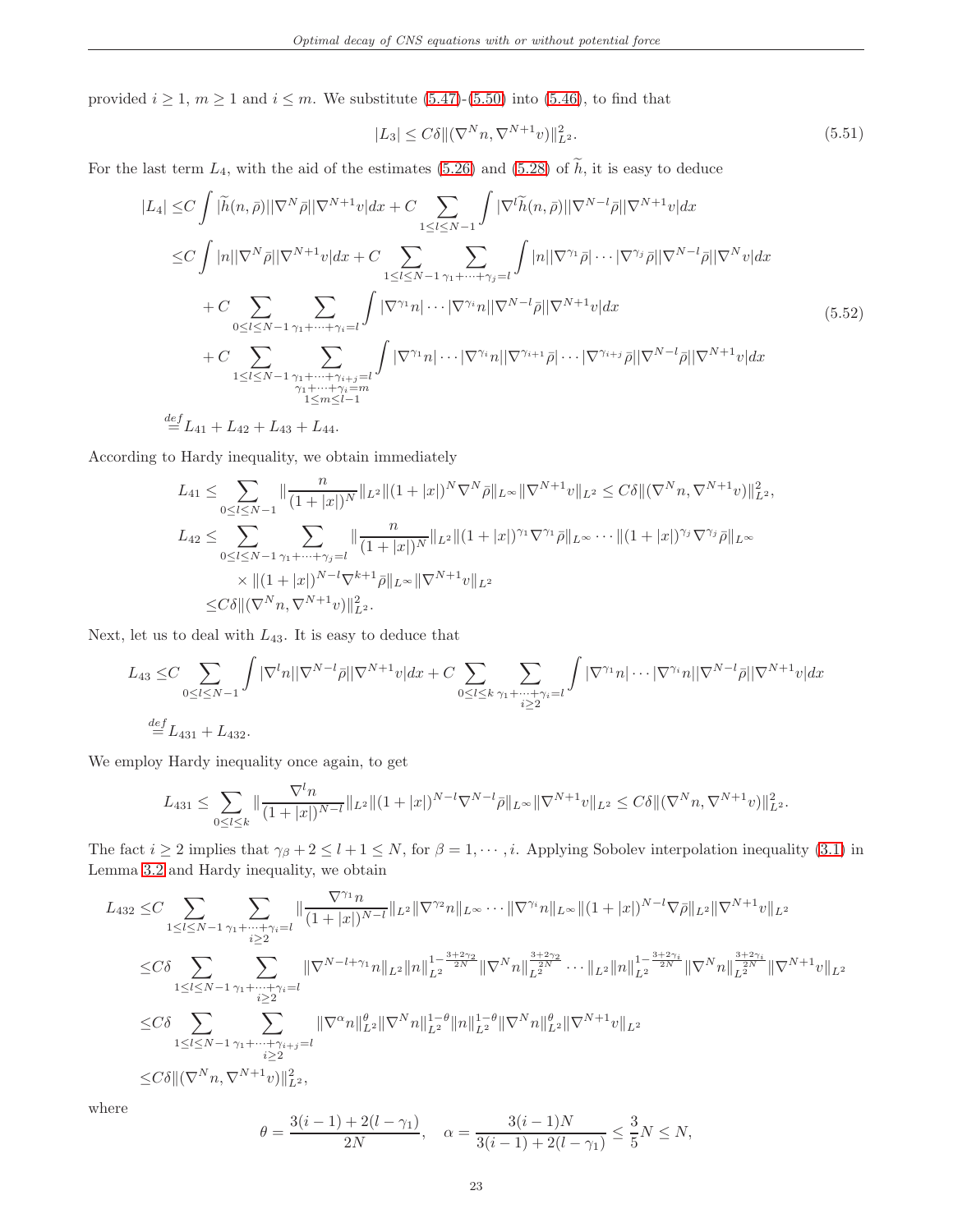<span id="page-22-1"></span>provided  $i \geq 1$ ,  $m \geq 1$  and  $i \leq m$ . We substitute [\(5.47\)](#page-20-1)-[\(5.50\)](#page-21-0) into [\(5.46\)](#page-20-2), to find that

$$
|L_3| \le C\delta \|\nabla^N n, \nabla^{N+1} v\|_{L^2}^2. \tag{5.51}
$$

For the last term  $L_4$ , with the aid of the estimates [\(5.26\)](#page-15-1) and [\(5.28\)](#page-15-3) of  $\tilde{h}$ , it is easy to deduce

<span id="page-22-0"></span>
$$
|L_{4}| \leq C \int |\widetilde{h}(n,\bar{\rho})| |\nabla^{N}\bar{\rho}| |\nabla^{N+1}v| dx + C \sum_{1 \leq l \leq N-1} \int |\nabla^{l}\widetilde{h}(n,\bar{\rho})| |\nabla^{N-l}\bar{\rho}| |\nabla^{N+1}v| dx
$$
  
\n
$$
\leq C \int |n| |\nabla^{N}\bar{\rho}| |\nabla^{N+1}v| dx + C \sum_{1 \leq l \leq N-1} \sum_{\gamma_{1}+\cdots+\gamma_{j}=l} \int |n| |\nabla^{\gamma_{1}}\bar{\rho}| \cdots |\nabla^{\gamma_{j}}\bar{\rho}| |\nabla^{N-l}\bar{\rho}| |\nabla^{N}v| dx
$$
  
\n
$$
+ C \sum_{0 \leq l \leq N-1} \sum_{\gamma_{1}+\cdots+\gamma_{i}=l} \int |\nabla^{\gamma_{1}}n| \cdots |\nabla^{\gamma_{i}}n| |\nabla^{N-l}\bar{\rho}| |\nabla^{N+1}v| dx
$$
  
\n
$$
+ C \sum_{1 \leq l \leq N-1} \sum_{\substack{\gamma_{1}+\cdots+\gamma_{i+j}=l \\ \gamma_{1}+\cdots+\gamma_{i}=m \\ 1 \leq m \leq l-1}} \int |\nabla^{\gamma_{1}}n| \cdots |\nabla^{\gamma_{i}}n| |\nabla^{\gamma_{i+1}}\bar{\rho}| \cdots |\nabla^{\gamma_{i+j}}\bar{\rho}| |\nabla^{N-l}\bar{\rho}| |\nabla^{N+1}v| dx
$$
  
\n
$$
\stackrel{def}{=} L_{41} + L_{42} + L_{43} + L_{44}.
$$
  
\n(5.52)

According to Hardy inequality, we obtain immediately

$$
L_{41} \leq \sum_{0 \leq l \leq N-1} \|\frac{n}{(1+|x|)^N}\|_{L^2} \|(1+|x|)^N \nabla^N \bar{\rho}\|_{L^{\infty}} \|\nabla^{N+1} v\|_{L^2} \leq C\delta \|(\nabla^N n, \nabla^{N+1} v)\|_{L^2}^2,
$$
  
\n
$$
L_{42} \leq \sum_{0 \leq l \leq N-1} \sum_{\gamma_1 + \dots + \gamma_j = l} \|\frac{n}{(1+|x|)^N}\|_{L^2} \|(1+|x|)^{\gamma_1} \nabla^{\gamma_1} \bar{\rho}\|_{L^{\infty}} \cdots \|(1+|x|)^{\gamma_j} \nabla^{\gamma_j} \bar{\rho}\|_{L^{\infty}}
$$
  
\n
$$
\times \|(1+|x|)^{N-l} \nabla^{k+1} \bar{\rho}\|_{L^{\infty}} \|\nabla^{N+1} v\|_{L^2}
$$
  
\n
$$
\leq C\delta \|(\nabla^N n, \nabla^{N+1} v)\|_{L^2}^2.
$$

Next, let us to deal with  $L_{43}$ . It is easy to deduce that

$$
L_{43} \leq C \sum_{0 \leq l \leq N-1} \int |\nabla^l n| |\nabla^{N-l} \bar{\rho}| |\nabla^{N+1} v| dx + C \sum_{0 \leq l \leq k} \sum_{\substack{\gamma_1 + \dots + \gamma_i = l \\ i \geq 2}} \int |\nabla^{\gamma_1} n| \cdots |\nabla^{\gamma_i} n| |\nabla^{N-l} \bar{\rho}| |\nabla^{N+1} v| dx
$$
  
\n
$$
\stackrel{def}{=} L_{431} + L_{432}.
$$

We employ Hardy inequality once again, to get

$$
L_{431} \leq \sum_{0 \leq l \leq k} \|\frac{\nabla^l n}{(1+|x|)^{N-l}}\|_{L^2} \|(1+|x|)^{N-l}\nabla^{N-l}\bar{\rho}\|_{L^\infty} \|\nabla^{N+1}v\|_{L^2} \leq C\delta \|\nabla^N n, \nabla^{N+1}v\|_{L^2}^2.
$$

The fact  $i \geq 2$  implies that  $\gamma_{\beta} + 2 \leq l + 1 \leq N$ , for  $\beta = 1, \dots, i$ . Applying Sobolev interpolation inequality [\(3.1\)](#page-6-3) in Lemma [3.2](#page-6-4) and Hardy inequality, we obtain

$$
L_{432} \leq C \sum_{1 \leq l \leq N-1} \sum_{\substack{\gamma_1 + \dots + \gamma_i = l \\ i \geq 2}} \| \frac{\nabla^{\gamma_1} n}{(1+|x|)^{N-l}} \|_{L^2} \|\nabla^{\gamma_2} n \|_{L^\infty} \cdots \|\nabla^{\gamma_i} n \|_{L^\infty} \|(1+|x|)^{N-l} \nabla \bar{\rho} \|_{L^2} \|\nabla^{N+1} v \|_{L^2}
$$
\n
$$
\leq C \delta \sum_{1 \leq l \leq N-1} \sum_{\substack{\gamma_1 + \dots + \gamma_i = l \\ i \geq 2}} \| \nabla^{N-l+\gamma_1} n \|_{L^2} \|n \|_{L^2}^{1 - \frac{3+2\gamma_2}{2N}} \|\nabla^N n\|_{L^2}^{\frac{3+2\gamma_2}{2N}} \cdots \|_{L^2} \|n \|_{L^2}^{1 - \frac{3+2\gamma_i}{2N}} \|\nabla^N n\|_{L^2}^{\frac{3+2\gamma_i}{2N}} \|\nabla^N n\|_{L^2}^{\frac{3+2\gamma_i}{2N}} \|\nabla^N n\|_{L^2}^{\frac{3+2\gamma_i}{2N}} \|\nabla^N n\|_{L^2}^{\frac{3+2\gamma_i}{2N}} \|\nabla^N n\|_{L^2}^{\frac{3+2\gamma_i}{2N}} \|\nabla^N n\|_{L^2}^{\frac{3+2\gamma_i}{2N}} \|\nabla^N n\|_{L^2}^{\frac{3+2\gamma_i}{2N}} \|\nabla^{N-1} v\|_{L^2}
$$
\n
$$
\leq C \delta \|\langle \nabla^N n, \nabla^{N+1} v \rangle\|_{L^2}^2,
$$

where

$$
\theta = \frac{3(i-1) + 2(l - \gamma_1)}{2N}, \quad \alpha = \frac{3(i-1)N}{3(i-1) + 2(l - \gamma_1)} \le \frac{3}{5}N \le N,
$$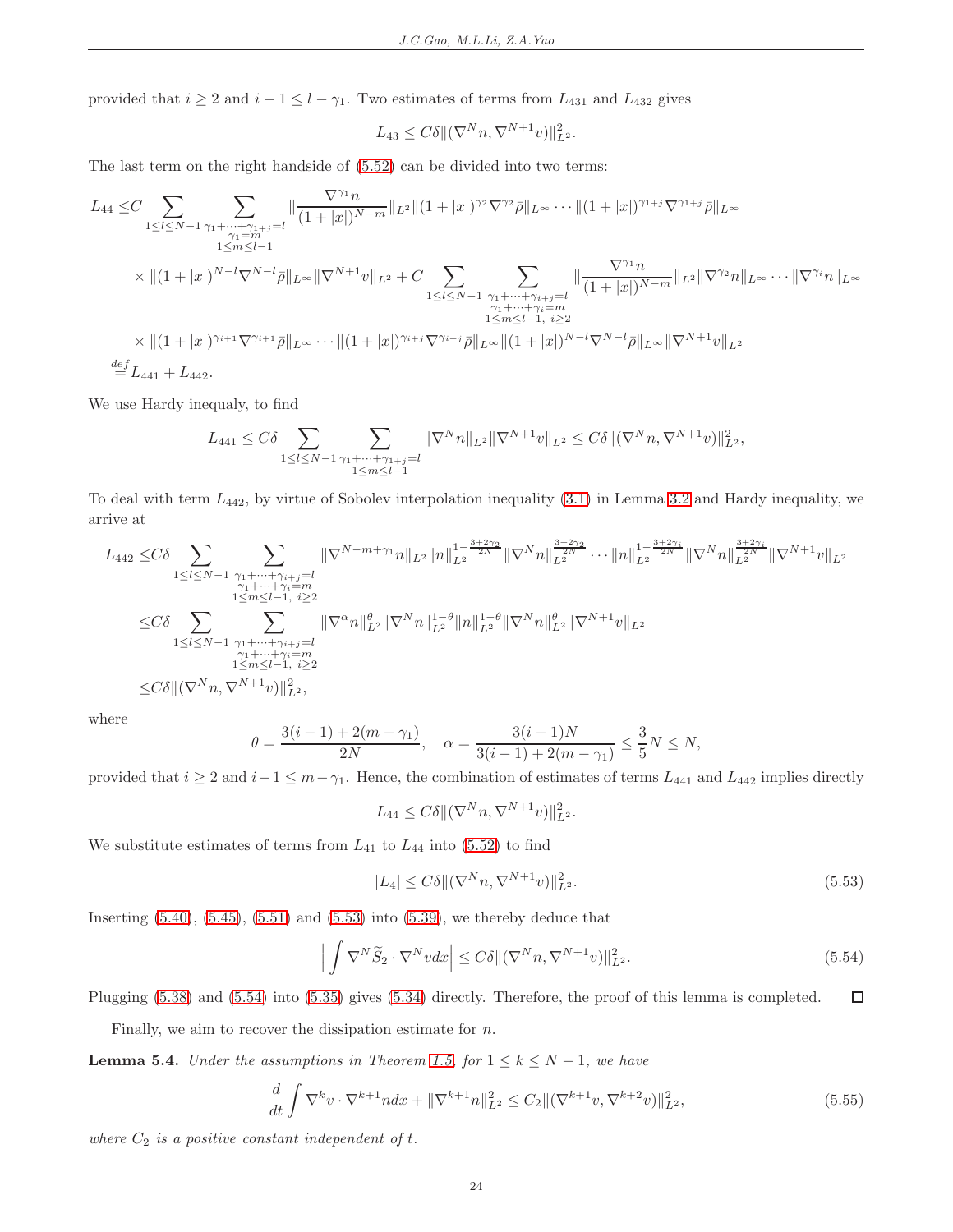provided that  $i \geq 2$  and  $i - 1 \leq l - \gamma_1$ . Two estimates of terms from  $L_{431}$  and  $L_{432}$  gives

$$
L_{43} \leq C\delta \|\nabla^N n, \nabla^{N+1} v)\|_{L^2}^2.
$$

The last term on the right handside of [\(5.52\)](#page-22-0) can be divided into two terms:

$$
L_{44} \leq C \sum_{\substack{1 \leq l \leq N-1}} \sum_{\substack{\gamma_1 + \cdots + \gamma_{1+j} = l \\ 1 \leq m \leq l-1}} \frac{\nabla^{\gamma_1} n}{(1+|x|)^{N-m}} \|_{L^2} \|(1+|x|)^{\gamma_2} \nabla^{\gamma_2} \bar{\rho} \|_{L^{\infty}} \cdots \| (1+|x|)^{\gamma_{1+j}} \nabla^{\gamma_{1+j}} \bar{\rho} \|_{L^{\infty}}
$$
\n
$$
\times \| (1+|x|)^{N-l} \nabla^{N-l} \bar{\rho} \|_{L^{\infty}} \| \nabla^{N+1} v \|_{L^2} + C \sum_{\substack{1 \leq l \leq N-1 \\ 1 \leq m \leq l-1 \\ l \leq m \leq l-1 \\ l \leq m \leq l-1}} \sum_{\substack{\gamma_1 + \cdots + \gamma_{i+j} = l \\ (\gamma_i + \gamma_i) = m \\ 1 \leq m \leq l-1 \\ l \leq m \leq l-1}} \| \frac{\nabla^{\gamma_1} n}{(1+|x|)^{N-m}} \|_{L^2} \| \nabla^{\gamma_2} n \|_{L^{\infty}} \cdots \| \nabla^{\gamma_i} n \|_{L^{\infty}}
$$
\n
$$
\times \| (1+|x|)^{\gamma_{i+1}} \nabla^{\gamma_{i+1}} \bar{\rho} \|_{L^{\infty}} \cdots \| (1+|x|)^{\gamma_{i+j}} \nabla^{\gamma_{i+j}} \bar{\rho} \|_{L^{\infty}} \| (1+|x|)^{N-l} \nabla^{N-l} \bar{\rho} \|_{L^{\infty}} \| \nabla^{N+1} v \|_{L^2}
$$
\n
$$
\stackrel{def}{=} L_{441} + L_{442}.
$$

We use Hardy inequaly, to find

$$
L_{441} \leq C\delta \sum_{1 \leq l \leq N-1} \sum_{\substack{\gamma_1 + \dots + \gamma_{1+j} = l \\ 1 \leq m \leq l-1}} \| \nabla^N n \|_{L^2} \| \nabla^{N+1} v \|_{L^2} \leq C\delta \| (\nabla^N n, \nabla^{N+1} v) \|_{L^2}^2,
$$

To deal with term  $L_{442}$ , by virtue of Sobolev interpolation inequality  $(3.1)$  in Lemma [3.2](#page-6-4) and Hardy inequality, we arrive at

$$
L_{442} \leq C\delta \sum_{1\leq l\leq N-1} \sum_{\substack{\gamma_1+\cdots+\gamma_{i+j}=l\\ \gamma_1+\cdots+\gamma_i=n\\ 1\leq l\leq N-1}} \|\nabla^{N-m+\gamma_1}n\|_{L^2} \|n\|_{L^2}^{1-\frac{3+2\gamma_2}{2N}} \|\nabla^N n\|_{L^2}^{\frac{3+2\gamma_2}{2N}}\cdots \|n\|_{L^2}^{1-\frac{3+2\gamma_i}{2N}} \|\nabla^N n\|_{L^2}^{\frac{3+2\gamma_i}{2N}} \|\nabla^N n\|_{L^2}^{1-\frac{3+2\gamma_i}{2N}}\|\nabla^N n\|_{L^2}^{1-\frac{3+2\gamma_i}{2N}}\|\nabla^N n\|_{L^2}^{1-\frac{3+2\gamma_i}{2N}}\|\nabla^N n\|_{L^2}^{1-\frac{3+2\gamma_i}{2N}}\|\nabla^N n\|_{L^2}^{1-\frac{3+2\gamma_i}{2N}}\|\nabla^N n\|_{L^2}^{1-\frac{3+2\gamma_i}{2N}}\|\nabla^N n\|_{L^2}^{1-\frac{3+2\gamma_i}{2N}}\|\nabla^N n\|_{L^2}^{1-\frac{3+2\gamma_i}{2N}}\|\nabla^N n\|_{L^2}^{1-\frac{3+2\gamma_i}{2N}}\|\nabla^N n\|_{L^2}^{1-\frac{3+2\gamma_i}{2N}}\|\nabla^N n\|_{L^2}^{1-\frac{3+2\gamma_i}{2N}}\|\nabla^N n\|_{L^2}^{1-\frac{3+2\gamma_i}{2N}}\|\nabla^N n\|_{L^2}^{1-\frac{3+2\gamma_i}{2N}}\|\nabla^N n\|_{L^2}^{1-\frac{3+2\gamma_i}{2N}}\|\nabla^N n\|_{L^2}^{1-\frac{3+2\gamma_i}{2N}}\|\nabla^N n\|_{L^2}^{1-\frac{3+2\gamma_i}{2N}}\|\nabla^N n\|_{L^2}^{1-\frac{3+2\gamma_i}{2N}}\|\nabla^N n\|_{L^2}^{1-\frac{3+2\gamma_i}{2N}}\|\nabla^N n\|_{L^2
$$

where

$$
\theta = \frac{3(i-1) + 2(m - \gamma_1)}{2N}, \quad \alpha = \frac{3(i-1)N}{3(i-1) + 2(m - \gamma_1)} \le \frac{3}{5}N \le N,
$$

provided that  $i \geq 2$  and  $i-1 \leq m-\gamma_1$ . Hence, the combination of estimates of terms  $L_{441}$  and  $L_{442}$  implies directly

$$
L_{44} \leq C\delta \|\nabla^N n, \nabla^{N+1} v)\|_{L^2}^2.
$$

<span id="page-23-1"></span>We substitute estimates of terms from  $L_{41}$  to  $L_{44}$  into [\(5.52\)](#page-22-0) to find

$$
|L_4| \le C\delta \|\nabla^N n, \nabla^{N+1} v\|_{L^2}^2. \tag{5.53}
$$

<span id="page-23-2"></span>Inserting  $(5.40)$ ,  $(5.45)$ ,  $(5.51)$  and  $(5.53)$  into  $(5.39)$ , we thereby deduce that

$$
\left| \int \nabla^N \widetilde{S}_2 \cdot \nabla^N v dx \right| \le C \delta \| (\nabla^N n, \nabla^{N+1} v) \|_{L^2}^2.
$$
\n(5.54)

Plugging [\(5.38\)](#page-18-4) and [\(5.54\)](#page-23-2) into [\(5.35\)](#page-17-3) gives [\(5.34\)](#page-17-6) directly. Therefore, the proof of this lemma is completed.  $\Box$ 

Finally, we aim to recover the dissipation estimate for  $n$ .

<span id="page-23-0"></span>**Lemma 5.4.** Under the assumptions in Theorem [1.5,](#page-3-0) for  $1 \leq k \leq N-1$ , we have

<span id="page-23-3"></span>
$$
\frac{d}{dt} \int \nabla^k v \cdot \nabla^{k+1} n dx + \|\nabla^{k+1} n\|_{L^2}^2 \le C_2 \|(\nabla^{k+1} v, \nabla^{k+2} v)\|_{L^2}^2,\tag{5.55}
$$

where  $C_2$  is a positive constant independent of  $t$ .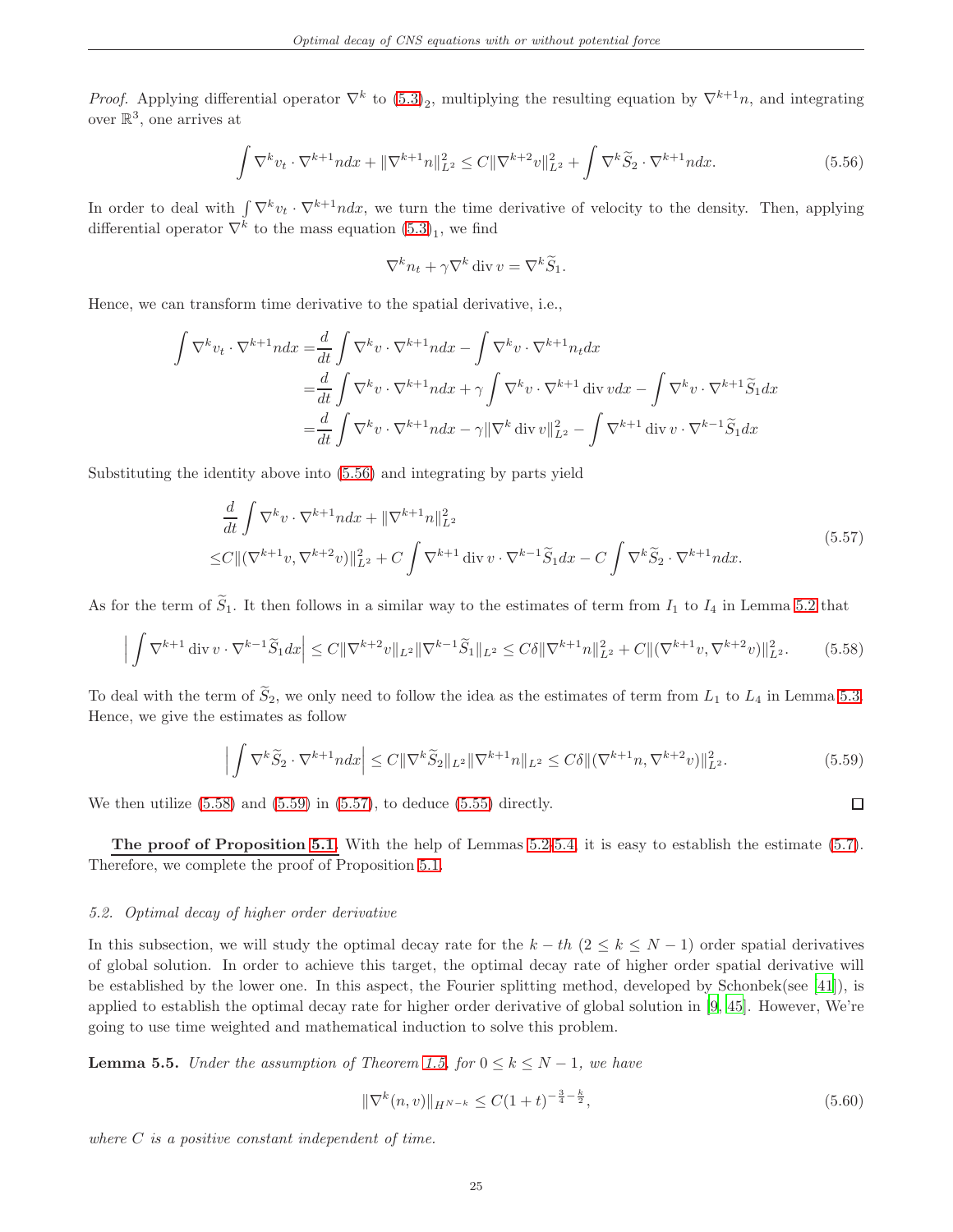*Proof.* Applying differential operator  $\nabla^k$  to  $(5.3)_2$ , multiplying the resulting equation by  $\nabla^{k+1}n$ , and integrating over  $\mathbb{R}^3$ , one arrives at

$$
\int \nabla^k v_t \cdot \nabla^{k+1} n dx + \|\nabla^{k+1} n\|_{L^2}^2 \le C \|\nabla^{k+2} v\|_{L^2}^2 + \int \nabla^k \widetilde{S}_2 \cdot \nabla^{k+1} n dx. \tag{5.56}
$$

<span id="page-24-2"></span>In order to deal with  $\int \nabla^k v_t \cdot \nabla^{k+1} n dx$ , we turn the time derivative of velocity to the density. Then, applying differential operator  $\nabla^k$  to the mass equation  $(5.3)_1$ , we find

$$
\nabla^k n_t + \gamma \nabla^k \operatorname{div} v = \nabla^k \widetilde{S}_1.
$$

Hence, we can transform time derivative to the spatial derivative, i.e.,

$$
\int \nabla^k v_t \cdot \nabla^{k+1} n dx = \frac{d}{dt} \int \nabla^k v \cdot \nabla^{k+1} n dx - \int \nabla^k v \cdot \nabla^{k+1} n_t dx
$$
  
\n
$$
= \frac{d}{dt} \int \nabla^k v \cdot \nabla^{k+1} n dx + \gamma \int \nabla^k v \cdot \nabla^{k+1} \operatorname{div} v dx - \int \nabla^k v \cdot \nabla^{k+1} \widetilde{S}_1 dx
$$
  
\n
$$
= \frac{d}{dt} \int \nabla^k v \cdot \nabla^{k+1} n dx - \gamma ||\nabla^k \operatorname{div} v||_{L^2}^2 - \int \nabla^{k+1} \operatorname{div} v \cdot \nabla^{k-1} \widetilde{S}_1 dx
$$

<span id="page-24-5"></span>Substituting the identity above into [\(5.56\)](#page-24-2) and integrating by parts yield

$$
\frac{d}{dt} \int \nabla^k v \cdot \nabla^{k+1} n dx + \|\nabla^{k+1} n\|_{L^2}^2
$$
\n
$$
\leq C \| (\nabla^{k+1} v, \nabla^{k+2} v) \|_{L^2}^2 + C \int \nabla^{k+1} \operatorname{div} v \cdot \nabla^{k-1} \widetilde{S}_1 dx - C \int \nabla^k \widetilde{S}_2 \cdot \nabla^{k+1} n dx. \tag{5.57}
$$

As for the term of  $\widetilde{S}_1$ . It then follows in a similar way to the estimates of term from  $I_1$  to  $I_4$  in Lemma [5.2](#page-12-0) that

<span id="page-24-3"></span>
$$
\left| \int \nabla^{k+1} \operatorname{div} v \cdot \nabla^{k-1} \widetilde{S}_1 dx \right| \le C \|\nabla^{k+2} v\|_{L^2} \|\nabla^{k-1} \widetilde{S}_1\|_{L^2} \le C\delta \|\nabla^{k+1} n\|_{L^2}^2 + C \|(\nabla^{k+1} v, \nabla^{k+2} v)\|_{L^2}^2. \tag{5.58}
$$

To deal with the term of  $\tilde{S}_2$ , we only need to follow the idea as the estimates of term from  $L_1$  to  $L_4$  in Lemma [5.3.](#page-17-0) Hence, we give the estimates as follow

$$
\left| \int \nabla^k \widetilde{S}_2 \cdot \nabla^{k+1} n dx \right| \le C \|\nabla^k \widetilde{S}_2\|_{L^2} \|\nabla^{k+1} n\|_{L^2} \le C\delta \|\nabla^{k+1} n, \nabla^{k+2} v\|_{L^2}^2. \tag{5.59}
$$

<span id="page-24-4"></span>We then utilize  $(5.58)$  and  $(5.59)$  in  $(5.57)$ , to deduce  $(5.55)$  directly.

The proof of Proposition [5.1.](#page-12-1) With the help of Lemmas  $5.2\n-5.4$ , it is easy to establish the estimate  $(5.7)$ . Therefore, we complete the proof of Proposition [5.1.](#page-12-1)

### <span id="page-24-0"></span>5.2. Optimal decay of higher order derivative

In this subsection, we will study the optimal decay rate for the  $k - th$  ( $2 \le k \le N - 1$ ) order spatial derivatives of global solution. In order to achieve this target, the optimal decay rate of higher order spatial derivative will be established by the lower one. In this aspect, the Fourier splitting method, developed by Schonbek(see [\[41\]](#page-39-8)), is applied to establish the optimal decay rate for higher order derivative of global solution in [\[9,](#page-38-12) [45\]](#page-39-19). However, We're going to use time weighted and mathematical induction to solve this problem.

<span id="page-24-1"></span>**Lemma 5.5.** Under the assumption of Theorem [1.5,](#page-3-0) for  $0 \leq k \leq N-1$ , we have

<span id="page-24-6"></span>
$$
\|\nabla^k(n,v)\|_{H^{N-k}} \le C(1+t)^{-\frac{3}{4}-\frac{k}{2}},\tag{5.60}
$$

 $\Box$ 

where  $C$  is a positive constant independent of time.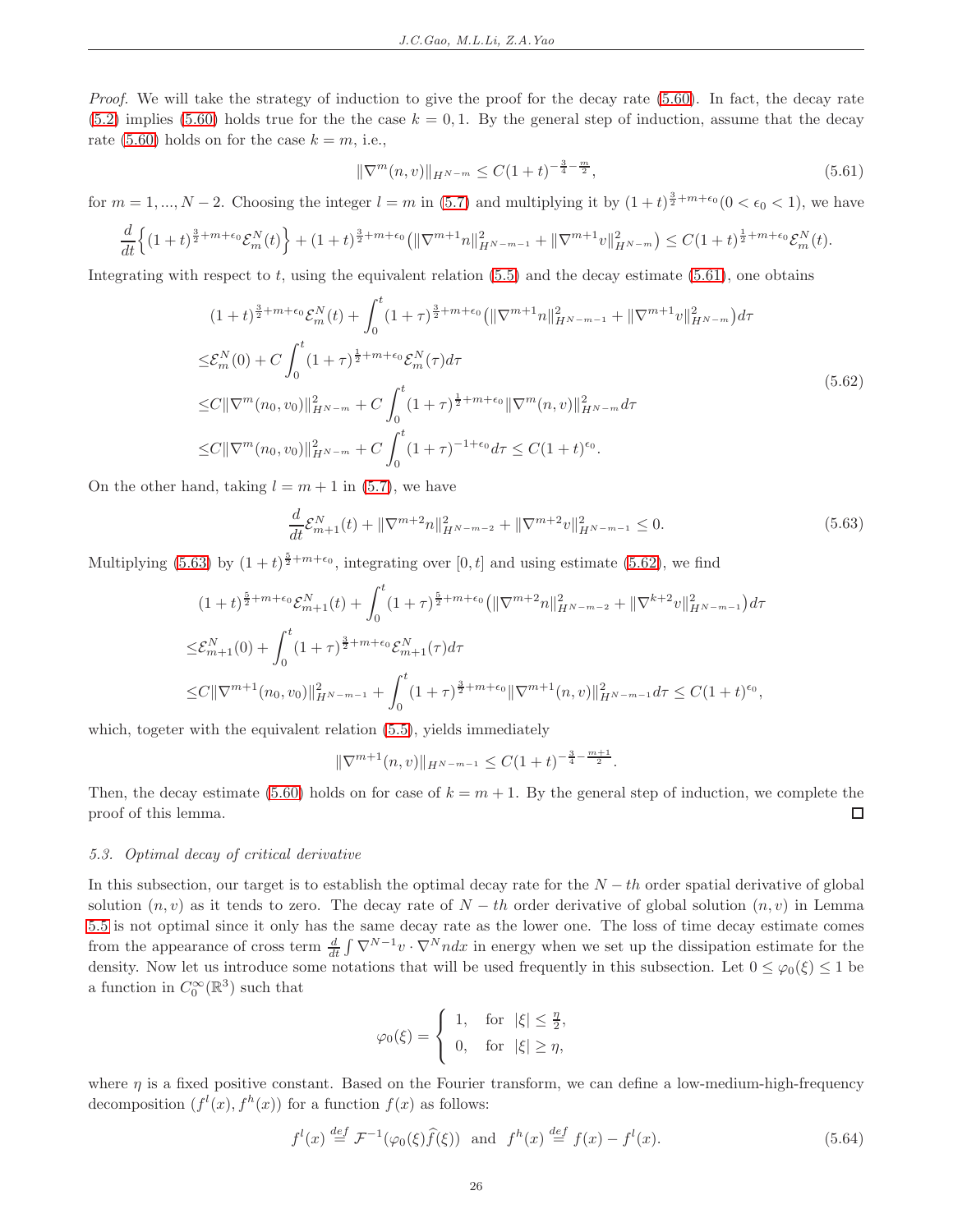*Proof.* We will take the strategy of induction to give the proof for the decay rate  $(5.60)$ . In fact, the decay rate  $(5.2)$  implies  $(5.60)$  holds true for the the case  $k = 0, 1$ . By the general step of induction, assume that the decay rate [\(5.60\)](#page-24-6) holds on for the case  $k = m$ , i.e.,

<span id="page-25-1"></span>
$$
\|\nabla^m(n,v)\|_{H^{N-m}} \le C(1+t)^{-\frac{3}{4}-\frac{m}{2}},\tag{5.61}
$$

for  $m = 1, ..., N - 2$ . Choosing the integer  $l = m$  in [\(5.7\)](#page-12-7) and multiplying it by  $(1 + t)^{\frac{3}{2} + m + \epsilon_0} (0 < \epsilon_0 < 1)$ , we have

$$
\frac{d}{dt}\Big\{(1+t)^{\frac{3}{2}+m+\epsilon_0}\mathcal{E}_m^N(t)\Big\}+(1+t)^{\frac{3}{2}+m+\epsilon_0}\big(\|\nabla^{m+1}n\|_{H^{N-m-1}}^2+\|\nabla^{m+1}v\|_{H^{N-m}}^2\big)\leq C(1+t)^{\frac{1}{2}+m+\epsilon_0}\mathcal{E}_m^N(t).
$$

<span id="page-25-3"></span>Integrating with respect to t, using the equivalent relation  $(5.5)$  and the decay estimate  $(5.61)$ , one obtains

$$
(1+t)^{\frac{3}{2}+m+\epsilon_{0}}\mathcal{E}_{m}^{N}(t)+\int_{0}^{t}(1+\tau)^{\frac{3}{2}+m+\epsilon_{0}}(\|\nabla^{m+1}n\|_{H^{N-m-1}}^{2}+\|\nabla^{m+1}v\|_{H^{N-m}}^{2})d\tau
$$
  
\n
$$
\leq \mathcal{E}_{m}^{N}(0)+C\int_{0}^{t}(1+\tau)^{\frac{1}{2}+m+\epsilon_{0}}\mathcal{E}_{m}^{N}(\tau)d\tau
$$
  
\n
$$
\leq C\|\nabla^{m}(n_{0},v_{0})\|_{H^{N-m}}^{2}+C\int_{0}^{t}(1+\tau)^{\frac{1}{2}+m+\epsilon_{0}}\|\nabla^{m}(n,v)\|_{H^{N-m}}^{2}d\tau
$$
  
\n
$$
\leq C\|\nabla^{m}(n_{0},v_{0})\|_{H^{N-m}}^{2}+C\int_{0}^{t}(1+\tau)^{-1+\epsilon_{0}}d\tau \leq C(1+t)^{\epsilon_{0}}.
$$
\n(5.62)

<span id="page-25-2"></span>On the other hand, taking  $l = m + 1$  in [\(5.7\)](#page-12-7), we have

$$
\frac{d}{dt}\mathcal{E}_{m+1}^{N}(t) + \|\nabla^{m+2}n\|_{H^{N-m-2}}^{2} + \|\nabla^{m+2}v\|_{H^{N-m-1}}^{2} \le 0.
$$
\n(5.63)

Multiplying [\(5.63\)](#page-25-2) by  $(1+t)^{\frac{5}{2}+m+\epsilon_0}$ , integrating over [0, t] and using estimate [\(5.62\)](#page-25-3), we find

$$
(1+t)^{\frac{5}{2}+m+\epsilon_{0}}\mathcal{E}_{m+1}^{N}(t)+\int_{0}^{t}(1+\tau)^{\frac{5}{2}+m+\epsilon_{0}}(\|\nabla^{m+2}n\|_{H^{N-m-2}}^{2}+\|\nabla^{k+2}v\|_{H^{N-m-1}}^{2})d\tau
$$
  

$$
\leq \mathcal{E}_{m+1}^{N}(0)+\int_{0}^{t}(1+\tau)^{\frac{3}{2}+m+\epsilon_{0}}\mathcal{E}_{m+1}^{N}(\tau)d\tau
$$
  

$$
\leq C\|\nabla^{m+1}(n_{0},v_{0})\|_{H^{N-m-1}}^{2}+\int_{0}^{t}(1+\tau)^{\frac{3}{2}+m+\epsilon_{0}}\|\nabla^{m+1}(n,v)\|_{H^{N-m-1}}^{2}d\tau \leq C(1+t)^{\epsilon_{0}},
$$

which, togeter with the equivalent relation  $(5.5)$ , yields immediately

$$
\|\nabla^{m+1}(n,v)\|_{H^{N-m-1}} \leq C(1+t)^{-\frac{3}{4}-\frac{m+1}{2}}.
$$

Then, the decay estimate [\(5.60\)](#page-24-6) holds on for case of  $k = m + 1$ . By the general step of induction, we complete the proof of this lemma.  $\Box$ 

### <span id="page-25-0"></span>5.3. Optimal decay of critical derivative

In this subsection, our target is to establish the optimal decay rate for the  $N - th$  order spatial derivative of global solution  $(n, v)$  as it tends to zero. The decay rate of  $N - th$  order derivative of global solution  $(n, v)$  in Lemma [5.5](#page-24-1) is not optimal since it only has the same decay rate as the lower one. The loss of time decay estimate comes from the appearance of cross term  $\frac{d}{dt} \int \nabla^{N-1} v \cdot \nabla^N n dx$  in energy when we set up the dissipation estimate for the density. Now let us introduce some notations that will be used frequently in this subsection. Let  $0 \le \varphi_0(\xi) \le 1$  be a function in  $C_0^{\infty}(\mathbb{R}^3)$  such that

$$
\varphi_0(\xi) = \begin{cases} 1, & \text{for } |\xi| \le \frac{\eta}{2}, \\ 0, & \text{for } |\xi| \ge \eta, \end{cases}
$$

where  $\eta$  is a fixed positive constant. Based on the Fourier transform, we can define a low-medium-high-frequency decomposition  $(f<sup>l</sup>(x), f<sup>h</sup>(x))$  for a function  $f(x)$  as follows:

<span id="page-25-4"></span>
$$
f^{l}(x) \stackrel{def}{=} \mathcal{F}^{-1}(\varphi_{0}(\xi)\widehat{f}(\xi)) \quad \text{and} \quad f^{h}(x) \stackrel{def}{=} f(x) - f^{l}(x). \tag{5.64}
$$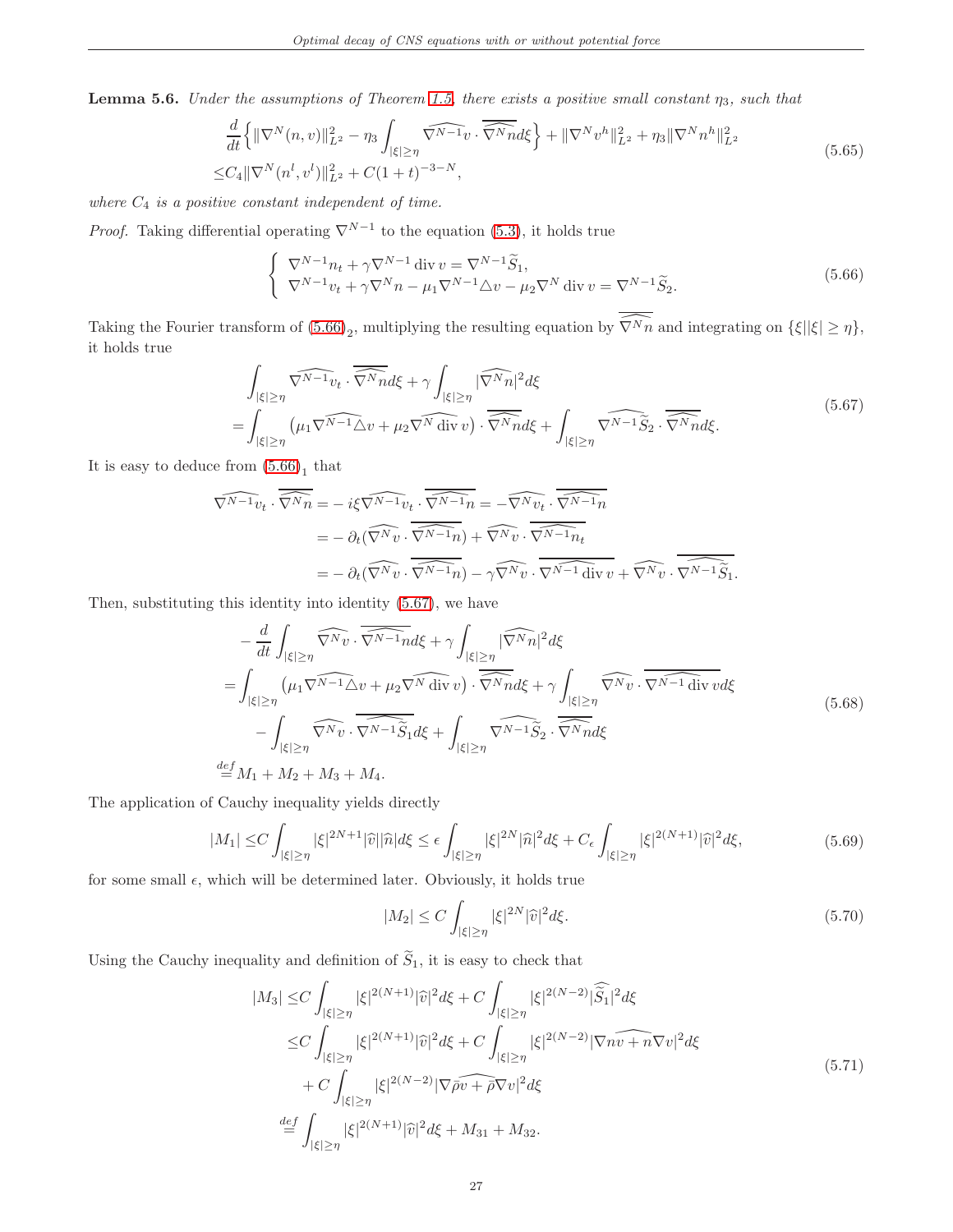<span id="page-26-6"></span><span id="page-26-5"></span>**Lemma 5.6.** Under the assumptions of Theorem [1.5,](#page-3-0) there exists a positive small constant  $\eta_3$ , such that

$$
\frac{d}{dt} \left\{ \|\nabla^N(n,v)\|_{L^2}^2 - \eta_3 \int_{|\xi| \ge \eta} \widehat{\nabla^{N-1}v} \cdot \widehat{\nabla^N n} d\xi \right\} + \|\nabla^N v^h\|_{L^2}^2 + \eta_3 \|\nabla^N n^h\|_{L^2}^2
$$
\n
$$
\le C_4 \|\nabla^N(n^l, v^l)\|_{L^2}^2 + C(1+t)^{-3-N},
$$
\n(5.65)

where  $C_4$  is a positive constant independent of time.

*Proof.* Taking differential operating  $\nabla^{N-1}$  to the equation [\(5.3\)](#page-11-4), it holds true

<span id="page-26-0"></span>
$$
\begin{cases} \nabla^{N-1} n_t + \gamma \nabla^{N-1} \operatorname{div} v = \nabla^{N-1} \widetilde{S}_1, \\ \nabla^{N-1} v_t + \gamma \nabla^N n - \mu_1 \nabla^{N-1} \Delta v - \mu_2 \nabla^N \operatorname{div} v = \nabla^{N-1} \widetilde{S}_2. \n\end{cases} \tag{5.66}
$$

Taking the Fourier transform of  $(5.66)_2$ , multiplying the resulting equation by  $\widehat{\nabla^N n}$  and integrating on  $\{\xi||\xi|\geq \eta\}$ , it holds true

$$
\int_{|\xi| \ge \eta} \widehat{\nabla^{N-1} v_t} \cdot \overline{\widehat{\nabla^N n}} d\xi + \gamma \int_{|\xi| \ge \eta} |\widehat{\nabla^N n}|^2 d\xi
$$
\n
$$
= \int_{|\xi| \ge \eta} \left( \mu_1 \widehat{\nabla^{N-1} \Delta v} + \mu_2 \widehat{\nabla^N n} \right) \cdot \overline{\widehat{\nabla^N n}} d\xi + \int_{|\xi| \ge \eta} \widehat{\nabla^{N-1} S_2} \cdot \overline{\widehat{\nabla^N n}} d\xi. \tag{5.67}
$$

<span id="page-26-1"></span>It is easy to deduce from  $(5.66)<sub>1</sub>$  that

=

$$
\widehat{\nabla^{N-1}v_t} \cdot \overline{\widehat{\nabla^{N}n}} = -i\xi \widehat{\nabla^{N-1}v_t} \cdot \overline{\widehat{\nabla^{N-1}n}} = -\widehat{\nabla^{N}v_t} \cdot \overline{\widehat{\nabla^{N-1}n}} \n= -\partial_t(\widehat{\nabla^{N}v} \cdot \overline{\widehat{\nabla^{N-1}n}}) + \widehat{\nabla^{N}v} \cdot \overline{\widehat{\nabla^{N-1}n_t}} \n= -\partial_t(\widehat{\nabla^{N}v} \cdot \overline{\widehat{\nabla^{N-1}n}}) - \gamma \widehat{\nabla^{N}v} \cdot \overline{\widehat{\nabla^{N-1}v_t}} + \widehat{\nabla^{N}v} \cdot \overline{\widehat{\nabla^{N-1}v_t}}.
$$

<span id="page-26-4"></span>Then, substituting this identity into identity [\(5.67\)](#page-26-1), we have

$$
-\frac{d}{dt} \int_{|\xi| \geq \eta} \widehat{\nabla^{N} v} \cdot \overline{\nabla^{N-1} n} d\xi + \gamma \int_{|\xi| \geq \eta} |\widehat{\nabla^{N} n}|^{2} d\xi
$$
  
\n
$$
= \int_{|\xi| \geq \eta} (\mu_{1} \widehat{\nabla^{N-1} \triangle v} + \mu_{2} \widehat{\nabla^{N} \text{ div } v}) \cdot \overline{\nabla^{N} n} d\xi + \gamma \int_{|\xi| \geq \eta} \widehat{\nabla^{N} v} \cdot \overline{\nabla^{N-1} \text{ div } v} d\xi
$$
  
\n
$$
- \int_{|\xi| \geq \eta} \widehat{\nabla^{N} v} \cdot \overline{\nabla^{N-1} \widetilde{S}_{1}} d\xi + \int_{|\xi| \geq \eta} \widehat{\nabla^{N-1} \widetilde{S}_{2}} \cdot \overline{\overline{\nabla^{N} n}} d\xi
$$
  
\n
$$
\stackrel{def}{=} M_{1} + M_{2} + M_{3} + M_{4}.
$$
\n(5.68)

<span id="page-26-3"></span>The application of Cauchy inequality yields directly

$$
|M_1| \le C \int_{|\xi| \ge \eta} |\xi|^{2N+1} |\widehat{v}| |\widehat{n}| d\xi \le \epsilon \int_{|\xi| \ge \eta} |\xi|^{2N} |\widehat{n}|^2 d\xi + C_{\epsilon} \int_{|\xi| \ge \eta} |\xi|^{2(N+1)} |\widehat{v}|^2 d\xi, \tag{5.69}
$$

for some small  $\epsilon$ , which will be determined later. Obviously, it holds true

$$
|M_2| \le C \int_{|\xi| \ge \eta} |\xi|^{2N} |\widehat{v}|^2 d\xi. \tag{5.70}
$$

<span id="page-26-2"></span>Using the Cauchy inequality and definition of  $\widetilde{S}_{1},$  it is easy to check that

$$
|M_3| \leq C \int_{|\xi| \geq \eta} |\xi|^{2(N+1)} |\widehat{v}|^2 d\xi + C \int_{|\xi| \geq \eta} |\xi|^{2(N-2)} |\widehat{S}_1|^2 d\xi
$$
  
\n
$$
\leq C \int_{|\xi| \geq \eta} |\xi|^{2(N+1)} |\widehat{v}|^2 d\xi + C \int_{|\xi| \geq \eta} |\xi|^{2(N-2)} |\widehat{v} \eta \widehat{v + \eta} \nabla v|^2 d\xi
$$
  
\n
$$
+ C \int_{|\xi| \geq \eta} |\xi|^{2(N-2)} |\widehat{v} \widehat{v + \rho} \nabla v|^2 d\xi
$$
  
\n
$$
\stackrel{def}{=} \int_{|\xi| \geq \eta} |\xi|^{2(N+1)} |\widehat{v}|^2 d\xi + M_{31} + M_{32}.
$$
  
\n(5.71)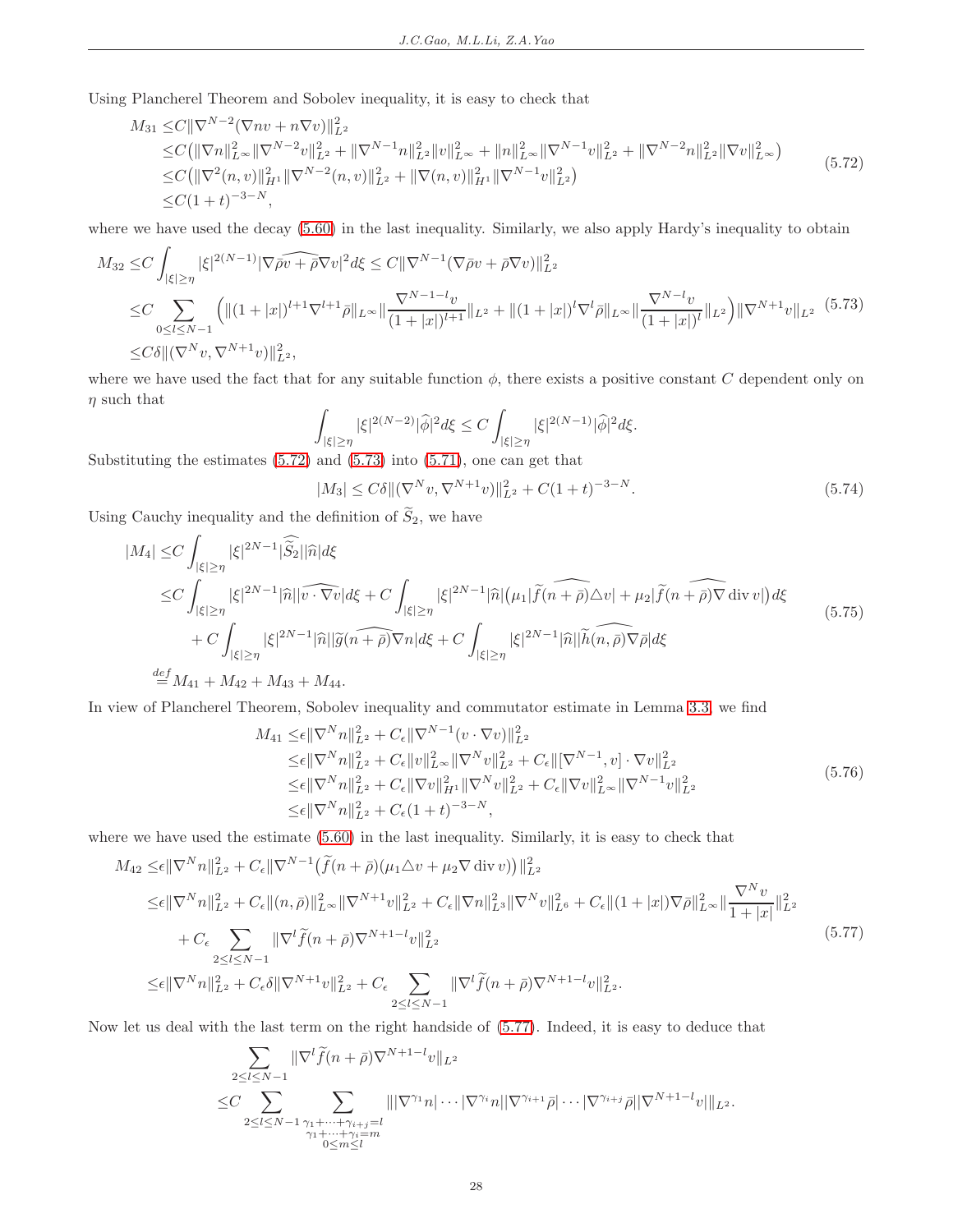Using Plancherel Theorem and Sobolev inequality, it is easy to check that

<span id="page-27-0"></span>
$$
M_{31} \leq C \|\nabla^{N-2} (\nabla n v + n \nabla v)\|_{L^{2}}^{2}
$$
  
\n
$$
\leq C (\|\nabla n\|_{L^{\infty}}^{2} \|\nabla^{N-2} v\|_{L^{2}}^{2} + \|\nabla^{N-1} n\|_{L^{2}}^{2} \|v\|_{L^{\infty}}^{2} + \|n\|_{L^{\infty}}^{2} \|\nabla^{N-1} v\|_{L^{2}}^{2} + \|\nabla^{N-2} n\|_{L^{2}}^{2} \|\nabla v\|_{L^{\infty}}^{2})
$$
  
\n
$$
\leq C (\|\nabla^{2}(n, v)\|_{H^{1}}^{2} \|\nabla^{N-2}(n, v)\|_{L^{2}}^{2} + \|\nabla(n, v)\|_{H^{1}}^{2} \|\nabla^{N-1} v\|_{L^{2}}^{2})
$$
  
\n
$$
\leq C (1 + t)^{-3-N}, \qquad (5.72)
$$

where we have used the decay  $(5.60)$  in the last inequality. Similarly, we also apply Hardy's inequality to obtain

<span id="page-27-1"></span>
$$
M_{32} \leq C \int_{|\xi| \geq \eta} |\xi|^{2(N-1)} |\nabla \widehat{\rho} \widehat{v} + \widehat{\rho} \nabla v|^2 d\xi \leq C \|\nabla^{N-1} (\nabla \bar{\rho} v + \bar{\rho} \nabla v) \|_{L^2}^2
$$
  
\n
$$
\leq C \sum_{0 \leq l \leq N-1} \left( \| (1+|x|)^{l+1} \nabla^{l+1} \bar{\rho} \|_{L^{\infty}} \| \frac{\nabla^{N-1-l} v}{(1+|x|)^{l+1}} \|_{L^2} + \| (1+|x|)^l \nabla^l \bar{\rho} \|_{L^{\infty}} \| \frac{\nabla^{N-l} v}{(1+|x|)^l} \|_{L^2} \right) \| \nabla^{N+1} v \|_{L^2} (5.73)
$$
  
\n
$$
\leq C \delta \| (\nabla^N v, \nabla^{N+1} v) \|_{L^2}^2,
$$

where we have used the fact that for any suitable function  $\phi$ , there exists a positive constant C dependent only on  $\eta$  such that

$$
\int_{|\xi| \ge \eta} |\xi|^{2(N-2)} |\widehat{\phi}|^2 d\xi \le C \int_{|\xi| \ge \eta} |\xi|^{2(N-1)} |\widehat{\phi}|^2 d\xi.
$$

Substituting the estimates [\(5.72\)](#page-27-0) and [\(5.73\)](#page-27-1) into [\(5.71\)](#page-26-2), one can get that

<span id="page-27-5"></span> $|M_3| \leq C\delta ||(\nabla^N v, \nabla^{N+1} v)||_{L^2}^2 + C(1+t)^{-3-N}.$  (5.74)

Using Cauchy inequality and the definition of  $\widetilde{S}_2$ , we have

<span id="page-27-3"></span>
$$
|M_4| \leq C \int_{|\xi| \geq \eta} |\xi|^{2N-1} |\widehat{S}_2| |\widehat{n}| d\xi
$$
  
\n
$$
\leq C \int_{|\xi| \geq \eta} |\xi|^{2N-1} |\widehat{n}| |\widehat{v \cdot \nabla v}| d\xi + C \int_{|\xi| \geq \eta} |\xi|^{2N-1} |\widehat{n}| (\mu_1 | \widetilde{f}(\widehat{n+\rho}) \triangle v| + \mu_2 | \widetilde{f}(\widehat{n+\rho}) \nabla \operatorname{div} v|) d\xi
$$
  
\n
$$
+ C \int_{|\xi| \geq \eta} |\xi|^{2N-1} |\widehat{n}| |\widetilde{g}(\widehat{n+\rho}) \nabla n| d\xi + C \int_{|\xi| \geq \eta} |\xi|^{2N-1} |\widehat{n}| |\widehat{h}(\widehat{n,\rho}) \nabla \bar{\rho}| d\xi
$$
  
\n
$$
\stackrel{def}{=} M_{41} + M_{42} + M_{43} + M_{44}.
$$
\n
$$
(5.75)
$$

<span id="page-27-4"></span>In view of Plancherel Theorem, Sobolev inequality and commutator estimate in Lemma [3.3,](#page-6-2) we find

$$
M_{41} \leq \epsilon \|\nabla^{N} n\|_{L^{2}}^{2} + C_{\epsilon} \|\nabla^{N-1}(v \cdot \nabla v)\|_{L^{2}}^{2}
$$
  
\n
$$
\leq \epsilon \|\nabla^{N} n\|_{L^{2}}^{2} + C_{\epsilon} \|v\|_{L^{\infty}}^{2} \|\nabla^{N} v\|_{L^{2}}^{2} + C_{\epsilon} \|[{\nabla}^{N-1}, v] \cdot {\nabla} v\|_{L^{2}}^{2}
$$
  
\n
$$
\leq \epsilon \|\nabla^{N} n\|_{L^{2}}^{2} + C_{\epsilon} \|\nabla v\|_{H^{1}}^{2} \|\nabla^{N} v\|_{L^{2}}^{2} + C_{\epsilon} \|\nabla v\|_{L^{\infty}}^{2} \|\nabla^{N-1} v\|_{L^{2}}^{2}
$$
  
\n
$$
\leq \epsilon \|\nabla^{N} n\|_{L^{2}}^{2} + C_{\epsilon} (1+t)^{-3-N},
$$
\n(5.76)

where we have used the estimate [\(5.60\)](#page-24-6) in the last inequality. Similarly, it is easy to check that

<span id="page-27-2"></span>
$$
M_{42} \leq \epsilon \|\nabla^{N} n\|_{L^{2}}^{2} + C_{\epsilon} \|\nabla^{N-1} (\tilde{f}(n+\bar{\rho})(\mu_{1}\triangle v + \mu_{2}\nabla \operatorname{div} v))\|_{L^{2}}^{2}
$$
  
\n
$$
\leq \epsilon \|\nabla^{N} n\|_{L^{2}}^{2} + C_{\epsilon} \|(n,\bar{\rho})\|_{L^{\infty}}^{2} \|\nabla^{N+1} v\|_{L^{2}}^{2} + C_{\epsilon} \|\nabla n\|_{L^{3}}^{2} \|\nabla^{N} v\|_{L^{6}}^{2} + C_{\epsilon} \|(1+|x|)\nabla \bar{\rho}\|_{L^{\infty}}^{2} \|\frac{\nabla^{N} v}{1+|x|}\|_{L^{2}}^{2}
$$
  
\n
$$
+ C_{\epsilon} \sum_{2 \leq l \leq N-1} \|\nabla^{l} \tilde{f}(n+\bar{\rho})\nabla^{N+1-l} v\|_{L^{2}}^{2}
$$
  
\n
$$
\leq \epsilon \|\nabla^{N} n\|_{L^{2}}^{2} + C_{\epsilon} \delta \|\nabla^{N+1} v\|_{L^{2}}^{2} + C_{\epsilon} \sum_{2 \leq l \leq N-1} \|\nabla^{l} \tilde{f}(n+\bar{\rho})\nabla^{N+1-l} v\|_{L^{2}}^{2}.
$$
  
\n(5.77)

Now let us deal with the last term on the right handside of [\(5.77\)](#page-27-2). Indeed, it is easy to deduce that

$$
\sum_{\substack{2 \leq l \leq N-1 \\ 2 \leq l \leq N-1}} \|\nabla^l \widetilde{f}(n+\bar{\rho})\nabla^{N+1-l} v\|_{L^2} \leq C \sum_{\substack{2 \leq l \leq N-1 \\ \gamma_1 + \dots + \gamma_{i+j} = l \\ 0 \leq m \leq l}} \|\nabla^{\gamma_1} n| \cdots |\nabla^{\gamma_i} n| |\nabla^{\gamma_{i+1}} \bar{\rho}| \cdots |\nabla^{\gamma_{i+j}} \bar{\rho}| |\nabla^{N+1-l} v| \|_{L^2}.
$$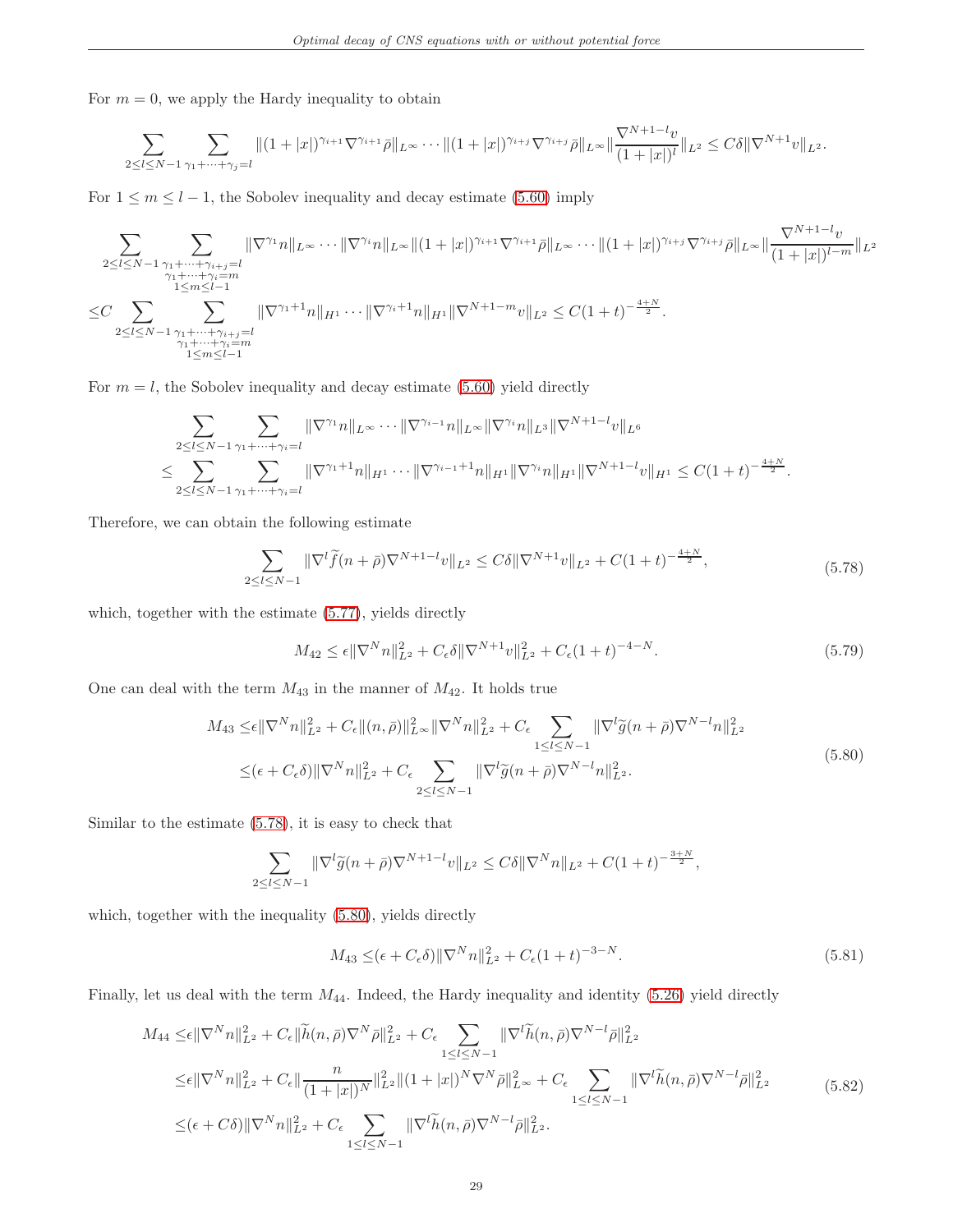For  $m = 0$ , we apply the Hardy inequality to obtain

$$
\sum_{2\leq l\leq N-1}\sum_{\gamma_1+\cdots+\gamma_j=l}\|(1+|x|)^{\gamma_{i+1}}\nabla^{\gamma_{i+1}}\bar{\rho}\|_{L^{\infty}}\cdots\|(1+|x|)^{\gamma_{i+j}}\nabla^{\gamma_{i+j}}\bar{\rho}\|_{L^{\infty}}\|\frac{\nabla^{N+1-l}v}{(1+|x|)^l}\|_{L^2}\leq C\delta\|\nabla^{N+1}v\|_{L^2}.
$$

For  $1 \leq m \leq l-1$ , the Sobolev inequality and decay estimate [\(5.60\)](#page-24-6) imply

$$
\sum_{2 \leq l \leq N-1} \sum_{\substack{\gamma_1 + \dots + \gamma_{i+j} = l \\ \gamma_1 + \dots + \gamma_i = m \\ 1 \leq m \leq l-1}} \|\nabla^{\gamma_1} n\|_{L^{\infty}} \cdots \|\nabla^{\gamma_i} n\|_{L^{\infty}} \|(1+|x|)^{\gamma_{i+1}} \nabla^{\gamma_{i+1}} \bar{\rho}\|_{L^{\infty}} \cdots \|(1+|x|)^{\gamma_{i+j}} \nabla^{\gamma_{i+j}} \bar{\rho}\|_{L^{\infty}} \|\frac{\nabla^{N+1-l} v}{(1+|x|)^{l-m}}\|_{L^2}
$$
  

$$
\leq C \sum_{2 \leq l \leq N-1} \sum_{\substack{\gamma_1 + \dots + \gamma_{i+j} = l \\ \gamma_1 + \dots + \gamma_i = m \\ 1 \leq m \leq l-1}} \|\nabla^{\gamma_1+1} n\|_{H^1} \cdots \|\nabla^{\gamma_i+1} n\|_{H^1} \|\nabla^{N+1-m} v\|_{L^2} \leq C(1+t)^{-\frac{4+N}{2}}.
$$

For  $m = l$ , the Sobolev inequality and decay estimate [\(5.60\)](#page-24-6) yield directly

$$
\sum_{2 \leq l \leq N-1} \sum_{\gamma_1 + \dots + \gamma_i = l} \|\nabla^{\gamma_1} n\|_{L^{\infty}} \cdots \|\nabla^{\gamma_{i-1}} n\|_{L^{\infty}} \|\nabla^{\gamma_i} n\|_{L^3} \|\nabla^{N+1-l} v\|_{L^6}
$$
  

$$
\leq \sum_{2 \leq l \leq N-1} \sum_{\gamma_1 + \dots + \gamma_i = l} \|\nabla^{\gamma_1+1} n\|_{H^1} \cdots \|\nabla^{\gamma_{i-1}+1} n\|_{H^1} \|\nabla^{\gamma_i} n\|_{H^1} \|\nabla^{N+1-l} v\|_{H^1} \leq C(1+t)^{-\frac{4+N}{2}}.
$$

<span id="page-28-0"></span>Therefore, we can obtain the following estimate

$$
\sum_{2 \leq l \leq N-1} \|\nabla^l \widetilde{f}(n+\bar{\rho})\nabla^{N+1-l} v\|_{L^2} \leq C\delta \|\nabla^{N+1} v\|_{L^2} + C(1+t)^{-\frac{4+N}{2}},\tag{5.78}
$$

which, together with the estimate [\(5.77\)](#page-27-2), yields directly

<span id="page-28-3"></span>
$$
M_{42} \le \epsilon \|\nabla^N n\|_{L^2}^2 + C_{\epsilon} \delta \|\nabla^{N+1} v\|_{L^2}^2 + C_{\epsilon} (1+t)^{-4-N}.
$$
\n(5.79)

<span id="page-28-1"></span>One can deal with the term  $M_{43}$  in the manner of  $M_{42}$ . It holds true

$$
M_{43} \leq \epsilon \|\nabla^{N} n\|_{L^{2}}^{2} + C_{\epsilon} \|(n, \bar{\rho})\|_{L^{\infty}}^{2} \|\nabla^{N} n\|_{L^{2}}^{2} + C_{\epsilon} \sum_{1 \leq l \leq N-1} \|\nabla^{l} \tilde{g}(n + \bar{\rho})\nabla^{N-l} n\|_{L^{2}}^{2}
$$
  

$$
\leq (\epsilon + C_{\epsilon}\delta) \|\nabla^{N} n\|_{L^{2}}^{2} + C_{\epsilon} \sum_{2 \leq l \leq N-1} \|\nabla^{l} \tilde{g}(n + \bar{\rho})\nabla^{N-l} n\|_{L^{2}}^{2}.
$$
\n
$$
(5.80)
$$

Similar to the estimate [\(5.78\)](#page-28-0), it is easy to check that

$$
\sum_{2 \leq l \leq N-1} \|\nabla^l \widetilde{g}(n+\bar{\rho})\nabla^{N+1-l} v\|_{L^2} \leq C\delta \|\nabla^N n\|_{L^2} + C(1+t)^{-\frac{3+N}{2}},
$$

which, together with the inequality [\(5.80\)](#page-28-1), yields directly

$$
M_{43} \leq (\epsilon + C_{\epsilon}\delta) \|\nabla^{N}n\|_{L^{2}}^{2} + C_{\epsilon}(1+t)^{-3-N}.
$$
\n(5.81)

<span id="page-28-4"></span>Finally, let us deal with the term  $M_{44}$ . Indeed, the Hardy inequality and identity [\(5.26\)](#page-15-1) yield directly

<span id="page-28-2"></span>
$$
M_{44} \leq \epsilon \|\nabla^{N} n\|_{L^{2}}^{2} + C_{\epsilon} \|\tilde{h}(n, \bar{\rho})\nabla^{N} \bar{\rho}\|_{L^{2}}^{2} + C_{\epsilon} \sum_{1 \leq l \leq N-1} \|\nabla^{l}\tilde{h}(n, \bar{\rho})\nabla^{N-l} \bar{\rho}\|_{L^{2}}^{2}
$$
  
\n
$$
\leq \epsilon \|\nabla^{N} n\|_{L^{2}}^{2} + C_{\epsilon} \|\frac{n}{(1+|x|)^{N}}\|_{L^{2}}^{2} \|(1+|x|)^{N}\nabla^{N} \bar{\rho}\|_{L^{\infty}}^{2} + C_{\epsilon} \sum_{1 \leq l \leq N-1} \|\nabla^{l}\tilde{h}(n, \bar{\rho})\nabla^{N-l} \bar{\rho}\|_{L^{2}}^{2}
$$
  
\n
$$
\leq (\epsilon + C\delta) \|\nabla^{N} n\|_{L^{2}}^{2} + C_{\epsilon} \sum_{1 \leq l \leq N-1} \|\nabla^{l}\tilde{h}(n, \bar{\rho})\nabla^{N-l} \bar{\rho}\|_{L^{2}}^{2}.
$$
\n(5.82)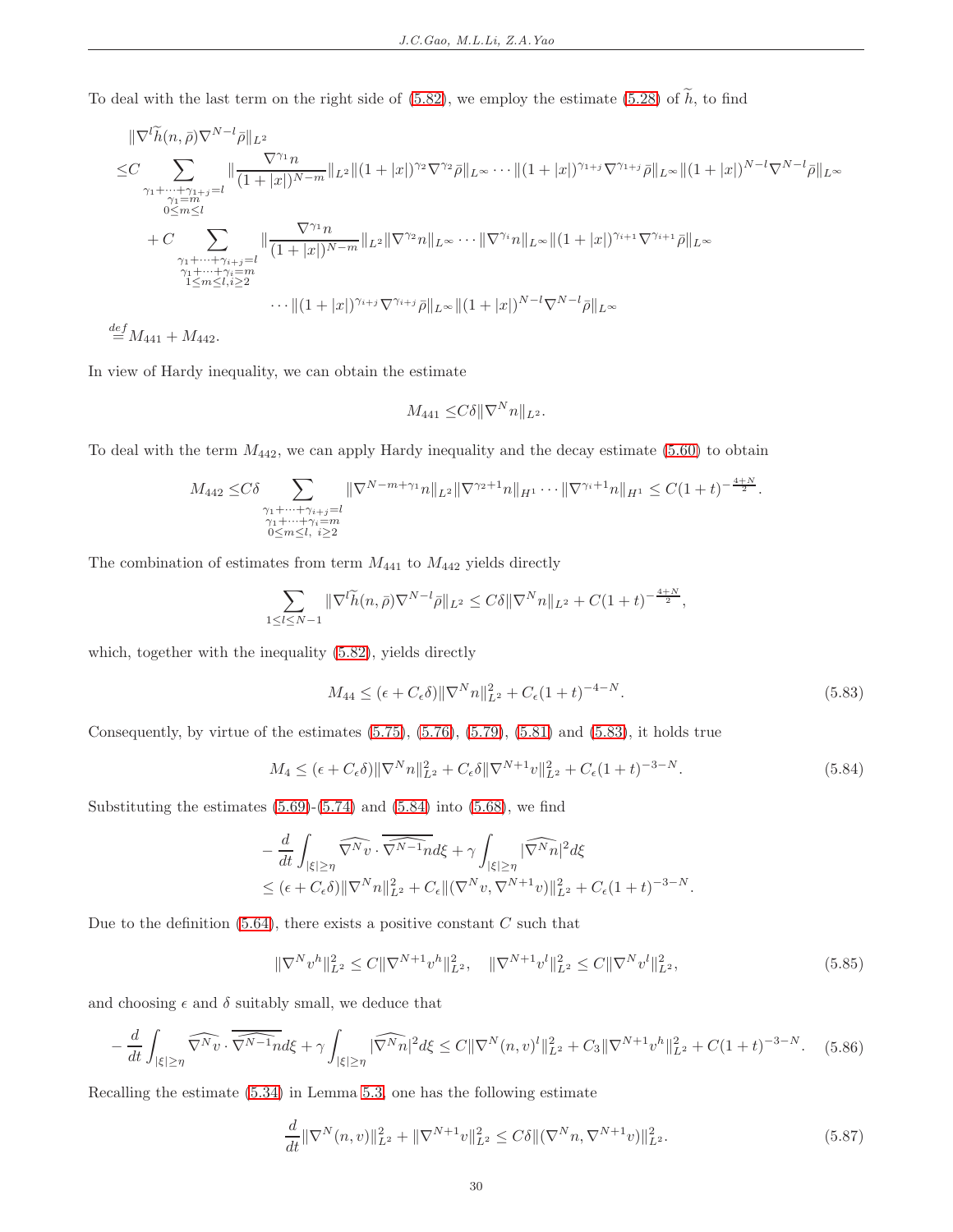To deal with the last term on the right side of [\(5.82\)](#page-28-2), we employ the estimate [\(5.28\)](#page-15-3) of  $\tilde{h}$ , to find

$$
\|\nabla^{l}\widetilde{h}(n,\bar{\rho})\nabla^{N-l}\bar{\rho}\|_{L^{2}}\n\leq C\sum_{\substack{\gamma_{1}+\cdots+\gamma_{1+j}=l\\ \gamma_{1}=m\\ \gamma_{2}=m\\ \gamma_{1}+\cdots+\gamma_{i+j}=l}}\|\frac{\nabla^{\gamma_{1}}n}{(1+|x|)^{N-m}}\|_{L^{2}}\|(1+|x|)^{\gamma_{2}}\nabla^{\gamma_{2}}\bar{\rho}\|_{L^{\infty}}\cdots\|(1+|x|)^{\gamma_{1+j}}\nabla^{\gamma_{1+j}}\bar{\rho}\|_{L^{\infty}}\|(1+|x|)^{N-l}\nabla^{N-l}\bar{\rho}\|_{L^{\infty}}\n+C\sum_{\substack{\gamma_{1}+\cdots+\gamma_{i+j}=l\\ \gamma_{1}+\cdots+\gamma_{i+j}=m\\ 1\leq m\leq l,i\geq 2}}\|\frac{\nabla^{\gamma_{1}}n}{(1+|x|)^{N-m}}\|_{L^{2}}\|\nabla^{\gamma_{2}}n\|_{L^{\infty}}\cdots\|\nabla^{\gamma_{i}}n\|_{L^{\infty}}\|(1+|x|)^{\gamma_{i+1}}\nabla^{\gamma_{i+1}}\bar{\rho}\|_{L^{\infty}}\n\cdots\|(1+|x|)^{\gamma_{i+j}}\nabla^{\gamma_{i+j}}\bar{\rho}\|_{L^{\infty}}\|(1+|x|)^{N-l}\nabla^{N-l}\bar{\rho}\|_{L^{\infty}}
$$

 $\stackrel{def}{=} M_{441} + M_{442}.$ 

In view of Hardy inequality, we can obtain the estimate

$$
M_{441} \leq C\delta \|\nabla^N n\|_{L^2}.
$$

To deal with the term  $M_{442}$ , we can apply Hardy inequality and the decay estimate [\(5.60\)](#page-24-6) to obtain

$$
M_{442} \leq C\delta \sum_{\substack{\gamma_1 + \dots + \gamma_{i+j} = l \\ \gamma_1 + \dots + \gamma_i = m \\ 0 \leq m \leq l, \ i \geq 2}} \|\nabla^{N-m+\gamma_1}n\|_{L^2} \|\nabla^{\gamma_2+1}n\|_{H^1} \dots \|\nabla^{\gamma_i+1}n\|_{H^1} \leq C(1+t)^{-\frac{4+N}{2}}.
$$

The combination of estimates from term  $M_{441}$  to  $M_{442}$  yields directly

$$
\sum_{1 \leq l \leq N-1} \|\nabla^l \widetilde{h}(n, \bar{\rho}) \nabla^{N-l} \bar{\rho}\|_{L^2} \leq C\delta \|\nabla^N n\|_{L^2} + C(1+t)^{-\frac{4+N}{2}},
$$

<span id="page-29-0"></span>which, together with the inequality  $(5.82)$ , yields directly

$$
M_{44} \le (\epsilon + C_{\epsilon}\delta) \|\nabla^{N}n\|_{L^{2}}^{2} + C_{\epsilon}(1+t)^{-4-N}.
$$
\n(5.83)

Consequently, by virtue of the estimates  $(5.75)$ ,  $(5.76)$ ,  $(5.79)$ ,  $(5.81)$  and  $(5.83)$ , it holds true

<span id="page-29-1"></span>
$$
M_4 \le (\epsilon + C_{\epsilon}\delta) \|\nabla^N n\|_{L^2}^2 + C_{\epsilon}\delta \|\nabla^{N+1} v\|_{L^2}^2 + C_{\epsilon}(1+t)^{-3-N}.
$$
 (5.84)

Substituting the estimates  $(5.69)$ - $(5.74)$  and  $(5.84)$  into  $(5.68)$ , we find

$$
-\frac{d}{dt}\int_{|\xi|\geq \eta} \widehat{\nabla^N v} \cdot \overline{\nabla^{N-1} n} d\xi + \gamma \int_{|\xi|\geq \eta} |\widehat{\nabla^N n}|^2 d\xi
$$
  
\$\leq (\epsilon + C\_{\epsilon}\delta) ||\nabla^N n||\_{L^2}^2 + C\_{\epsilon} ||(\nabla^N v, \nabla^{N+1} v)||\_{L^2}^2 + C\_{\epsilon}(1+t)^{-3-N}\$.

<span id="page-29-4"></span>Due to the definition  $(5.64)$ , there exists a positive constant C such that

$$
\|\nabla^N v^h\|_{L^2}^2 \le C \|\nabla^{N+1} v^h\|_{L^2}^2, \quad \|\nabla^{N+1} v^l\|_{L^2}^2 \le C \|\nabla^N v^l\|_{L^2}^2,\tag{5.85}
$$

and choosing  $\epsilon$  and  $\delta$  suitably small, we deduce that

<span id="page-29-2"></span>
$$
-\frac{d}{dt} \int_{|\xi| \ge \eta} \widehat{\nabla^N v} \cdot \widehat{\nabla^{N-1} n} d\xi + \gamma \int_{|\xi| \ge \eta} |\widehat{\nabla^N n}|^2 d\xi \le C \|\nabla^N (n, v)^l\|_{L^2}^2 + C_3 \|\nabla^{N+1} v^h\|_{L^2}^2 + C(1+t)^{-3-N}.\tag{5.86}
$$

Recalling the estimate [\(5.34\)](#page-17-6) in Lemma [5.3,](#page-17-0) one has the following estimate

<span id="page-29-3"></span>
$$
\frac{d}{dt} \|\nabla^{N}(n,v)\|_{L^{2}}^{2} + \|\nabla^{N+1}v\|_{L^{2}}^{2} \leq C\delta \|(\nabla^{N}n, \nabla^{N+1}v)\|_{L^{2}}^{2}.
$$
\n(5.87)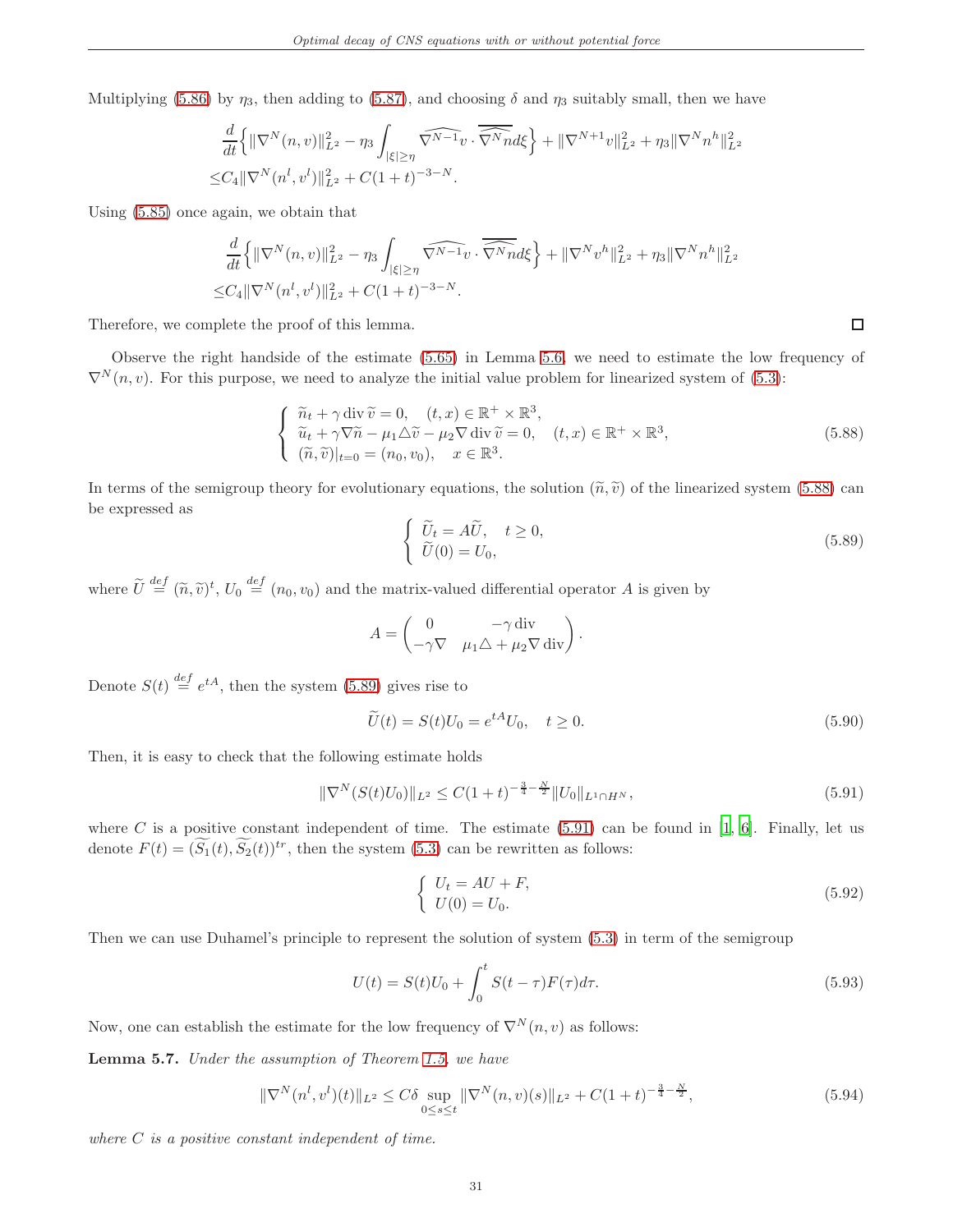Multiplying [\(5.86\)](#page-29-2) by  $\eta_3$ , then adding to [\(5.87\)](#page-29-3), and choosing  $\delta$  and  $\eta_3$  suitably small, then we have

$$
\frac{d}{dt} \left\{ \|\nabla^N(n,v)\|_{L^2}^2 - \eta_3 \int_{|\xi| \ge \eta} \widehat{\nabla^{N-1}v} \cdot \widehat{\nabla^N n} d\xi \right\} + \|\nabla^{N+1}v\|_{L^2}^2 + \eta_3 \|\nabla^N n^h\|_{L^2}^2
$$
  

$$
\le C_4 \|\nabla^N(n^l, v^l)\|_{L^2}^2 + C(1+t)^{-3-N}.
$$

Using [\(5.85\)](#page-29-4) once again, we obtain that

$$
\frac{d}{dt} \left\{ \|\nabla^N(n,v)\|_{L^2}^2 - \eta_3 \int_{|\xi| \ge \eta} \widehat{\nabla^{N-1}v} \cdot \widehat{\nabla^N n} d\xi \right\} + \|\nabla^N v^h\|_{L^2}^2 + \eta_3 \|\nabla^N n^h\|_{L^2}^2
$$
  

$$
\le C_4 \|\nabla^N (n^l, v^l)\|_{L^2}^2 + C(1+t)^{-3-N}.
$$

Therefore, we complete the proof of this lemma.

Observe the right handside of the estimate [\(5.65\)](#page-26-5) in Lemma [5.6,](#page-26-6) we need to estimate the low frequency of  $\nabla^{N}(n, v)$ . For this purpose, we need to analyze the initial value problem for linearized system of [\(5.3\)](#page-11-4):

<span id="page-30-0"></span>
$$
\begin{cases}\n\widetilde{n}_t + \gamma \operatorname{div} \widetilde{v} = 0, \quad (t, x) \in \mathbb{R}^+ \times \mathbb{R}^3, \\
\widetilde{u}_t + \gamma \nabla \widetilde{n} - \mu_1 \Delta \widetilde{v} - \mu_2 \nabla \operatorname{div} \widetilde{v} = 0, \quad (t, x) \in \mathbb{R}^+ \times \mathbb{R}^3, \\
(\widetilde{n}, \widetilde{v})|_{t=0} = (n_0, v_0), \quad x \in \mathbb{R}^3.\n\end{cases}
$$
\n(5.88)

In terms of the semigroup theory for evolutionary equations, the solution  $(\tilde{n}, \tilde{v})$  of the linearized system [\(5.88\)](#page-30-0) can be expressed as

<span id="page-30-1"></span>
$$
\begin{cases}\n\widetilde{U}_t = A\widetilde{U}, & t \ge 0, \\
\widetilde{U}(0) = U_0,\n\end{cases}
$$
\n(5.89)

where  $\tilde{U} \stackrel{def}{=} (\tilde{n}, \tilde{v})^t$ ,  $U_0 \stackrel{def}{=} (n_0, v_0)$  and the matrix-valued differential operator A is given by

$$
A = \begin{pmatrix} 0 & -\gamma \operatorname{div} \\ -\gamma \nabla & \mu_1 \triangle + \mu_2 \nabla \operatorname{div} \end{pmatrix}.
$$

Denote  $S(t) \stackrel{def}{=} e^{tA}$ , then the system [\(5.89\)](#page-30-1) gives rise to

$$
\widetilde{U}(t) = S(t)U_0 = e^{tA}U_0, \quad t \ge 0.
$$
\n
$$
(5.90)
$$

Then, it is easy to check that the following estimate holds

<span id="page-30-2"></span>
$$
\|\nabla^{N}(S(t)U_{0})\|_{L^{2}} \leq C(1+t)^{-\frac{3}{4}-\frac{N}{2}}\|U_{0}\|_{L^{1}\cap H^{N}},
$$
\n(5.91)

where C is a positive constant independent of time. The estimate  $(5.91)$  can be found in  $[1, 6]$  $[1, 6]$  $[1, 6]$ . Finally, let us denote  $F(t) = (\widetilde{S}_1(t), \widetilde{S}_2(t))^{tr}$ , then the system [\(5.3\)](#page-11-4) can be rewritten as follows:

$$
\begin{cases}\nU_t = AU + F, \\
U(0) = U_0.\n\end{cases}
$$
\n(5.92)

Then we can use Duhamel's principle to represent the solution of system [\(5.3\)](#page-11-4) in term of the semigroup

<span id="page-30-3"></span>
$$
U(t) = S(t)U_0 + \int_0^t S(t - \tau)F(\tau)d\tau.
$$
\n(5.93)

Now, one can establish the estimate for the low frequency of  $\nabla^{N}(n, v)$  as follows:

<span id="page-30-5"></span>Lemma 5.7. Under the assumption of Theorem [1.5,](#page-3-0) we have

<span id="page-30-4"></span>
$$
\|\nabla^{N}(n^{l}, v^{l})(t)\|_{L^{2}} \leq C\delta \sup_{0\leq s\leq t} \|\nabla^{N}(n, v)(s)\|_{L^{2}} + C(1+t)^{-\frac{3}{4}-\frac{N}{2}},
$$
\n(5.94)

where  $C$  is a positive constant independent of time.

 $\Box$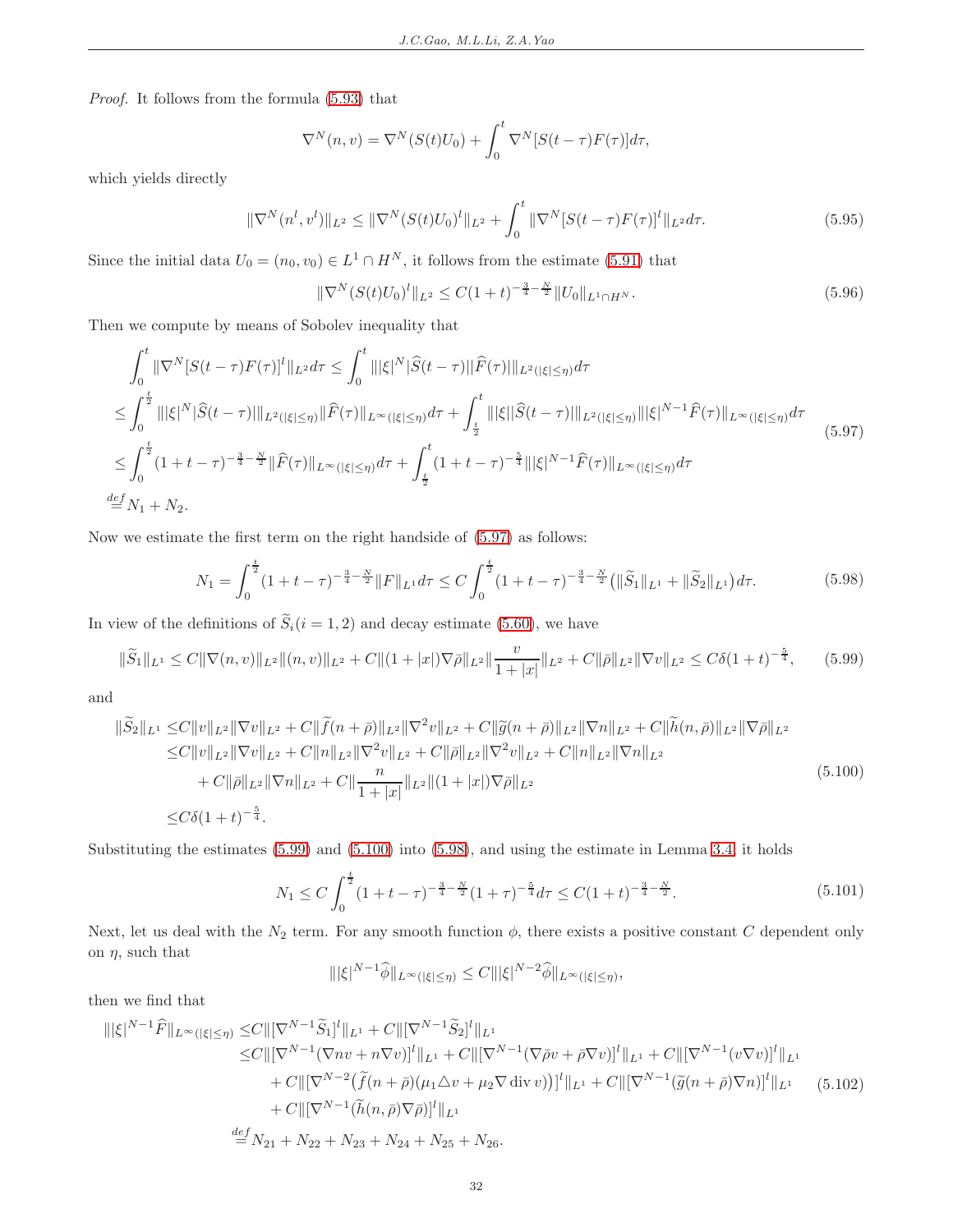Proof. It follows from the formula [\(5.93\)](#page-30-3) that

$$
\nabla^N(n,v) = \nabla^N(S(t)U_0) + \int_0^t \nabla^N[S(t-\tau)F(\tau)]d\tau,
$$

which yields directly

<span id="page-31-7"></span>
$$
\|\nabla^{N}(n^{l}, v^{l})\|_{L^{2}} \leq \|\nabla^{N}(S(t)U_{0})^{l}\|_{L^{2}} + \int_{0}^{t} \|\nabla^{N}[S(t-\tau)F(\tau)]^{l}\|_{L^{2}} d\tau.
$$
\n(5.95)

Since the initial data  $U_0 = (n_0, v_0) \in L^1 \cap H^N$ , it follows from the estimate [\(5.91\)](#page-30-2) that

<span id="page-31-6"></span>
$$
\|\nabla^{N}(S(t)U_{0})^{l}\|_{L^{2}} \leq C(1+t)^{-\frac{3}{4}-\frac{N}{2}}\|U_{0}\|_{L^{1}\cap H^{N}}.\tag{5.96}
$$

Then we compute by means of Sobolev inequality that

<span id="page-31-0"></span>
$$
\int_{0}^{t} \|\nabla^{N}[S(t-\tau)F(\tau)]^{l}\|_{L^{2}} d\tau \leq \int_{0}^{t} \|\xi|^{N}|\widehat{S}(t-\tau)||\widehat{F}(\tau)||_{L^{2}(|\xi|\leq\eta)} d\tau \n\leq \int_{0}^{\frac{t}{2}} \|\xi|^{N}|\widehat{S}(t-\tau)||_{L^{2}(|\xi|\leq\eta)} \|\widehat{F}(\tau)||_{L^{\infty}(|\xi|\leq\eta)} d\tau + \int_{\frac{t}{2}}^{t} \|\xi||\widehat{S}(t-\tau)||_{L^{2}(|\xi|\leq\eta)} \|\xi\|^{N-1}\widehat{F}(\tau)||_{L^{\infty}(|\xi|\leq\eta)} d\tau \n\leq \int_{0}^{\frac{t}{2}} (1+t-\tau)^{-\frac{3}{4}-\frac{N}{2}} \|\widehat{F}(\tau)||_{L^{\infty}(|\xi|\leq\eta)} d\tau + \int_{\frac{t}{2}}^{t} (1+t-\tau)^{-\frac{5}{4}} ||\xi|^{N-1}\widehat{F}(\tau)||_{L^{\infty}(|\xi|\leq\eta)} d\tau \n\stackrel{def}{=} N_{1}+N_{2}.
$$
\n(5.97)

<span id="page-31-3"></span>Now we estimate the first term on the right handside of [\(5.97\)](#page-31-0) as follows:

$$
N_1 = \int_0^{\frac{t}{2}} (1+t-\tau)^{-\frac{3}{4}-\frac{N}{2}} \|F\|_{L^1} d\tau \le C \int_0^{\frac{t}{2}} (1+t-\tau)^{-\frac{3}{4}-\frac{N}{2}} \left(\|\widetilde{S}_1\|_{L^1} + \|\widetilde{S}_2\|_{L^1}\right) d\tau. \tag{5.98}
$$

In view of the definitions of  $\widetilde{S}_i(i=1,2)$  and decay estimate [\(5.60\)](#page-24-6), we have

<span id="page-31-1"></span>
$$
\|\widetilde{S}_1\|_{L^1} \le C \|\nabla(n,v)\|_{L^2} \|(n,v)\|_{L^2} + C \|(1+|x|)\nabla\bar{\rho}\|_{L^2} \|\frac{v}{1+|x|}\|_{L^2} + C \|\bar{\rho}\|_{L^2} \|\nabla v\|_{L^2} \le C\delta(1+t)^{-\frac{5}{4}},\tag{5.99}
$$

and

<span id="page-31-2"></span>
$$
\|\widetilde{S}_{2}\|_{L^{1}} \leq C \|v\|_{L^{2}} \|\nabla v\|_{L^{2}} + C \|\widetilde{f}(n+\bar{\rho})\|_{L^{2}} \|\nabla^{2}v\|_{L^{2}} + C \|\widetilde{g}(n+\bar{\rho})\|_{L^{2}} \|\nabla n\|_{L^{2}} + C \|\widetilde{h}(n,\bar{\rho})\|_{L^{2}} \|\nabla \bar{\rho}\|_{L^{2}} \n\leq C \|v\|_{L^{2}} \|\nabla v\|_{L^{2}} + C \|n\|_{L^{2}} \|\nabla^{2}v\|_{L^{2}} + C \|\bar{\rho}\|_{L^{2}} \|\nabla^{2}v\|_{L^{2}} + C \|n\|_{L^{2}} \|\nabla n\|_{L^{2}} \n+ C \|\bar{\rho}\|_{L^{2}} \|\nabla n\|_{L^{2}} + C \|\frac{n}{1+|x|} \|_{L^{2}} \|(1+|x|) \nabla \bar{\rho}\|_{L^{2}} \n\leq C\delta(1+t)^{-\frac{5}{4}}.
$$
\n(5.100)

Substituting the estimates [\(5.99\)](#page-31-1) and [\(5.100\)](#page-31-2) into [\(5.98\)](#page-31-3), and using the estimate in Lemma [3.4,](#page-7-4) it holds

$$
N_1 \le C \int_0^{\frac{t}{2}} (1+t-\tau)^{-\frac{3}{4}-\frac{N}{2}} (1+\tau)^{-\frac{5}{4}} d\tau \le C(1+t)^{-\frac{3}{4}-\frac{N}{2}}.
$$
 (5.101)

<span id="page-31-5"></span>Next, let us deal with the  $N_2$  term. For any smooth function  $\phi$ , there exists a positive constant C dependent only on  $\eta$ , such that

$$
\| |\xi|^{N-1} \widehat{\phi} \|_{L^{\infty}(|\xi| \le \eta)} \le C \| |\xi|^{N-2} \widehat{\phi} \|_{L^{\infty}(|\xi| \le \eta)},
$$

then we find that

<span id="page-31-4"></span>
$$
\| |\xi|^{N-1} \widehat{F} \|_{L^{\infty}(|\xi| \leq \eta)} \leq C \| [\nabla^{N-1} \widetilde{S}_1]^l \|_{L^1} + C \| [\nabla^{N-1} \widetilde{S}_2]^l \|_{L^1}
$$
  
\n
$$
\leq C \| [\nabla^{N-1} (\nabla n v + n \nabla v)]^l \|_{L^1} + C \| [\nabla^{N-1} (\nabla \bar{\rho} v + \bar{\rho} \nabla v)]^l \|_{L^1} + C \| [\nabla^{N-1} (v \nabla v)]^l \|_{L^1}
$$
  
\n
$$
+ C \| [\nabla^{N-2} (\widetilde{f} (n + \bar{\rho}) (\mu_1 \triangle v + \mu_2 \nabla \operatorname{div} v))]^l \|_{L^1} + C \| [\nabla^{N-1} (\widetilde{g} (n + \bar{\rho}) \nabla n)]^l \|_{L^1}
$$
  
\n
$$
+ C \| [\nabla^{N-1} (\widetilde{h} (n, \bar{\rho}) \nabla \bar{\rho})]^l \|_{L^1}
$$
  
\n
$$
\stackrel{def}{=} N_{N+1} N_{N+1} N_{N+1} N_{N+1} N_{N+1} N_{N+1}
$$

 $\stackrel{def}{=} N_{21} + N_{22} + N_{23} + N_{24} + N_{25} + N_{26}.$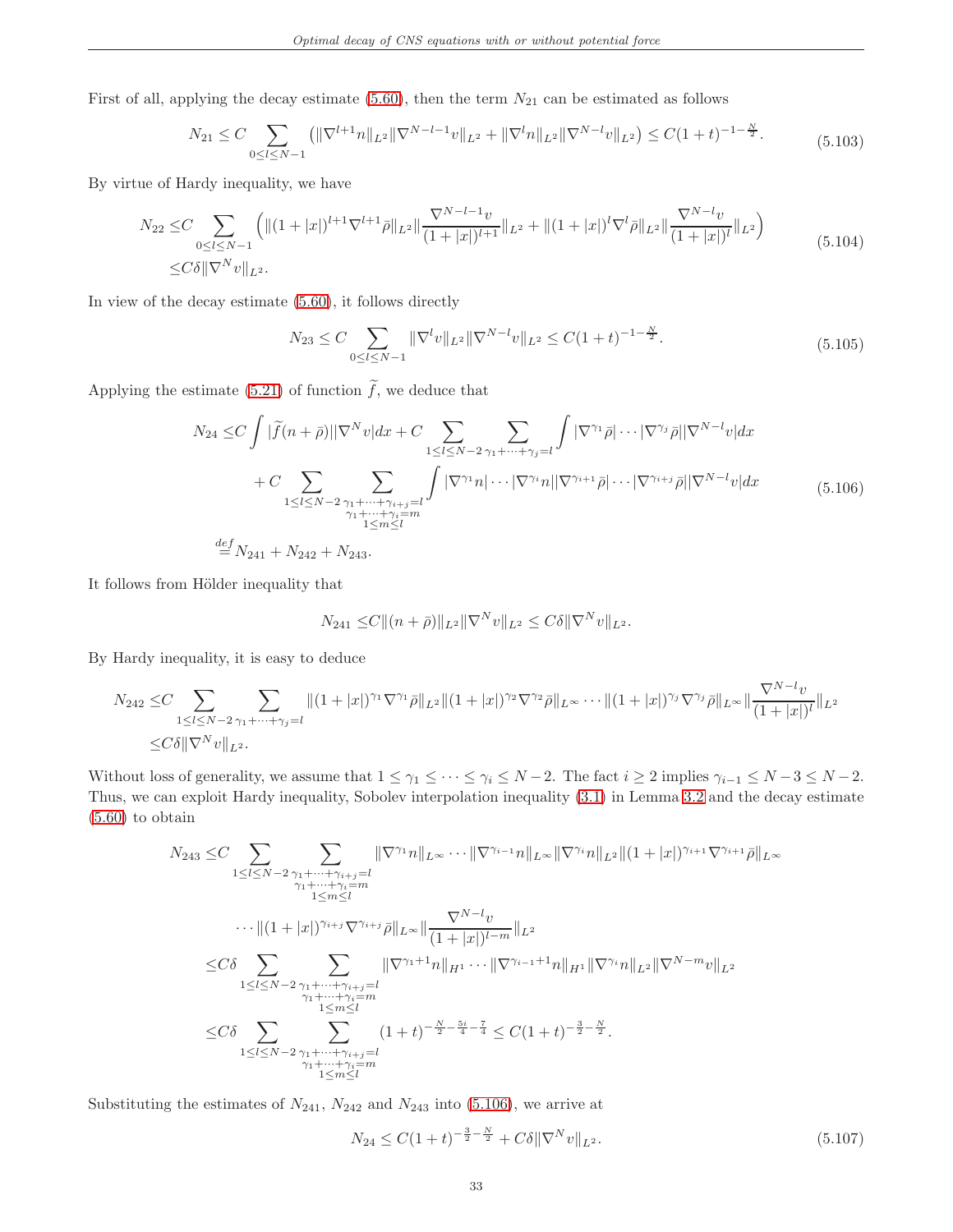First of all, applying the decay estimate [\(5.60\)](#page-24-6), then the term  $N_{21}$  can be estimated as follows

$$
N_{21} \leq C \sum_{0 \leq l \leq N-1} \left( \|\nabla^{l+1} n\|_{L^2} \|\nabla^{N-l-1} v\|_{L^2} + \|\nabla^l n\|_{L^2} \|\nabla^{N-l} v\|_{L^2} \right) \leq C(1+t)^{-1-\frac{N}{2}}.
$$
\n(5.103)

By virtue of Hardy inequality, we have

$$
N_{22} \leq C \sum_{0 \leq l \leq N-1} \left( \| (1+|x|)^{l+1} \nabla^{l+1} \bar{\rho} \|_{L^2} \| \frac{\nabla^{N-l-1} v}{(1+|x|)^{l+1}} \|_{L^2} + \| (1+|x|)^l \nabla^l \bar{\rho} \|_{L^2} \| \frac{\nabla^{N-l} v}{(1+|x|)^l} \|_{L^2} \right)
$$
  
\n
$$
\leq C \delta \| \nabla^N v \|_{L^2}.
$$
\n(5.104)

<span id="page-32-1"></span>In view of the decay estimate [\(5.60\)](#page-24-6), it follows directly

$$
N_{23} \le C \sum_{0 \le l \le N-1} \|\nabla^l v\|_{L^2} \|\nabla^{N-l} v\|_{L^2} \le C(1+t)^{-1-\frac{N}{2}}.
$$
\n(5.105)

Applying the estimate [\(5.21\)](#page-13-9) of function  $\widetilde{f}$ , we deduce that

$$
N_{24} \leq C \int |\tilde{f}(n+\bar{\rho})||\nabla^{N}v|dx + C \sum_{1 \leq l \leq N-2} \sum_{\substack{\gamma_1 + \dots + \gamma_j = l \\ \gamma_1 + \dots + \gamma_{i+j} = l}} \int |\nabla^{\gamma_1} \bar{\rho}| \cdots |\nabla^{\gamma_j} \bar{\rho}| |\nabla^{N-l}v| dx
$$
  
+ 
$$
C \sum_{1 \leq l \leq N-2} \sum_{\substack{\gamma_1 + \dots + \gamma_{i+j} = l \\ \gamma_1 + \dots + \gamma_i = m \\ 1 \leq m \leq l}} \int |\nabla^{\gamma_1} n| \cdots |\nabla^{\gamma_i} n| |\nabla^{\gamma_{i+1}} \bar{\rho}| \cdots |\nabla^{\gamma_{i+j}} \bar{\rho}| |\nabla^{N-l} v| dx \qquad (5.106)
$$
  

$$
\stackrel{def}{=} N_{241} + N_{242} + N_{243}.
$$

<span id="page-32-0"></span>It follows from Hölder inequality that

$$
N_{241} \leq C \|(n+\bar{\rho})\|_{L^2} \|\nabla^N v\|_{L^2} \leq C\delta \|\nabla^N v\|_{L^2}.
$$

By Hardy inequality, it is easy to deduce

$$
N_{242} \leq C \sum_{1 \leq l \leq N-2} \sum_{\gamma_1 + \dots + \gamma_j = l} \|(1+|x|)^{\gamma_1} \nabla^{\gamma_1} \bar{\rho} \|_{L^2} \|(1+|x|)^{\gamma_2} \nabla^{\gamma_2} \bar{\rho} \|_{L^\infty} \cdots \|(1+|x|)^{\gamma_j} \nabla^{\gamma_j} \bar{\rho} \|_{L^\infty} \|\frac{\nabla^{N-l} v}{(1+|x|)^l} \|_{L^2}
$$
  

$$
\leq C\delta \|\nabla^N v\|_{L^2}.
$$

Without loss of generality, we assume that  $1 \leq \gamma_1 \leq \cdots \leq \gamma_i \leq N-2$ . The fact  $i \geq 2$  implies  $\gamma_{i-1} \leq N-3 \leq N-2$ . Thus, we can exploit Hardy inequality, Sobolev interpolation inequality [\(3.1\)](#page-6-3) in Lemma [3.2](#page-6-4) and the decay estimate [\(5.60\)](#page-24-6) to obtain

$$
N_{243} \leq C \sum_{1 \leq l \leq N-2} \sum_{\substack{\gamma_1 + \dots + \gamma_{i+j} = l \\ \gamma_1 + \dots + \gamma_i = n \\ 1 \leq m \leq l}} \|\nabla^{\gamma_1} n\|_{L^{\infty}} \cdots \|\nabla^{\gamma_{i-1}} n\|_{L^{\infty}} \|\nabla^{\gamma_i} n\|_{L^2} \|(1+|x|)^{\gamma_{i+1}} \nabla^{\gamma_{i+1}} \bar{\rho}\|_{L^{\infty}} \|\nabla^{\gamma_1} n\|_{L^{\infty}} \|\nabla^{\gamma_2} n\|_{L^2} \|\nabla^{\gamma_3} n\|_{L^2} \|\nabla^{\gamma_4} n\|_{L^{\infty}} \|\nabla^{\gamma_5} n\|_{L^2} \|\nabla^{\gamma_6} n\|_{L^2} \|\nabla^{\gamma_7} n\|_{L^2} \|\nabla^{\gamma_8} n\|_{L^2} \|\nabla^{\gamma_9} n\|_{L^2} \|\nabla^{\gamma_8} n\|_{L^2} \|\nabla^{\gamma_9} m\|_{L^2} \|\nabla^{\gamma_8} m\|_{L^2} \|\nabla^{\gamma_9} m\|_{L^2} \|\nabla^{\gamma_8} m\|_{L^2} \|\nabla^{\gamma_9} m\|_{L^2} \|\nabla^{\gamma_8} m\|_{L^2} \|\nabla^{\gamma_9} m\|_{L^2} \|\nabla^{\gamma_8} m\|_{L^2} \|\nabla^{\gamma_9} m\|_{L^2} \|\nabla^{\gamma_9} m\|_{L^2} \|\nabla^{\gamma_8} m\|_{L^2} \|\nabla^{\gamma_9} m\|_{L^2} \|\nabla^{\gamma_9} m\|_{L^2} \|\nabla^{\gamma_9} m\|_{L^2} \|\nabla^{\gamma_8} m\|_{L^2} \|\nabla^{\gamma_9} m\|_{L^2} \|\nabla^{\gamma_8} n\|_{L^2} \|\nabla^{\gamma_9} m\|_{L^2} \|\nabla^{\gamma_8} m\|_{L^2} \|\nabla^{\gamma_9} m\|_{L^2} \|\nabla^{\
$$

Substituting the estimates of  $N_{241}$ ,  $N_{242}$  and  $N_{243}$  into [\(5.106\)](#page-32-0), we arrive at

<span id="page-32-2"></span>
$$
N_{24} \le C(1+t)^{-\frac{3}{2}-\frac{N}{2}} + C\delta \|\nabla^N v\|_{L^2}.
$$
\n(5.107)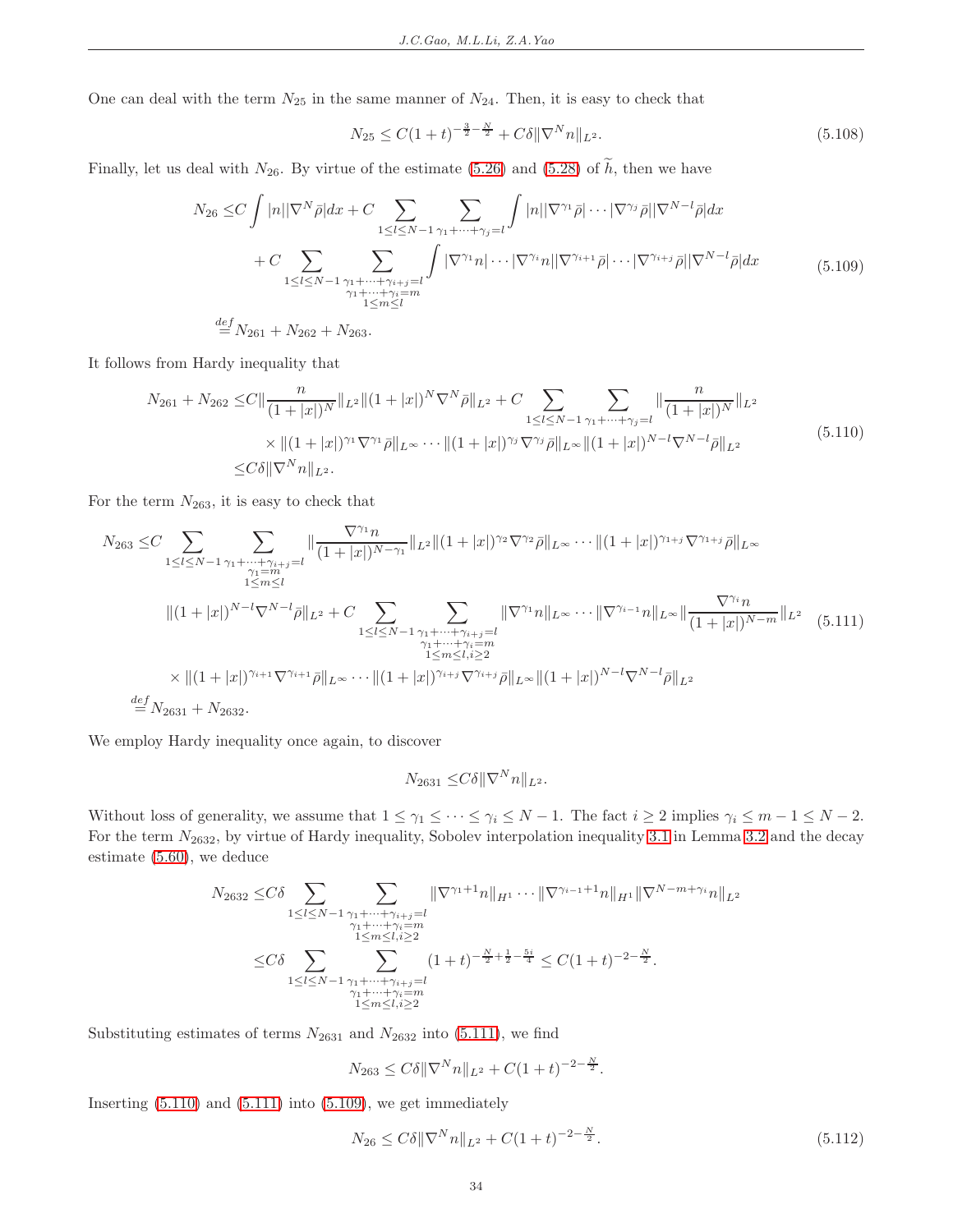One can deal with the term  $N_{25}$  in the same manner of  $N_{24}$ . Then, it is easy to check that

<span id="page-33-3"></span>
$$
N_{25} \le C(1+t)^{-\frac{3}{2}-\frac{N}{2}} + C\delta \|\nabla^N n\|_{L^2}.
$$
\n(5.108)

<span id="page-33-2"></span>Finally, let us deal with  $N_{26}$ . By virtue of the estimate [\(5.26\)](#page-15-1) and [\(5.28\)](#page-15-3) of  $\widetilde{h}$ , then we have

$$
N_{26} \leq C \int |n||\nabla^{N}\bar{\rho}|dx + C \sum_{1 \leq l \leq N-1} \sum_{\substack{\gamma_1 + \dots + \gamma_j = l \\ \gamma_1 + \dots + \gamma_{i+j} = l}} \int |n||\nabla^{\gamma_1}\bar{\rho}| \cdots |\nabla^{\gamma_j}\bar{\rho}||\nabla^{N-l}\bar{\rho}|dx
$$
  
+ 
$$
C \sum_{1 \leq l \leq N-1} \sum_{\substack{\gamma_1 + \dots + \gamma_{i+j} = l \\ \gamma_1 + \dots + \gamma_i = m \\ 1 \leq m \leq l}} \int |\nabla^{\gamma_1}n| \cdots |\nabla^{\gamma_i}n||\nabla^{\gamma_{i+1}}\bar{\rho}| \cdots |\nabla^{\gamma_{i+j}}\bar{\rho}||\nabla^{N-l}\bar{\rho}|dx
$$
(5.109)  

$$
\stackrel{def}{=} N_{261} + N_{262} + N_{263}.
$$

<span id="page-33-1"></span>It follows from Hardy inequality that

$$
N_{261} + N_{262} \leq C \|\frac{n}{(1+|x|)^N} \|_{L^2} \|(1+|x|)^N \nabla^N \bar{\rho} \|_{L^2} + C \sum_{1 \leq l \leq N-1} \sum_{\gamma_1 + \dots + \gamma_j = l} \|\frac{n}{(1+|x|)^N} \|_{L^2}
$$
  
 
$$
\times \|(1+|x|)^{\gamma_1} \nabla^{\gamma_1} \bar{\rho} \|_{L^\infty} \cdots \|(1+|x|)^{\gamma_j} \nabla^{\gamma_j} \bar{\rho} \|_{L^\infty} \|(1+|x|)^{N-l} \nabla^{N-l} \bar{\rho} \|_{L^2}
$$
  
 
$$
\leq C \delta \|\nabla^N n\|_{L^2}.
$$
 (5.110)

For the term  $N_{263}$ , it is easy to check that

<span id="page-33-0"></span>
$$
N_{263} \leq C \sum_{1 \leq l \leq N-1} \sum_{\substack{\gamma_1 + \dots + \gamma_{i+j} = l \\ \gamma_1 = m \\ 1 \leq m \leq l}} \| \frac{\nabla^{\gamma_1} n}{(1+|x|)^{N-\gamma_1}} \|_{L^2} \| (1+|x|)^{\gamma_2} \nabla^{\gamma_2} \bar{\rho} \|_{L^{\infty}} \cdots \| (1+|x|)^{\gamma_{1+j}} \nabla^{\gamma_{1+j}} \bar{\rho} \|_{L^{\infty}}
$$
\n
$$
\| (1+|x|)^{N-l} \nabla^{N-l} \bar{\rho} \|_{L^2} + C \sum_{\substack{1 \leq l \leq N-1 \\ \gamma_1 + \dots + \gamma_{i+j} = l \\ \gamma_1 + \dots + \gamma_i = m \\ 1 \leq m \leq l, i \geq 2}} \| \nabla^{\gamma_1} n \|_{L^{\infty}} \cdots \| \nabla^{\gamma_{i-1}} n \|_{L^{\infty}} \| \frac{\nabla^{\gamma_i} n}{(1+|x|)^{N-m}} \|_{L^2} \quad (5.111)
$$
\n
$$
\leq | (1+|x|)^{\gamma_{i+1}} \nabla^{\gamma_{i+1}} \bar{\rho} \|_{L^{\infty}} \cdots \| (1+|x|)^{\gamma_{i+j}} \nabla^{\gamma_{i+j}} \bar{\rho} \|_{L^{\infty}} \| (1+|x|)^{N-l} \nabla^{N-l} \bar{\rho} \|_{L^2}
$$
\n
$$
\stackrel{def}{=} N_{2631} + N_{2632}.
$$

We employ Hardy inequality once again, to discover

$$
N_{2631} \leq C\delta \|\nabla^N n\|_{L^2}.
$$

Without loss of generality, we assume that  $1 \leq \gamma_1 \leq \cdots \leq \gamma_i \leq N-1$ . The fact  $i \geq 2$  implies  $\gamma_i \leq m-1 \leq N-2$ . For the term  $N_{2632}$ , by virtue of Hardy inequality, Sobolev interpolation inequality [3.1](#page-6-3) in Lemma [3.2](#page-6-4) and the decay estimate [\(5.60\)](#page-24-6), we deduce

$$
N_{2632} \leq C\delta \sum_{1 \leq l \leq N-1} \sum_{\substack{\gamma_1 + \dots + \gamma_{i+j} = l \\ 1 \leq m \leq l, i \geq 2 \\ 1 \leq l \leq N-1}} \sum_{\substack{\gamma_1 + \dots + \gamma_{i+j} = n \\ 1 \leq m \leq l, i \geq 2 \\ 1 \leq l \leq N-1}} \|\nabla^{\gamma_1+1}n\|_{H^1} \cdots \|\nabla^{\gamma_{i-1}+1}n\|_{H^1} \|\nabla^{N-m+\gamma_i}n\|_{L^2}
$$
  

$$
\leq C\delta \sum_{\substack{1 \leq l \leq N-1 \\ \gamma_1 + \dots + \gamma_{i+j} = l \\ 1 \leq m \leq l, i \geq 2}} (1+t)^{-\frac{N}{2} + \frac{1}{2} - \frac{5i}{4}} \leq C(1+t)^{-2-\frac{N}{2}}.
$$

Substituting estimates of terms  $N_{2631}$  and  $N_{2632}$  into [\(5.111\)](#page-33-0), we find

$$
N_{263} \le C\delta \|\nabla^N n\|_{L^2} + C(1+t)^{-2-\frac{N}{2}}.
$$

Inserting  $(5.110)$  and  $(5.111)$  into  $(5.109)$ , we get immediately

<span id="page-33-4"></span>
$$
N_{26} \le C\delta \|\nabla^N n\|_{L^2} + C(1+t)^{-2-\frac{N}{2}}.\tag{5.112}
$$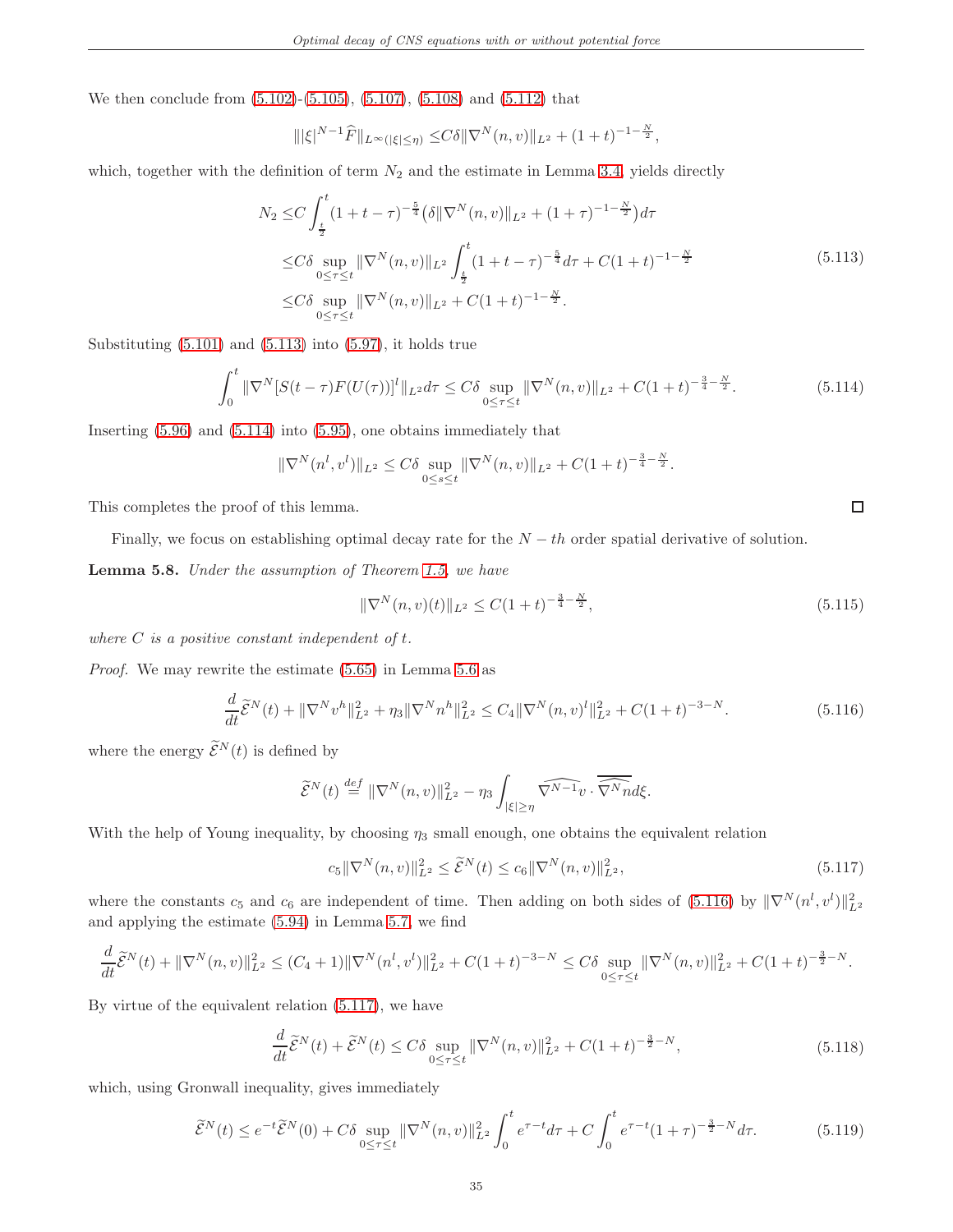We then conclude from [\(5.102\)](#page-31-4)-[\(5.105\)](#page-32-1), [\(5.107\)](#page-32-2), [\(5.108\)](#page-33-3) and [\(5.112\)](#page-33-4) that

$$
\| |\xi|^{N-1} \widehat{F} \|_{L^{\infty}(|\xi| \leq \eta)} \leq C \delta \| \nabla^N(n, v) \|_{L^2} + (1+t)^{-1-\frac{N}{2}},
$$

<span id="page-34-0"></span>which, together with the definition of term  $N_2$  and the estimate in Lemma [3.4,](#page-7-4) yields directly

$$
N_2 \leq C \int_{\frac{t}{2}}^{t} (1+t-\tau)^{-\frac{5}{4}} \left( \delta \|\nabla^N(n,v)\|_{L^2} + (1+\tau)^{-1-\frac{N}{2}} \right) d\tau
$$
  
\n
$$
\leq C \delta \sup_{0 \leq \tau \leq t} \|\nabla^N(n,v)\|_{L^2} \int_{\frac{t}{2}}^{t} (1+t-\tau)^{-\frac{5}{4}} d\tau + C(1+t)^{-1-\frac{N}{2}}
$$
  
\n
$$
\leq C \delta \sup_{0 \leq \tau \leq t} \|\nabla^N(n,v)\|_{L^2} + C(1+t)^{-1-\frac{N}{2}}.
$$
\n(5.113)

Substituting [\(5.101\)](#page-31-5) and [\(5.113\)](#page-34-0) into [\(5.97\)](#page-31-0), it holds true

<span id="page-34-1"></span>
$$
\int_0^t \|\nabla^N [S(t-\tau)F(U(\tau))]^l\|_{L^2} d\tau \le C\delta \sup_{0 \le \tau \le t} \|\nabla^N (n,v)\|_{L^2} + C(1+t)^{-\frac{3}{4}-\frac{N}{2}}.
$$
\n(5.114)

Inserting [\(5.96\)](#page-31-6) and [\(5.114\)](#page-34-1) into [\(5.95\)](#page-31-7), one obtains immediately that

$$
\|\nabla^N(n^l, v^l)\|_{L^2} \le C\delta \sup_{0 \le s \le t} \|\nabla^N(n, v)\|_{L^2} + C(1+t)^{-\frac{3}{4}-\frac{N}{2}}.
$$

This completes the proof of this lemma.

Finally, we focus on establishing optimal decay rate for the  $N - th$  order spatial derivative of solution.

<span id="page-34-6"></span>Lemma 5.8. Under the assumption of Theorem [1.5,](#page-3-0) we have

<span id="page-34-5"></span>
$$
\|\nabla^{N}(n,v)(t)\|_{L^{2}} \le C(1+t)^{-\frac{3}{4}-\frac{N}{2}},\tag{5.115}
$$

 $\Box$ 

where  $C$  is a positive constant independent of  $t$ .

Proof. We may rewrite the estimate [\(5.65\)](#page-26-5) in Lemma [5.6](#page-26-6) as

<span id="page-34-2"></span>
$$
\frac{d}{dt}\widetilde{\mathcal{E}}^{N}(t) + \|\nabla^{N}v^{h}\|_{L^{2}}^{2} + \eta_{3}\|\nabla^{N}n^{h}\|_{L^{2}}^{2} \leq C_{4}\|\nabla^{N}(n,v)^{l}\|_{L^{2}}^{2} + C(1+t)^{-3-N}.\tag{5.116}
$$

where the energy  $\widetilde{\mathcal{E}}^{N}(t)$  is defined by

$$
\widetilde{\mathcal{E}}^{N}(t) \stackrel{def}{=} \|\nabla^{N}(n,v)\|_{L^{2}}^{2} - \eta_{3} \int_{|\xi| \geq \eta} \widetilde{\nabla^{N-1}v} \cdot \overline{\widetilde{\nabla^{N}n}}d\xi.
$$

With the help of Young inequality, by choosing  $\eta_3$  small enough, one obtains the equivalent relation

<span id="page-34-3"></span>
$$
c_5 \|\nabla^N(n,v)\|_{L^2}^2 \le \tilde{\mathcal{E}}^N(t) \le c_6 \|\nabla^N(n,v)\|_{L^2}^2,
$$
\n(5.117)

where the constants  $c_5$  and  $c_6$  are independent of time. Then adding on both sides of [\(5.116\)](#page-34-2) by  $\|\nabla^N(n^l, v^l)\|_{L^2}^2$ and applying the estimate [\(5.94\)](#page-30-4) in Lemma [5.7,](#page-30-5) we find

$$
\frac{d}{dt}\widetilde{\mathcal{E}}^{N}(t) + \|\nabla^{N}(n,v)\|_{L^{2}}^{2} \leq (C_{4}+1)\|\nabla^{N}(n^{l},v^{l})\|_{L^{2}}^{2} + C(1+t)^{-3-N} \leq C\delta \sup_{0\leq\tau\leq t} \|\nabla^{N}(n,v)\|_{L^{2}}^{2} + C(1+t)^{-\frac{3}{2}-N}.
$$

By virtue of the equivalent relation [\(5.117\)](#page-34-3), we have

$$
\frac{d}{dt}\tilde{\mathcal{E}}^{N}(t) + \tilde{\mathcal{E}}^{N}(t) \le C\delta \sup_{0 \le \tau \le t} \|\nabla^{N}(n,v)\|_{L^{2}}^{2} + C(1+t)^{-\frac{3}{2}-N},\tag{5.118}
$$

<span id="page-34-4"></span>which, using Gronwall inequality, gives immediately

$$
\widetilde{\mathcal{E}}^{N}(t) \le e^{-t} \widetilde{\mathcal{E}}^{N}(0) + C\delta \sup_{0 \le \tau \le t} \|\nabla^{N}(n,v)\|_{L^{2}}^{2} \int_{0}^{t} e^{\tau - t} d\tau + C \int_{0}^{t} e^{\tau - t} (1+\tau)^{-\frac{3}{2}-N} d\tau.
$$
 (5.119)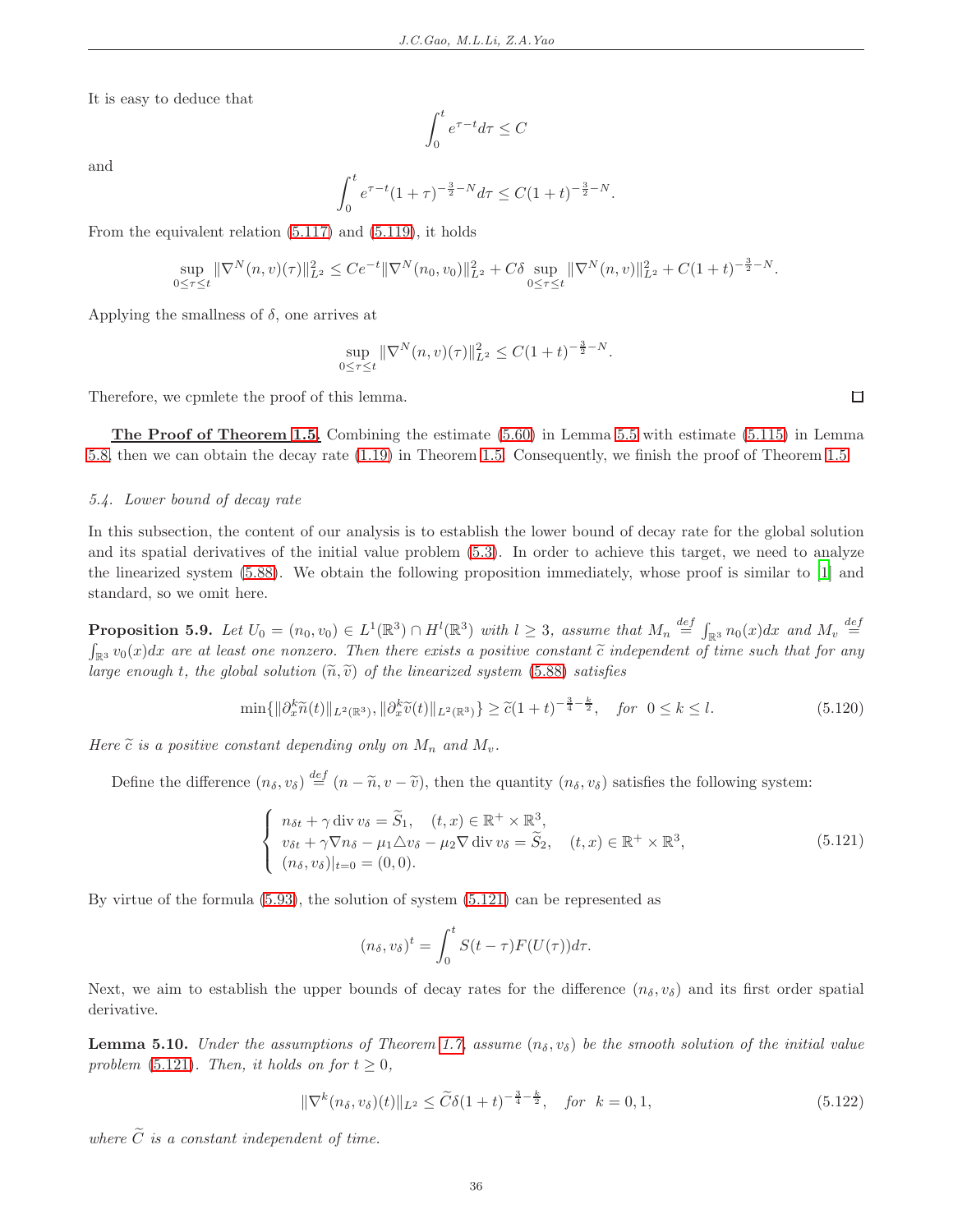It is easy to deduce that

$$
\int_0^t e^{\tau - t} d\tau \le C
$$

and

$$
\int_0^t e^{\tau - t} (1 + \tau)^{-\frac{3}{2} - N} d\tau \le C(1 + t)^{-\frac{3}{2} - N}.
$$

From the equivalent relation [\(5.117\)](#page-34-3) and [\(5.119\)](#page-34-4), it holds

$$
\sup_{0 \le \tau \le t} \|\nabla^N(n,v)(\tau)\|_{L^2}^2 \le C e^{-t} \|\nabla^N(n_0,v_0)\|_{L^2}^2 + C\delta \sup_{0 \le \tau \le t} \|\nabla^N(n,v)\|_{L^2}^2 + C(1+t)^{-\frac{3}{2}-N}.
$$

Applying the smallness of  $\delta$ , one arrives at

$$
\sup_{0 \le \tau \le t} \|\nabla^N(n, v)(\tau)\|_{L^2}^2 \le C(1+t)^{-\frac{3}{2}-N}.
$$

Therefore, we cpmlete the proof of this lemma.

The Proof of Theorem [1.5.](#page-3-0) Combining the estimate [\(5.60\)](#page-24-6) in Lemma [5.5](#page-24-1) with estimate [\(5.115\)](#page-34-5) in Lemma [5.8,](#page-34-6) then we can obtain the decay rate [\(1.19\)](#page-4-2) in Theorem [1.5.](#page-3-0) Consequently, we finish the proof of Theorem [1.5.](#page-3-0)

#### <span id="page-35-0"></span>5.4. Lower bound of decay rate

In this subsection, the content of our analysis is to establish the lower bound of decay rate for the global solution and its spatial derivatives of the initial value problem [\(5.3\)](#page-11-4). In order to achieve this target, we need to analyze the linearized system [\(5.88\)](#page-30-0). We obtain the following proposition immediately, whose proof is similar to [\[1\]](#page-37-3) and standard, so we omit here.

<span id="page-35-4"></span>**Proposition 5.9.** Let  $U_0 = (n_0, v_0) \in L^1(\mathbb{R}^3) \cap H^l(\mathbb{R}^3)$  with  $l \geq 3$ , assume that  $M_n \stackrel{def}{=} \int_{\mathbb{R}^3} n_0(x) dx$  and  $M_v \stackrel{def}{=}$  $\int_{\mathbb{R}^3} v_0(x) dx$  are at least one nonzero. Then there exists a positive constant  $\tilde{c}$  independent of time such that for any large enough t, the global solution  $(\widetilde{n}, \widetilde{v})$  of the linearized system [\(5.88\)](#page-30-0) satisfies

<span id="page-35-2"></span>
$$
\min\{\|\partial_x^k \widetilde{n}(t)\|_{L^2(\mathbb{R}^3)}, \|\partial_x^k \widetilde{v}(t)\|_{L^2(\mathbb{R}^3)}\} \ge \widetilde{c}(1+t)^{-\frac{3}{4}-\frac{k}{2}}, \quad \text{for } 0 \le k \le l. \tag{5.120}
$$

Here  $\tilde{c}$  is a positive constant depending only on  $M_n$  and  $M_v$ .

Define the difference  $(n_{\delta}, v_{\delta}) \stackrel{def}{=} (n - \tilde{n}, v - \tilde{v})$ , then the quantity  $(n_{\delta}, v_{\delta})$  satisfies the following system:

<span id="page-35-1"></span>
$$
\begin{cases}\n n_{\delta t} + \gamma \operatorname{div} v_{\delta} = \widetilde{S}_1, & (t, x) \in \mathbb{R}^+ \times \mathbb{R}^3, \\
 v_{\delta t} + \gamma \nabla n_{\delta} - \mu_1 \Delta v_{\delta} - \mu_2 \nabla \operatorname{div} v_{\delta} = \widetilde{S}_2, & (t, x) \in \mathbb{R}^+ \times \mathbb{R}^3, \\
 (n_{\delta}, v_{\delta})|_{t=0} = (0, 0).\n\end{cases} \tag{5.121}
$$

By virtue of the formula [\(5.93\)](#page-30-3), the solution of system [\(5.121\)](#page-35-1) can be represented as

$$
(n_{\delta}, v_{\delta})^t = \int_0^t S(t - \tau) F(U(\tau)) d\tau.
$$

Next, we aim to establish the upper bounds of decay rates for the difference  $(n_{\delta}, v_{\delta})$  and its first order spatial derivative.

**Lemma 5.10.** Under the assumptions of Theorem [1.7,](#page-4-1) assume  $(n_{\delta}, v_{\delta})$  be the smooth solution of the initial value problem [\(5.121\)](#page-35-1). Then, it holds on for  $t \geq 0$ ,

<span id="page-35-3"></span>
$$
\|\nabla^{k}(n_{\delta}, v_{\delta})(t)\|_{L^{2}} \leq \widetilde{C}\delta(1+t)^{-\frac{3}{4}-\frac{k}{2}}, \quad \text{for} \ \ k = 0, 1,
$$
\n(5.122)

where  $\widetilde{C}$  is a constant independent of time.

 $\Box$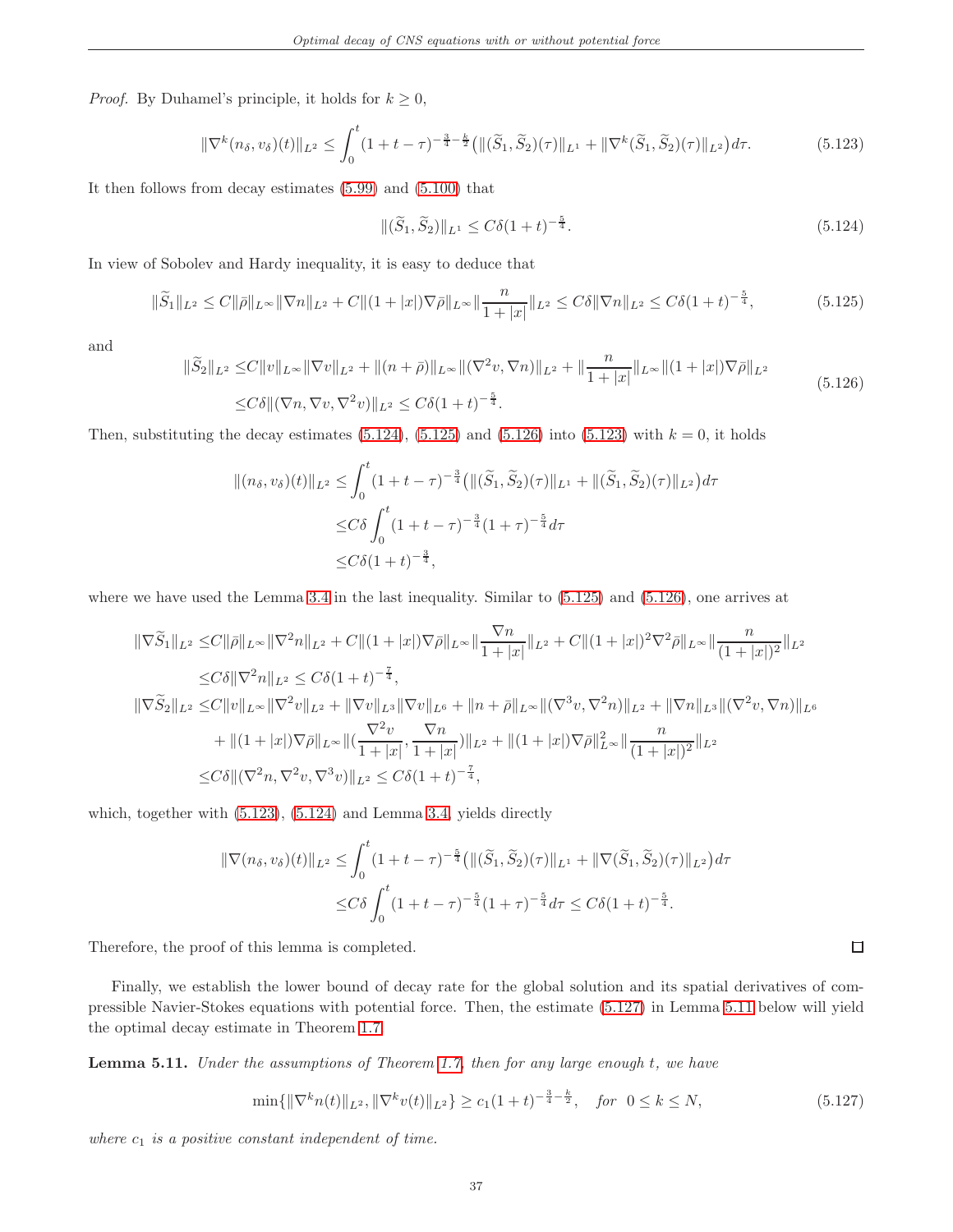*Proof.* By Duhamel's principle, it holds for  $k \geq 0$ ,

<span id="page-36-3"></span>
$$
\|\nabla^k(n_\delta, v_\delta)(t)\|_{L^2} \le \int_0^t (1+t-\tau)^{-\frac{3}{4}-\frac{k}{2}} \left(\|(\widetilde{S}_1, \widetilde{S}_2)(\tau)\|_{L^1} + \|\nabla^k(\widetilde{S}_1, \widetilde{S}_2)(\tau)\|_{L^2}\right) d\tau. \tag{5.123}
$$

It then follows from decay estimates [\(5.99\)](#page-31-1) and [\(5.100\)](#page-31-2) that

<span id="page-36-0"></span>
$$
\|(\widetilde{S}_1, \widetilde{S}_2)\|_{L^1} \le C\delta (1+t)^{-\frac{5}{4}}.\tag{5.124}
$$

In view of Sobolev and Hardy inequality, it is easy to deduce that

<span id="page-36-1"></span>
$$
\|\widetilde{S}_1\|_{L^2} \le C \|\bar{\rho}\|_{L^\infty} \|\nabla n\|_{L^2} + C \|(1+|x|)\nabla \bar{\rho}\|_{L^\infty} \|\frac{n}{1+|x|}\|_{L^2} \le C\delta \|\nabla n\|_{L^2} \le C\delta(1+t)^{-\frac{5}{4}},\tag{5.125}
$$

and

<span id="page-36-2"></span>
$$
\|\widetilde{S}_2\|_{L^2} \le C \|v\|_{L^\infty} \|\nabla v\|_{L^2} + \|(n+\bar{\rho})\|_{L^\infty} \|\nabla^2 v, \nabla n\|_{L^2} + \|\frac{n}{1+|x|}\|_{L^\infty} \|(1+|x|)\nabla \bar{\rho}\|_{L^2}
$$
\n
$$
\le C\delta \|(\nabla n, \nabla v, \nabla^2 v)\|_{L^2} \le C\delta (1+t)^{-\frac{5}{4}}.
$$
\n
$$
(5.126)
$$

Then, substituting the decay estimates  $(5.124)$ ,  $(5.125)$  and  $(5.126)$  into  $(5.123)$  with  $k = 0$ , it holds

$$
\|(n_{\delta}, v_{\delta})(t)\|_{L^{2}} \leq \int_{0}^{t} (1+t-\tau)^{-\frac{3}{4}} (\|(\widetilde{S}_{1}, \widetilde{S}_{2})(\tau)\|_{L^{1}} + \|(\widetilde{S}_{1}, \widetilde{S}_{2})(\tau)\|_{L^{2}}) d\tau
$$
  

$$
\leq C\delta \int_{0}^{t} (1+t-\tau)^{-\frac{3}{4}} (1+\tau)^{-\frac{5}{4}} d\tau
$$
  

$$
\leq C\delta (1+t)^{-\frac{3}{4}},
$$

where we have used the Lemma [3.4](#page-7-4) in the last inequality. Similar to [\(5.125\)](#page-36-1) and [\(5.126\)](#page-36-2), one arrives at

$$
\begin{split}\n\|\nabla \widetilde{S}_{1}\|_{L^{2}} &\leq & C\|\bar{\rho}\|_{L^{\infty}} \|\nabla^{2} n\|_{L^{2}} + C\|(1+|x|)\nabla \bar{\rho}\|_{L^{\infty}} \|\frac{\nabla n}{1+|x|}\|_{L^{2}} + C\|(1+|x|)^{2}\nabla^{2} \bar{\rho}\|_{L^{\infty}} \|\frac{n}{(1+|x|)^{2}}\|_{L^{2}} \\
&\leq & C\delta \|\nabla^{2} n\|_{L^{2}} \leq C\delta(1+t)^{-\frac{7}{4}}, \\
\|\nabla \widetilde{S}_{2}\|_{L^{2}} &\leq & C\|v\|_{L^{\infty}} \|\nabla^{2} v\|_{L^{2}} + \|\nabla v\|_{L^{3}} \|\nabla v\|_{L^{6}} + \|n+\bar{\rho}\|_{L^{\infty}} \|\nabla^{3} v, \nabla^{2} n)\|_{L^{2}} + \|\nabla n\|_{L^{3}} \|\nabla^{2} v, \nabla n)\|_{L^{6}} \\
&\quad + \|(1+|x|)\nabla \bar{\rho}\|_{L^{\infty}} \|\frac{\nabla^{2} v}{1+|x|}, \frac{\nabla n}{1+|x|}\n)\|_{L^{2}} + \|(1+|x|)\nabla \bar{\rho}\|_{L^{\infty}}^{2} \|\frac{n}{(1+|x|)^{2}}\|_{L^{2}} \\
&\leq & C\delta \|\nabla^{2} n, \nabla^{2} v, \nabla^{3} v)\|_{L^{2}} \leq & C\delta(1+t)^{-\frac{7}{4}},\n\end{split}
$$

which, together with  $(5.123)$ ,  $(5.124)$  and Lemma [3.4,](#page-7-4) yields directly

$$
\|\nabla(n_{\delta}, v_{\delta})(t)\|_{L^{2}} \leq \int_{0}^{t} (1+t-\tau)^{-\frac{5}{4}} (\|(\widetilde{S}_{1}, \widetilde{S}_{2})(\tau)\|_{L^{1}} + \|\nabla(\widetilde{S}_{1}, \widetilde{S}_{2})(\tau)\|_{L^{2}}) d\tau
$$
  

$$
\leq C\delta \int_{0}^{t} (1+t-\tau)^{-\frac{5}{4}} (1+\tau)^{-\frac{5}{4}} d\tau \leq C\delta (1+t)^{-\frac{5}{4}}.
$$

Therefore, the proof of this lemma is completed.

Finally, we establish the lower bound of decay rate for the global solution and its spatial derivatives of compressible Navier-Stokes equations with potential force. Then, the estimate [\(5.127\)](#page-36-4) in Lemma [5.11](#page-36-5) below will yield the optimal decay estimate in Theorem [1.7.](#page-4-1)

<span id="page-36-5"></span>Lemma 5.11. Under the assumptions of Theorem [1.7,](#page-4-1) then for any large enough t, we have

<span id="page-36-4"></span>
$$
\min\{\|\nabla^k n(t)\|_{L^2}, \|\nabla^k v(t)\|_{L^2}\} \ge c_1(1+t)^{-\frac{3}{4}-\frac{k}{2}}, \quad \text{for} \ \ 0 \le k \le N,\tag{5.127}
$$

where  $c_1$  is a positive constant independent of time.

 $\Box$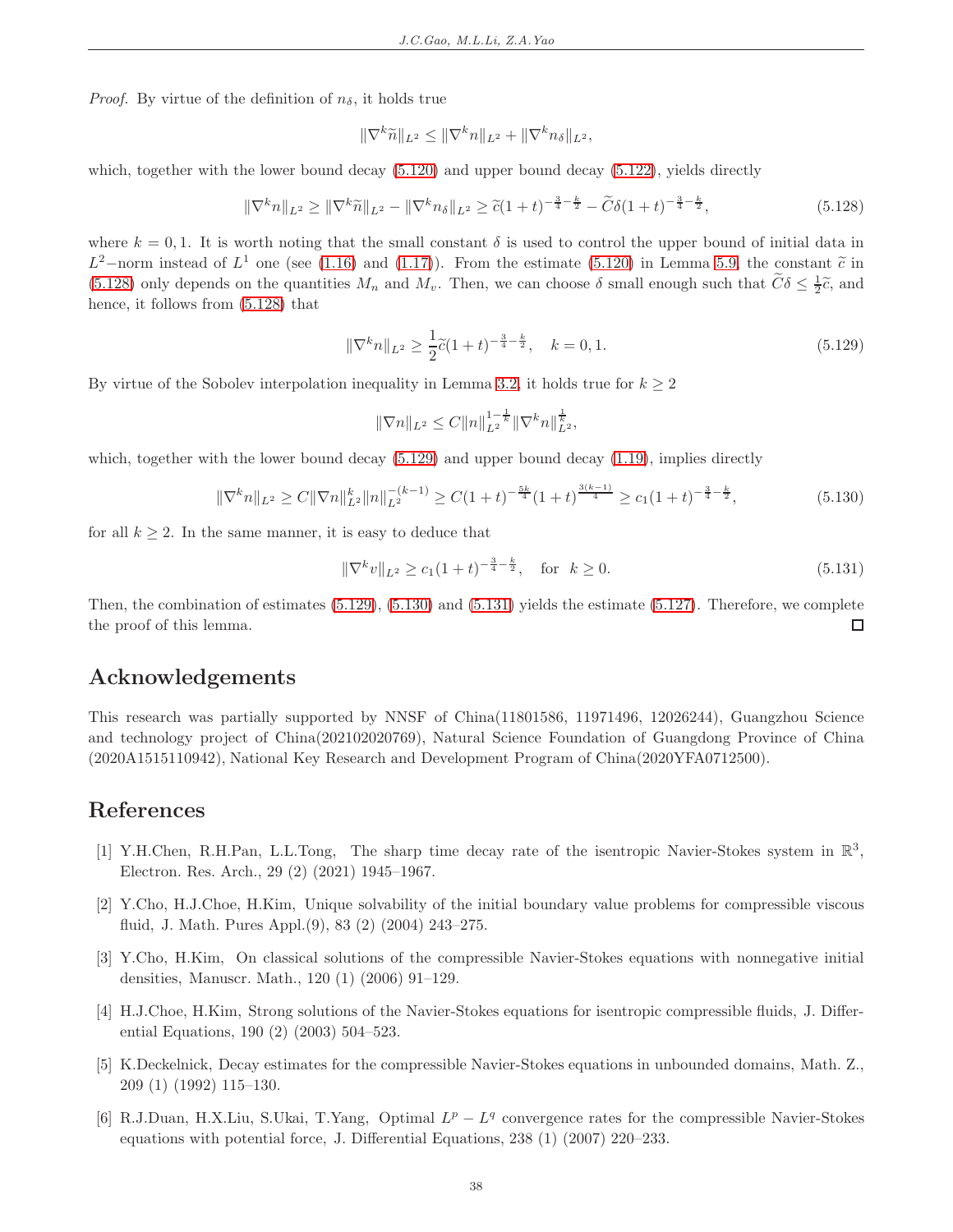*Proof.* By virtue of the definition of  $n_{\delta}$ , it holds true

$$
\|\nabla^k \widetilde{n}\|_{L^2} \le \|\nabla^k n\|_{L^2} + \|\nabla^k n_\delta\|_{L^2},
$$

which, together with the lower bound decay  $(5.120)$  and upper bound decay  $(5.122)$ , yields directly

<span id="page-37-6"></span>
$$
\|\nabla^k n\|_{L^2} \ge \|\nabla^k \widetilde{n}\|_{L^2} - \|\nabla^k n_\delta\|_{L^2} \ge \widetilde{c}(1+t)^{-\frac{3}{4} - \frac{k}{2}} - \widetilde{C}\delta(1+t)^{-\frac{3}{4} - \frac{k}{2}},\tag{5.128}
$$

where  $k = 0, 1$ . It is worth noting that the small constant  $\delta$  is used to control the upper bound of initial data in  $L^2$ -norm instead of  $L^1$  one (see [\(1.16\)](#page-3-5) and [\(1.17\)](#page-4-6)). From the estimate [\(5.120\)](#page-35-2) in Lemma [5.9,](#page-35-4) the constant  $\tilde{c}$  in  $(5.120)$ [\(5.128\)](#page-37-6) only depends on the quantities  $M_n$  and  $M_v$ . Then, we can choose  $\delta$  small enough such that  $\tilde{C}\delta \leq \frac{1}{2}\tilde{c}$ , and hence, it follows from [\(5.128\)](#page-37-6) that

<span id="page-37-7"></span>
$$
\|\nabla^k n\|_{L^2} \ge \frac{1}{2}\tilde{c}(1+t)^{-\frac{3}{4}-\frac{k}{2}}, \quad k = 0, 1.
$$
 (5.129)

By virtue of the Sobolev interpolation inequality in Lemma [3.2,](#page-6-4) it holds true for  $k \geq 2$ 

$$
\|\nabla n\|_{L^2} \leq C \|n\|_{L^2}^{1-\frac{1}{k}} \|\nabla^k n\|_{L^2}^{\frac{1}{k}},
$$

which, together with the lower bound decay  $(5.129)$  and upper bound decay  $(1.19)$ , implies directly

<span id="page-37-8"></span>
$$
\|\nabla^k n\|_{L^2} \ge C \|\nabla n\|_{L^2}^k \|n\|_{L^2}^{-(k-1)} \ge C(1+t)^{-\frac{5k}{4}} (1+t)^{\frac{3(k-1)}{4}} \ge c_1 (1+t)^{-\frac{3}{4}-\frac{k}{2}},\tag{5.130}
$$

for all  $k > 2$ . In the same manner, it is easy to deduce that

<span id="page-37-9"></span>
$$
\|\nabla^k v\|_{L^2} \ge c_1 (1+t)^{-\frac{3}{4}-\frac{k}{2}}, \quad \text{for} \ \ k \ge 0. \tag{5.131}
$$

Then, the combination of estimates [\(5.129\)](#page-37-7), [\(5.130\)](#page-37-8) and [\(5.131\)](#page-37-9) yields the estimate [\(5.127\)](#page-36-4). Therefore, we complete the proof of this lemma.  $\Box$ 

# Acknowledgements

<span id="page-37-0"></span>This research was partially supported by NNSF of China(11801586, 11971496, 12026244), Guangzhou Science and technology project of China(202102020769), Natural Science Foundation of Guangdong Province of China (2020A1515110942), National Key Research and Development Program of China(2020YFA0712500).

### References

- <span id="page-37-3"></span>[1] Y.H.Chen, R.H.Pan, L.L.Tong, The sharp time decay rate of the isentropic Navier-Stokes system in  $\mathbb{R}^3$ , Electron. Res. Arch., 29 (2) (2021) 1945–1967.
- <span id="page-37-1"></span>[2] Y.Cho, H.J.Choe, H.Kim, Unique solvability of the initial boundary value problems for compressible viscous fluid, J. Math. Pures Appl.(9), 83 (2) (2004) 243–275.
- [3] Y.Cho, H.Kim, On classical solutions of the compressible Navier-Stokes equations with nonnegative initial densities, Manuscr. Math., 120 (1) (2006) 91–129.
- <span id="page-37-2"></span>[4] H.J.Choe, H.Kim, Strong solutions of the Navier-Stokes equations for isentropic compressible fluids, J. Differential Equations, 190 (2) (2003) 504–523.
- <span id="page-37-4"></span>[5] K.Deckelnick, Decay estimates for the compressible Navier-Stokes equations in unbounded domains, Math. Z., 209 (1) (1992) 115–130.
- <span id="page-37-5"></span>[6] R.J.Duan, H.X.Liu, S.Ukai, T.Yang, Optimal  $L^p - L^q$  convergence rates for the compressible Navier-Stokes equations with potential force, J. Differential Equations, 238 (1) (2007) 220–233.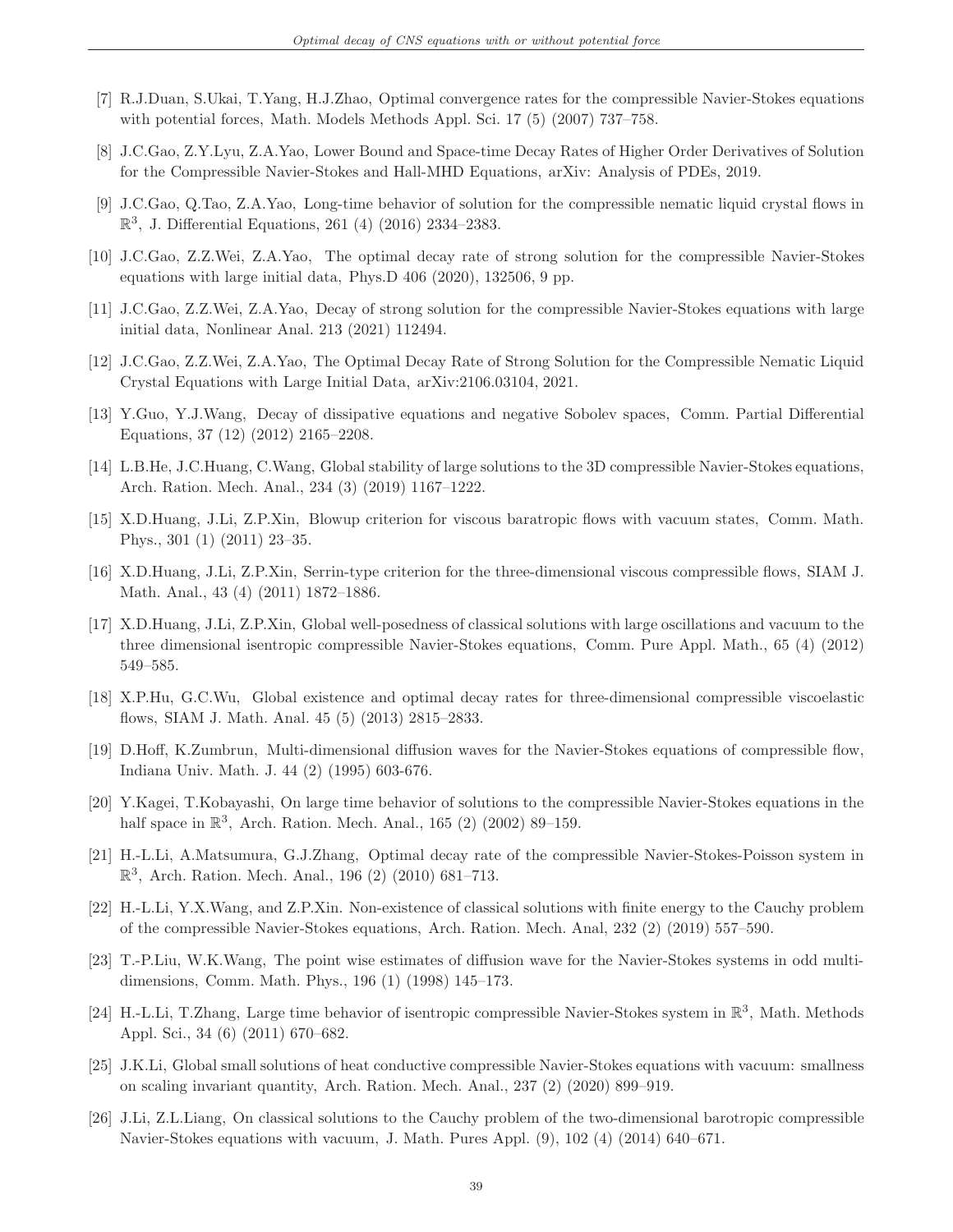- <span id="page-38-13"></span>[7] R.J.Duan, S.Ukai, T.Yang, H.J.Zhao, Optimal convergence rates for the compressible Navier-Stokes equations with potential forces, Math. Models Methods Appl. Sci. 17 (5) (2007) 737–758.
- <span id="page-38-18"></span>[8] J.C.Gao, Z.Y.Lyu, Z.A.Yao, Lower Bound and Space-time Decay Rates of Higher Order Derivatives of Solution for the Compressible Navier-Stokes and Hall-MHD Equations, arXiv: Analysis of PDEs, 2019.
- <span id="page-38-12"></span>[9] J.C.Gao, Q.Tao, Z.A.Yao, Long-time behavior of solution for the compressible nematic liquid crystal flows in  $\mathbb{R}^3$ , J. Differential Equations, 261 (4) (2016) 2334-2383.
- <span id="page-38-6"></span>[10] J.C.Gao, Z.Z.Wei, Z.A.Yao, The optimal decay rate of strong solution for the compressible Navier-Stokes equations with large initial data, Phys.D 406 (2020), 132506, 9 pp.
- [11] J.C.Gao, Z.Z.Wei, Z.A.Yao, Decay of strong solution for the compressible Navier-Stokes equations with large initial data, Nonlinear Anal. 213 (2021) 112494.
- <span id="page-38-7"></span>[12] J.C.Gao, Z.Z.Wei, Z.A.Yao, The Optimal Decay Rate of Strong Solution for the Compressible Nematic Liquid Crystal Equations with Large Initial Data, arXiv:2106.03104, 2021.
- <span id="page-38-0"></span>[13] Y.Guo, Y.J.Wang, Decay of dissipative equations and negative Sobolev spaces, Comm. Partial Differential Equations, 37 (12) (2012) 2165–2208.
- <span id="page-38-5"></span>[14] L.B.He, J.C.Huang, C.Wang, Global stability of large solutions to the 3D compressible Navier-Stokes equations, Arch. Ration. Mech. Anal., 234 (3) (2019) 1167–1222.
- <span id="page-38-3"></span>[15] X.D.Huang, J.Li, Z.P.Xin, Blowup criterion for viscous baratropic flows with vacuum states, Comm. Math. Phys., 301 (1) (2011) 23–35.
- <span id="page-38-4"></span>[16] X.D.Huang, J.Li, Z.P.Xin, Serrin-type criterion for the three-dimensional viscous compressible flows, SIAM J. Math. Anal., 43 (4) (2011) 1872–1886.
- <span id="page-38-8"></span>[17] X.D.Huang, J.Li, Z.P.Xin, Global well-posedness of classical solutions with large oscillations and vacuum to the three dimensional isentropic compressible Navier-Stokes equations, Comm. Pure Appl. Math., 65 (4) (2012) 549–585.
- <span id="page-38-17"></span>[18] X.P.Hu, G.C.Wu, Global existence and optimal decay rates for three-dimensional compressible viscoelastic flows, SIAM J. Math. Anal. 45 (5) (2013) 2815–2833.
- <span id="page-38-10"></span>[19] D.Hoff, K.Zumbrun, Multi-dimensional diffusion waves for the Navier-Stokes equations of compressible flow, Indiana Univ. Math. J. 44 (2) (1995) 603-676.
- <span id="page-38-14"></span>[20] Y.Kagei, T.Kobayashi, On large time behavior of solutions to the compressible Navier-Stokes equations in the half space in  $\mathbb{R}^3$ , Arch. Ration. Mech. Anal., 165 (2) (2002) 89-159.
- <span id="page-38-16"></span>[21] H.-L.Li, A.Matsumura, G.J.Zhang, Optimal decay rate of the compressible Navier-Stokes-Poisson system in  $\mathbb{R}^3$ , Arch. Ration. Mech. Anal., 196 (2) (2010) 681-713.
- <span id="page-38-2"></span>[22] H.-L.Li, Y.X.Wang, and Z.P.Xin. Non-existence of classical solutions with finite energy to the Cauchy problem of the compressible Navier-Stokes equations, Arch. Ration. Mech. Anal, 232 (2) (2019) 557–590.
- <span id="page-38-11"></span>[23] T.-P.Liu, W.K.Wang, The point wise estimates of diffusion wave for the Navier-Stokes systems in odd multidimensions, Comm. Math. Phys., 196 (1) (1998) 145–173.
- <span id="page-38-15"></span>[24] H.-L.Li, T.Zhang, Large time behavior of isentropic compressible Navier-Stokes system in  $\mathbb{R}^3$ , Math. Methods Appl. Sci., 34 (6) (2011) 670–682.
- <span id="page-38-9"></span>[25] J.K.Li, Global small solutions of heat conductive compressible Navier-Stokes equations with vacuum: smallness on scaling invariant quantity, Arch. Ration. Mech. Anal., 237 (2) (2020) 899–919.
- <span id="page-38-1"></span>[26] J.Li, Z.L.Liang, On classical solutions to the Cauchy problem of the two-dimensional barotropic compressible Navier-Stokes equations with vacuum, J. Math. Pures Appl. (9), 102 (4) (2014) 640–671.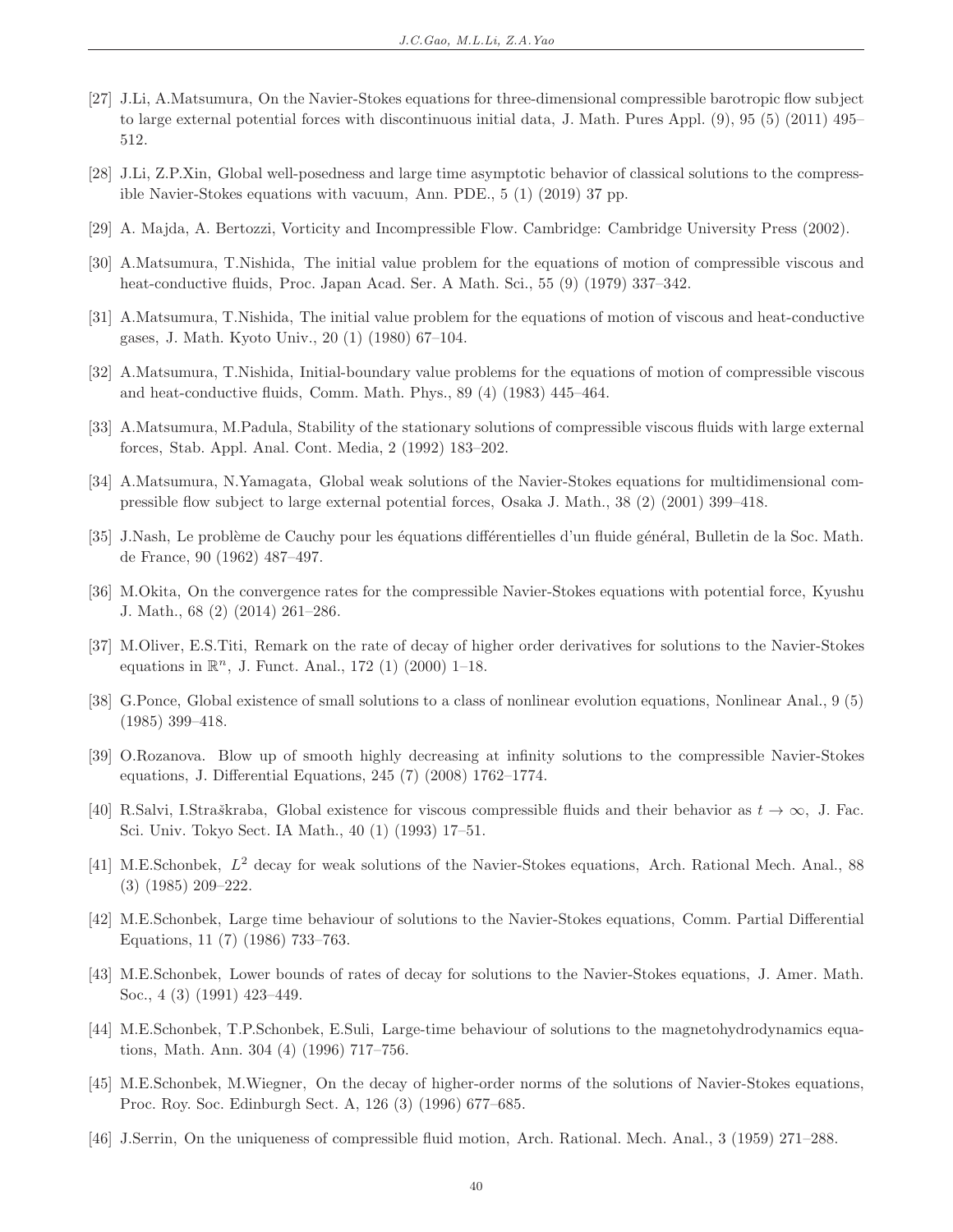- <span id="page-39-10"></span>[27] J.Li, A.Matsumura, On the Navier-Stokes equations for three-dimensional compressible barotropic flow subject to large external potential forces with discontinuous initial data, J. Math. Pures Appl. (9), 95 (5) (2011) 495– 512.
- <span id="page-39-5"></span>[28] J.Li, Z.P.Xin, Global well-posedness and large time asymptotic behavior of classical solutions to the compressible Navier-Stokes equations with vacuum, Ann. PDE., 5 (1) (2019) 37 pp.
- <span id="page-39-18"></span>[29] A. Majda, A. Bertozzi, Vorticity and Incompressible Flow. Cambridge: Cambridge University Press (2002).
- <span id="page-39-6"></span>[30] A.Matsumura, T.Nishida, The initial value problem for the equations of motion of compressible viscous and heat-conductive fluids, Proc. Japan Acad. Ser. A Math. Sci., 55 (9) (1979) 337–342.
- <span id="page-39-3"></span>[31] A.Matsumura, T.Nishida, The initial value problem for the equations of motion of viscous and heat-conductive gases, J. Math. Kyoto Univ., 20 (1) (1980) 67–104.
- <span id="page-39-9"></span>[32] A.Matsumura, T.Nishida, Initial-boundary value problems for the equations of motion of compressible viscous and heat-conductive fluids, Comm. Math. Phys., 89 (4) (1983) 445–464.
- <span id="page-39-11"></span>[33] A.Matsumura, M.Padula, Stability of the stationary solutions of compressible viscous fluids with large external forces, Stab. Appl. Anal. Cont. Media, 2 (1992) 183–202.
- <span id="page-39-12"></span>[34] A.Matsumura, N.Yamagata, Global weak solutions of the Navier-Stokes equations for multidimensional compressible flow subject to large external potential forces, Osaka J. Math., 38 (2) (2001) 399–418.
- <span id="page-39-0"></span>[35] J.Nash, Le problème de Cauchy pour les équations différentielles d'un fluide général, Bulletin de la Soc. Math. de France, 90 (1962) 487–497.
- <span id="page-39-13"></span>[36] M.Okita, On the convergence rates for the compressible Navier-Stokes equations with potential force, Kyushu J. Math., 68 (2) (2014) 261–286.
- <span id="page-39-17"></span>[37] M.Oliver, E.S.Titi, Remark on the rate of decay of higher order derivatives for solutions to the Navier-Stokes equations in  $\mathbb{R}^n$ , J. Funct. Anal., 172 (1) (2000) 1-18.
- <span id="page-39-7"></span>[38] G.Ponce, Global existence of small solutions to a class of nonlinear evolution equations, Nonlinear Anal., 9 (5) (1985) 399–418.
- <span id="page-39-4"></span>[39] O.Rozanova. Blow up of smooth highly decreasing at infinity solutions to the compressible Navier-Stokes equations, J. Differential Equations, 245 (7) (2008) 1762–1774.
- <span id="page-39-2"></span>[40] R.Salvi, I.Straškraba, Global existence for viscous compressible fluids and their behavior as  $t \to \infty$ , J. Fac. Sci. Univ. Tokyo Sect. IA Math., 40 (1) (1993) 17–51.
- <span id="page-39-8"></span>[41] M.E.Schonbek,  $L^2$  decay for weak solutions of the Navier-Stokes equations, Arch. Rational Mech. Anal., 88 (3) (1985) 209–222.
- <span id="page-39-14"></span>[42] M.E.Schonbek, Large time behaviour of solutions to the Navier-Stokes equations, Comm. Partial Differential Equations, 11 (7) (1986) 733–763.
- <span id="page-39-15"></span>[43] M.E.Schonbek, Lower bounds of rates of decay for solutions to the Navier-Stokes equations, J. Amer. Math. Soc., 4 (3) (1991) 423–449.
- <span id="page-39-16"></span>[44] M.E.Schonbek, T.P.Schonbek, E.Suli, Large-time behaviour of solutions to the magnetohydrodynamics equations, Math. Ann. 304 (4) (1996) 717–756.
- <span id="page-39-19"></span>[45] M.E.Schonbek, M.Wiegner, On the decay of higher-order norms of the solutions of Navier-Stokes equations, Proc. Roy. Soc. Edinburgh Sect. A, 126 (3) (1996) 677–685.
- <span id="page-39-1"></span>[46] J.Serrin, On the uniqueness of compressible fluid motion, Arch. Rational. Mech. Anal., 3 (1959) 271–288.